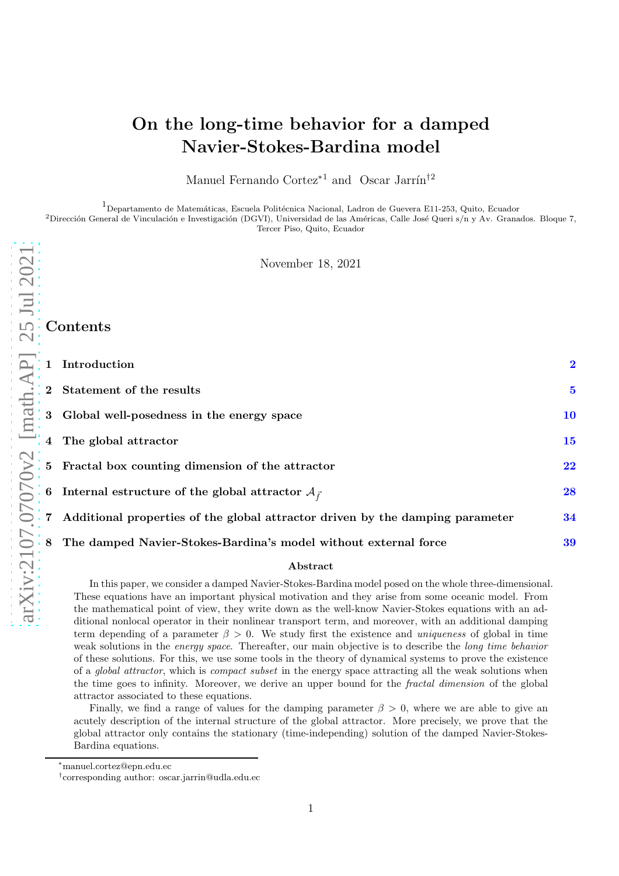# On the long-time behavior for a damped Navier-Stokes-Bardina model

Manuel Fernando Cortez<sup>∗1</sup> and Oscar Jarrín<sup>†2</sup>

 $1$ Departamento de Matemáticas, Escuela Politécnica Nacional, Ladron de Guevera E11-253, Quito, Ecuador

<sup>2</sup>Dirección General de Vinculación e Investigación (DGVI), Universidad de las Américas, Calle José Queri s/n y Av. Granados. Bloque 7, Tercer Piso, Quito, Ecuador

November 18, 2021

### Contents

| 1 Introduction                                                                  | $\bf{2}$        |
|---------------------------------------------------------------------------------|-----------------|
| 2 Statement of the results                                                      | $5\phantom{.0}$ |
| 3 Global well-posedness in the energy space                                     | 10              |
| 4 The global attractor                                                          | 15              |
| 5 Fractal box counting dimension of the attractor                               | 22              |
| 6 Internal estructure of the global attractor $\mathcal{A}_{\vec{f}}$           | 28              |
| 7 Additional properties of the global attractor driven by the damping parameter | 34              |
| 8 The damped Navier-Stokes-Bardina's model without external force               | 39              |

#### Abstract

In this paper, we consider a damped Navier-Stokes-Bardina model posed on the whole three-dimensional. These equations have an important physical motivation and they arise from some oceanic model. From the mathematical point of view, they write down as the well-know Navier-Stokes equations with an additional nonlocal operator in their nonlinear transport term, and moreover, with an additional damping term depending of a parameter  $\beta > 0$ . We study first the existence and *uniqueness* of global in time weak solutions in the *energy space*. Thereafter, our main objective is to describe the *long time behavior* of these solutions. For this, we use some tools in the theory of dynamical systems to prove the existence of a global attractor, which is compact subset in the energy space attracting all the weak solutions when the time goes to infinity. Moreover, we derive an upper bound for the fractal dimension of the global attractor associated to these equations.

Finally, we find a range of values for the damping parameter  $\beta > 0$ , where we are able to give an acutely description of the internal structure of the global attractor. More precisely, we prove that the global attractor only contains the stationary (time-independing) solution of the damped Navier-Stokes-Bardina equations.

<sup>∗</sup>manuel.cortez@epn.edu.ec

<sup>†</sup> corresponding author: oscar.jarrin@udla.edu.ec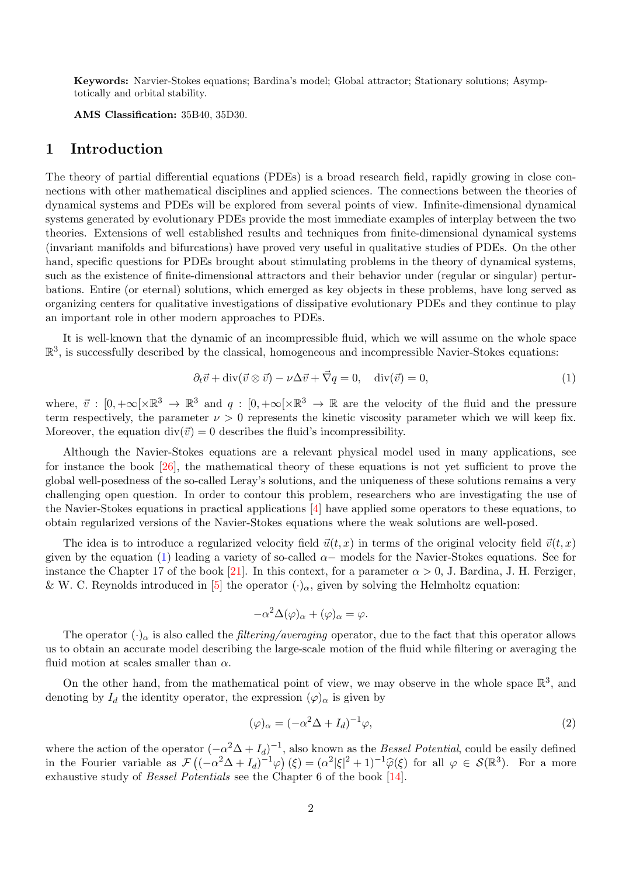Keywords: Narvier-Stokes equations; Bardina's model; Global attractor; Stationary solutions; Asymptotically and orbital stability.

AMS Classification: 35B40, 35D30.

## <span id="page-1-0"></span>1 Introduction

The theory of partial differential equations (PDEs) is a broad research field, rapidly growing in close connections with other mathematical disciplines and applied sciences. The connections between the theories of dynamical systems and PDEs will be explored from several points of view. Infinite-dimensional dynamical systems generated by evolutionary PDEs provide the most immediate examples of interplay between the two theories. Extensions of well established results and techniques from finite-dimensional dynamical systems (invariant manifolds and bifurcations) have proved very useful in qualitative studies of PDEs. On the other hand, specific questions for PDEs brought about stimulating problems in the theory of dynamical systems, such as the existence of finite-dimensional attractors and their behavior under (regular or singular) perturbations. Entire (or eternal) solutions, which emerged as key objects in these problems, have long served as organizing centers for qualitative investigations of dissipative evolutionary PDEs and they continue to play an important role in other modern approaches to PDEs.

It is well-known that the dynamic of an incompressible fluid, which we will assume on the whole space  $\mathbb{R}^3$ , is successfully described by the classical, homogeneous and incompressible Navier-Stokes equations:

<span id="page-1-1"></span>
$$
\partial_t \vec{v} + \text{div}(\vec{v} \otimes \vec{v}) - \nu \Delta \vec{v} + \vec{\nabla} q = 0, \quad \text{div}(\vec{v}) = 0,
$$
\n(1)

where,  $\vec{v} : [0, +\infty[\times \mathbb{R}^3 \to \mathbb{R}^3 \text{ and } q : [0, +\infty[\times \mathbb{R}^3 \to \mathbb{R} \text{ are the velocity of the fluid and the pressure}]$ term respectively, the parameter  $\nu > 0$  represents the kinetic viscosity parameter which we will keep fix. Moreover, the equation  $\text{div}(\vec{v}) = 0$  describes the fluid's incompressibility.

Although the Navier-Stokes equations are a relevant physical model used in many applications, see for instance the book [\[26\]](#page-40-0), the mathematical theory of these equations is not yet sufficient to prove the global well-posedness of the so-called Leray's solutions, and the uniqueness of these solutions remains a very challenging open question. In order to contour this problem, researchers who are investigating the use of the Navier-Stokes equations in practical applications [\[4\]](#page-39-0) have applied some operators to these equations, to obtain regularized versions of the Navier-Stokes equations where the weak solutions are well-posed.

The idea is to introduce a regularized velocity field  $\vec{u}(t, x)$  in terms of the original velocity field  $\vec{v}(t, x)$ given by the equation [\(1\)](#page-1-1) leading a variety of so-called  $\alpha-$  models for the Navier-Stokes equations. See for instance the Chapter 17 of the book [\[21\]](#page-40-1). In this context, for a parameter  $\alpha > 0$ , J. Bardina, J. H. Ferziger, & W. C. Reynolds introduced in [\[5\]](#page-39-1) the operator  $(\cdot)_{\alpha}$ , given by solving the Helmholtz equation:

$$
-\alpha^2 \Delta(\varphi)_{\alpha} + (\varphi)_{\alpha} = \varphi.
$$

The operator  $(\cdot)_{\alpha}$  is also called the *filtering/averaging* operator, due to the fact that this operator allows us to obtain an accurate model describing the large-scale motion of the fluid while filtering or averaging the fluid motion at scales smaller than  $\alpha$ .

On the other hand, from the mathematical point of view, we may observe in the whole space  $\mathbb{R}^3$ , and denoting by  $I_d$  the identity operator, the expression  $(\varphi)_{\alpha}$  is given by

<span id="page-1-2"></span>
$$
(\varphi)_{\alpha} = (-\alpha^2 \Delta + I_d)^{-1} \varphi, \tag{2}
$$

where the action of the operator  $(-\alpha^2 \Delta + I_d)^{-1}$ , also known as the Bessel Potential, could be easily defined in the Fourier variable as  $\mathcal{F}\left((-\alpha^2\Delta + I_d)^{-1}\varphi\right)(\xi) = (\alpha^2|\xi|^2 + 1)^{-1}\widehat{\varphi}(\xi)$  for all  $\varphi \in \mathcal{S}(\mathbb{R}^3)$ . For a more exhaustive study of Bessel Potentials see the Chapter 6 of the book [\[14\]](#page-39-2).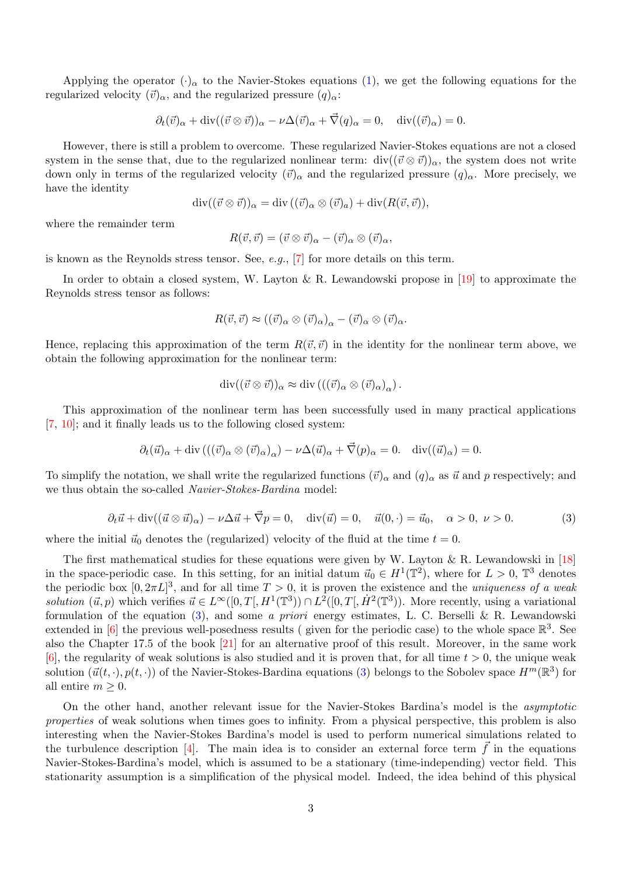Applying the operator  $(\cdot)_{\alpha}$  to the Navier-Stokes equations [\(1\)](#page-1-1), we get the following equations for the regularized velocity  $(\vec{v})_{\alpha}$ , and the regularized pressure  $(q)_{\alpha}$ :

 $\partial_t(\vec{v})_\alpha + \text{div}((\vec{v} \otimes \vec{v}))_\alpha - \nu \Delta(\vec{v})_\alpha + \vec{\nabla}(q)_\alpha = 0, \quad \text{div}((\vec{v})_\alpha) = 0.$ 

However, there is still a problem to overcome. These regularized Navier-Stokes equations are not a closed system in the sense that, due to the regularized nonlinear term:  $\text{div}((\vec{v} \otimes \vec{v}))_{\alpha}$ , the system does not write down only in terms of the regularized velocity  $(\vec{v})_{\alpha}$  and the regularized pressure  $(q)_{\alpha}$ . More precisely, we have the identity

$$
\operatorname{div}((\vec{v} \otimes \vec{v}))_{\alpha} = \operatorname{div}((\vec{v})_{\alpha} \otimes (\vec{v})_{a}) + \operatorname{div}(R(\vec{v}, \vec{v})),
$$

where the remainder term

$$
R(\vec{v},\vec{v})=(\vec{v}\otimes\vec{v})_{\alpha}-(\vec{v})_{\alpha}\otimes(\vec{v})_{\alpha},
$$

is known as the Reynolds stress tensor. See, e.g., [\[7\]](#page-39-3) for more details on this term.

In order to obtain a closed system, W. Layton & R. Lewandowski propose in [\[19\]](#page-39-4) to approximate the Reynolds stress tensor as follows:

$$
R(\vec{v},\vec{v}) \approx ((\vec{v})_{\alpha} \otimes (\vec{v})_{\alpha})_{\alpha} - (\vec{v})_{\alpha} \otimes (\vec{v})_{\alpha}.
$$

Hence, replacing this approximation of the term  $R(\vec{v}, \vec{v})$  in the identity for the nonlinear term above, we obtain the following approximation for the nonlinear term:

$$
\operatorname{div}((\vec{v}\otimes\vec{v}))_{\alpha}\approx\operatorname{div}(((\vec{v})_{\alpha}\otimes(\vec{v})_{\alpha})_{\alpha}).
$$

This approximation of the nonlinear term has been successfully used in many practical applications [\[7,](#page-39-3) [10\]](#page-39-5); and it finally leads us to the following closed system:

$$
\partial_t(\vec{u})_{\alpha} + \text{div}\left(( (\vec{v})_{\alpha} \otimes (\vec{v})_{\alpha} \right)_{\alpha}\right) - \nu \Delta(\vec{u})_{\alpha} + \vec{\nabla}(p)_{\alpha} = 0. \quad \text{div}((\vec{u})_{\alpha}) = 0.
$$

To simplify the notation, we shall write the regularized functions  $(\vec{v})_{\alpha}$  and  $(q)_{\alpha}$  as  $\vec{u}$  and p respectively; and we thus obtain the so-called Navier-Stokes-Bardina model:

<span id="page-2-0"></span>
$$
\partial_t \vec{u} + \operatorname{div}((\vec{u} \otimes \vec{u})_{\alpha}) - \nu \Delta \vec{u} + \vec{\nabla} p = 0, \quad \operatorname{div}(\vec{u}) = 0, \quad \vec{u}(0, \cdot) = \vec{u}_0, \quad \alpha > 0, \ \nu > 0. \tag{3}
$$

where the initial  $\vec{u}_0$  denotes the (regularized) velocity of the fluid at the time  $t = 0$ .

The first mathematical studies for these equations were given by W. Layton & R. Lewandowski in [\[18\]](#page-39-6) in the space-periodic case. In this setting, for an initial datum  $\vec{u}_0 \in H^1(\mathbb{T}^2)$ , where for  $L > 0$ ,  $\mathbb{T}^3$  denotes the periodic box  $[0, 2\pi L]^3$ , and for all time  $T > 0$ , it is proven the existence and the *uniqueness of a weak* solution  $(\vec{u}, p)$  which verifies  $\vec{u} \in L^{\infty}([0, T[, H^1(\mathbb{T}^3)) \cap L^2([0, T[, \dot{H}^2(\mathbb{T}^3))$ . More recently, using a variational formulation of the equation [\(3\)](#page-2-0), and some a priori energy estimates, L. C. Berselli & R. Lewandowski extended in  $[6]$  the previous well-posedness results (given for the periodic case) to the whole space  $\mathbb{R}^3$ . See also the Chapter 17.5 of the book [\[21\]](#page-40-1) for an alternative proof of this result. Moreover, in the same work [\[6\]](#page-39-7), the regularity of weak solutions is also studied and it is proven that, for all time  $t > 0$ , the unique weak solution  $(\vec{u}(t, \cdot), p(t, \cdot))$  of the Navier-Stokes-Bardina equations [\(3\)](#page-2-0) belongs to the Sobolev space  $H^m(\mathbb{R}^3)$  for all entire  $m > 0$ .

On the other hand, another relevant issue for the Navier-Stokes Bardina's model is the asymptotic properties of weak solutions when times goes to infinity. From a physical perspective, this problem is also interesting when the Navier-Stokes Bardina's model is used to perform numerical simulations related to the turbulence description [\[4\]](#page-39-0). The main idea is to consider an external force term  $\vec{f}$  in the equations Navier-Stokes-Bardina's model, which is assumed to be a stationary (time-independing) vector field. This stationarity assumption is a simplification of the physical model. Indeed, the idea behind of this physical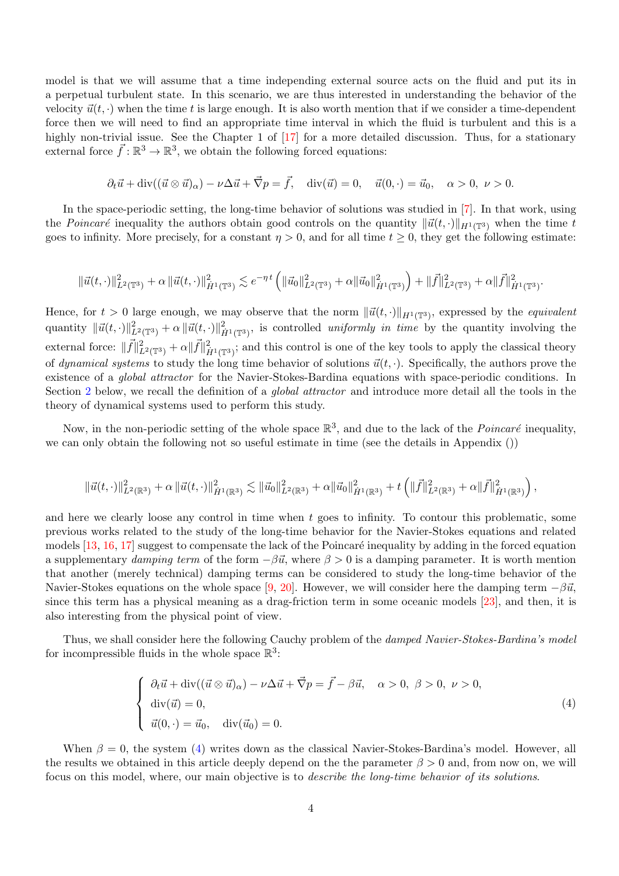model is that we will assume that a time independing external source acts on the fluid and put its in a perpetual turbulent state. In this scenario, we are thus interested in understanding the behavior of the velocity  $\vec{u}(t, \cdot)$  when the time t is large enough. It is also worth mention that if we consider a time-dependent force then we will need to find an appropriate time interval in which the fluid is turbulent and this is a highly non-trivial issue. See the Chapter 1 of [\[17\]](#page-39-8) for a more detailed discussion. Thus, for a stationary external force  $\vec{f} : \mathbb{R}^3 \to \mathbb{R}^3$ , we obtain the following forced equations:

$$
\partial_t \vec{u} + \text{div}((\vec{u} \otimes \vec{u})_{\alpha}) - \nu \Delta \vec{u} + \vec{\nabla} p = \vec{f}, \quad \text{div}(\vec{u}) = 0, \quad \vec{u}(0, \cdot) = \vec{u}_0, \quad \alpha > 0, \ \nu > 0.
$$

In the space-periodic setting, the long-time behavior of solutions was studied in [\[7\]](#page-39-3). In that work, using the Poincaré inequality the authors obtain good controls on the quantity  $\|\vec{u}(t, \cdot)\|_{H^1(\mathbb{T}^3)}$  when the time t goes to infinity. More precisely, for a constant  $\eta > 0$ , and for all time  $t \geq 0$ , they get the following estimate:

$$
\|\vec{u}(t,\cdot)\|_{L^2(\mathbb{T}^3)}^2 + \alpha \|\vec{u}(t,\cdot)\|_{\dot{H}^1(\mathbb{T}^3)}^2 \lesssim e^{-\eta \, t} \left( \|\vec{u}_0\|_{L^2(\mathbb{T}^3)}^2 + \alpha \|\vec{u}_0\|_{\dot{H}^1(\mathbb{T}^3)}^2 \right) + \|\vec{f}\|_{L^2(\mathbb{T}^3)}^2 + \alpha \|\vec{f}\|_{\dot{H}^1(\mathbb{T}^3)}^2.
$$

Hence, for  $t > 0$  large enough, we may observe that the norm  $\|\vec{u}(t, \cdot)\|_{H^1(\mathbb{T}^3)}$ , expressed by the *equivalent* quantity  $\|\vec{u}(t, \cdot)\|_{L^2(\mathbb{T}^3)}^2 + \alpha \|\vec{u}(t, \cdot)\|_{\dot{H}^1(\mathbb{T}^3)}^2$ , is controlled uniformly in time by the quantity involving the external force:  $\|\vec{f}\|^2_{L^2(\mathbb{T}^3)} + \alpha \|\vec{f}\|^2_{\dot{H}^1(\mathbb{T}^3)}$ ; and this control is one of the key tools to apply the classical theory of dynamical systems to study the long time behavior of solutions  $\vec{u}(t, \cdot)$ . Specifically, the authors prove the existence of a global attractor for the Navier-Stokes-Bardina equations with space-periodic conditions. In Section [2](#page-4-0) below, we recall the definition of a *global attractor* and introduce more detail all the tools in the theory of dynamical systems used to perform this study.

Now, in the non-periodic setting of the whole space  $\mathbb{R}^3$ , and due to the lack of the *Poincaré* inequality, we can only obtain the following not so useful estimate in time (see the details in Appendix ())

$$
\|\vec{u}(t,\cdot)\|_{L^2(\mathbb{R}^3)}^2 + \alpha\,\|\vec{u}(t,\cdot)\|_{\dot{H}^1(\mathbb{R}^3)}^2 \lesssim \|\vec{u}_0\|_{L^2(\mathbb{R}^3)}^2 + \alpha\|\vec{u}_0\|_{\dot{H}^1(\mathbb{R}^3)}^2 + t \left(\|\vec{f}\|_{L^2(\mathbb{R}^3)}^2 + \alpha\|\vec{f}\|_{\dot{H}^1(\mathbb{R}^3)}^2\right),
$$

and here we clearly loose any control in time when  $t$  goes to infinity. To contour this problematic, some previous works related to the study of the long-time behavior for the Navier-Stokes equations and related models  $[13, 16, 17]$  $[13, 16, 17]$  $[13, 16, 17]$  $[13, 16, 17]$  suggest to compensate the lack of the Poincaré inequality by adding in the forced equation a supplementary damping term of the form  $-\beta \vec{u}$ , where  $\beta > 0$  is a damping parameter. It is worth mention that another (merely technical) damping terms can be considered to study the long-time behavior of the Navier-Stokes equations on the whole space [\[9,](#page-39-11) [20\]](#page-40-2). However, we will consider here the damping term  $-\beta \vec{u}$ , since this term has a physical meaning as a drag-friction term in some oceanic models [\[23\]](#page-40-3), and then, it is also interesting from the physical point of view.

Thus, we shall consider here the following Cauchy problem of the *damped Navier-Stokes-Bardina's model* for incompressible fluids in the whole space  $\mathbb{R}^3$ :

<span id="page-3-0"></span>
$$
\begin{cases}\n\partial_t \vec{u} + \operatorname{div}((\vec{u} \otimes \vec{u})_{\alpha}) - \nu \Delta \vec{u} + \vec{\nabla} p = \vec{f} - \beta \vec{u}, \quad \alpha > 0, \ \beta > 0, \ \nu > 0, \\
\operatorname{div}(\vec{u}) = 0, \\
\vec{u}(0, \cdot) = \vec{u}_0, \quad \operatorname{div}(\vec{u}_0) = 0.\n\end{cases}
$$
\n(4)

When  $\beta = 0$ , the system [\(4\)](#page-3-0) writes down as the classical Navier-Stokes-Bardina's model. However, all the results we obtained in this article deeply depend on the the parameter  $\beta > 0$  and, from now on, we will focus on this model, where, our main objective is to describe the long-time behavior of its solutions.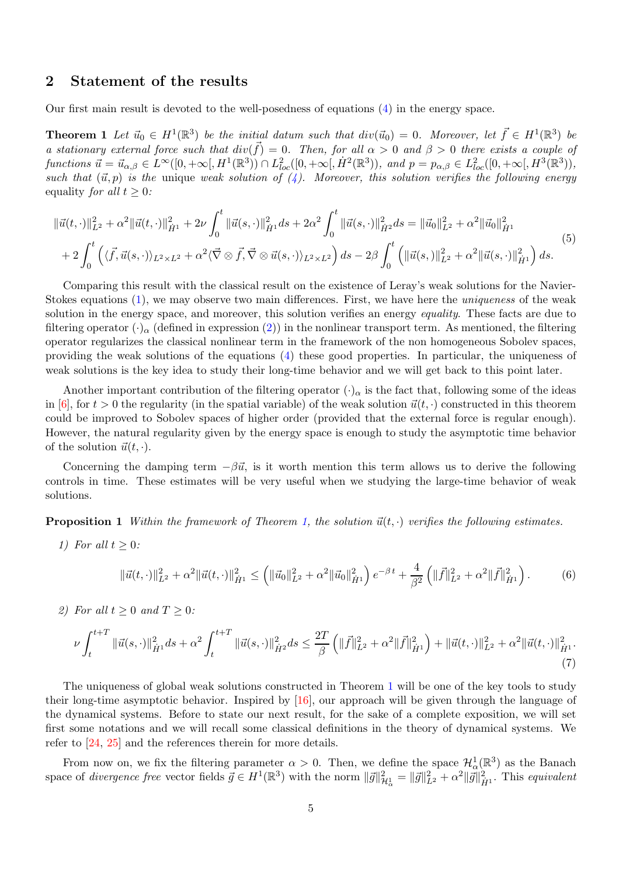## <span id="page-4-0"></span>2 Statement of the results

<span id="page-4-1"></span>Our first main result is devoted to the well-posedness of equations [\(4\)](#page-3-0) in the energy space.

**Theorem 1** Let  $\vec{u}_0 \in H^1(\mathbb{R}^3)$  be the initial datum such that  $div(\vec{u}_0) = 0$ . Moreover, let  $\vec{f} \in H^1(\mathbb{R}^3)$  be a stationary external force such that  $div(\vec{f}) = 0$ . Then, for all  $\alpha > 0$  and  $\beta > 0$  there exists a couple of  $functions \ \vec{u} = \vec{u}_{\alpha,\beta} \in L^{\infty}([0,+\infty[, H^1(\mathbb{R}^3)) \cap L^2_{loc}([0,+\infty[, \dot{H}^2(\mathbb{R}^3)), \ and \ p = p_{\alpha,\beta} \in L^2_{loc}([0,+\infty[, H^3(\mathbb{R}^3)),$ such that  $(\vec{u}, p)$  is the unique weak solution of  $(4)$ . Moreover, this solution verifies the following energy equality for all  $t > 0$ :

<span id="page-4-3"></span>
$$
\begin{split}\n\|\vec{u}(t,\cdot)\|_{L^{2}}^{2} + \alpha^{2} \|\vec{u}(t,\cdot)\|_{\dot{H}^{1}}^{2} + 2\nu \int_{0}^{t} \|\vec{u}(s,\cdot)\|_{\dot{H}^{1}}^{2} ds + 2\alpha^{2} \int_{0}^{t} \|\vec{u}(s,\cdot)\|_{\dot{H}^{2}}^{2} ds = \|\vec{u}_{0}\|_{L^{2}}^{2} + \alpha^{2} \|\vec{u}_{0}\|_{\dot{H}^{1}}^{2} \\
&+ 2 \int_{0}^{t} \left( \langle \vec{f}, \vec{u}(s,\cdot) \rangle_{L^{2} \times L^{2}} + \alpha^{2} \langle \vec{\nabla} \otimes \vec{f}, \vec{\nabla} \otimes \vec{u}(s,\cdot) \rangle_{L^{2} \times L^{2}} \right) ds - 2\beta \int_{0}^{t} \left( \|\vec{u}(s,\cdot)\|_{L^{2}}^{2} + \alpha^{2} \|\vec{u}(s,\cdot)\|_{\dot{H}^{1}}^{2} \right) ds.\n\end{split} \tag{5}
$$

Comparing this result with the classical result on the existence of Leray's weak solutions for the Navier-Stokes equations [\(1\)](#page-1-1), we may observe two main differences. First, we have here the *uniqueness* of the weak solution in the energy space, and moreover, this solution verifies an energy *equality*. These facts are due to filtering operator  $(\cdot)_{\alpha}$  (defined in expression [\(2\)](#page-1-2)) in the nonlinear transport term. As mentioned, the filtering operator regularizes the classical nonlinear term in the framework of the non homogeneous Sobolev spaces, providing the weak solutions of the equations [\(4\)](#page-3-0) these good properties. In particular, the uniqueness of weak solutions is the key idea to study their long-time behavior and we will get back to this point later.

Another important contribution of the filtering operator  $(\cdot)_\alpha$  is the fact that, following some of the ideas in [\[6\]](#page-39-7), for  $t > 0$  the regularity (in the spatial variable) of the weak solution  $\vec{u}(t, \cdot)$  constructed in this theorem could be improved to Sobolev spaces of higher order (provided that the external force is regular enough). However, the natural regularity given by the energy space is enough to study the asymptotic time behavior of the solution  $\vec{u}(t, \cdot)$ .

<span id="page-4-4"></span>Concerning the damping term  $-\beta \vec{u}$ , is it worth mention this term allows us to derive the following controls in time. These estimates will be very useful when we studying the large-time behavior of weak solutions.

**Proposition 1** Within the framework of Theorem [1,](#page-4-1) the solution  $\vec{u}(t, \cdot)$  verifies the following estimates.

1) For all  $t \geq 0$ :

<span id="page-4-2"></span>
$$
\|\vec{u}(t,\cdot)\|_{L^2}^2 + \alpha^2 \|\vec{u}(t,\cdot)\|_{\dot{H}^1}^2 \le \left( \|\vec{u}_0\|_{L^2}^2 + \alpha^2 \|\vec{u}_0\|_{\dot{H}^1}^2 \right) e^{-\beta t} + \frac{4}{\beta^2} \left( \|\vec{f}\|_{L^2}^2 + \alpha^2 \|\vec{f}\|_{\dot{H}^1}^2 \right). \tag{6}
$$

2) For all  $t \geq 0$  and  $T \geq 0$ :

<span id="page-4-5"></span>
$$
\nu \int_{t}^{t+T} \|\vec{u}(s,\cdot)\|_{\dot{H}^{1}}^{2} ds + \alpha^{2} \int_{t}^{t+T} \|\vec{u}(s,\cdot)\|_{\dot{H}^{2}}^{2} ds \leq \frac{2T}{\beta} \left( \|\vec{f}\|_{L^{2}}^{2} + \alpha^{2} \|\vec{f}\|_{\dot{H}^{1}}^{2} \right) + \|\vec{u}(t,\cdot)\|_{L^{2}}^{2} + \alpha^{2} \|\vec{u}(t,\cdot)\|_{\dot{H}^{1}}^{2}.
$$
\n
$$
(7)
$$

The uniqueness of global weak solutions constructed in Theorem [1](#page-4-1) will be one of the key tools to study their long-time asymptotic behavior. Inspired by [\[16\]](#page-39-10), our approach will be given through the language of the dynamical systems. Before to state our next result, for the sake of a complete exposition, we will set first some notations and we will recall some classical definitions in the theory of dynamical systems. We refer to [\[24,](#page-40-4) [25\]](#page-40-5) and the references therein for more details.

From now on, we fix the filtering parameter  $\alpha > 0$ . Then, we define the space  $\mathcal{H}^1_{\alpha}(\mathbb{R}^3)$  as the Banach space of *divergence free* vector fields  $\vec{g} \in H^1(\mathbb{R}^3)$  with the norm  $\|\vec{g}\|^2_{\mathcal{H}^1_{\alpha}} = \|\vec{g}\|^2_{L^2} + \alpha^2 \|\vec{g}\|^2_{\dot{H}^1}$ . This *equivalent*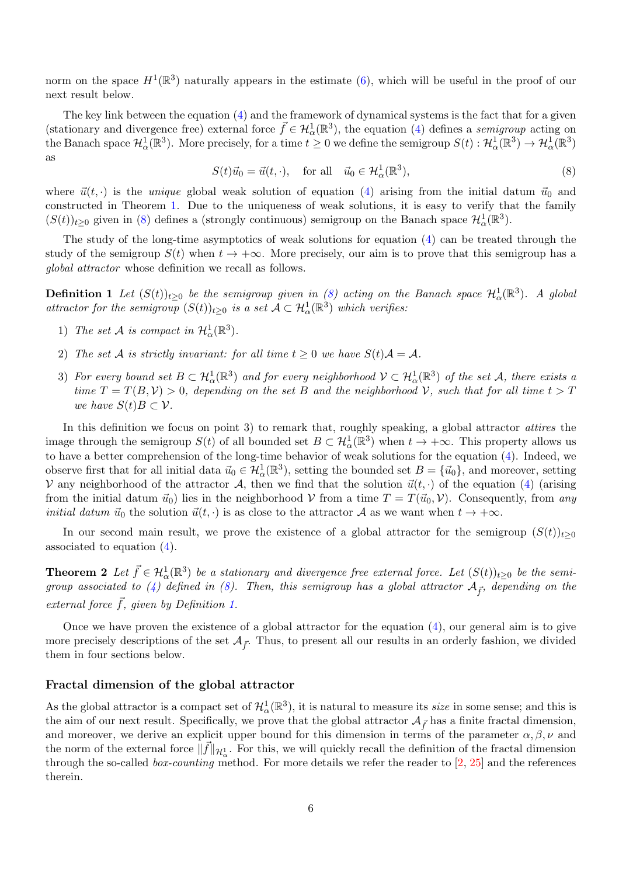norm on the space  $H^1(\mathbb{R}^3)$  naturally appears in the estimate [\(6\)](#page-4-2), which will be useful in the proof of our next result below.

The key link between the equation [\(4\)](#page-3-0) and the framework of dynamical systems is the fact that for a given (stationary and divergence free) external force  $\vec{f} \in \mathcal{H}^1_\alpha(\mathbb{R}^3)$ , the equation [\(4\)](#page-3-0) defines a *semigroup* acting on the Banach space  $\mathcal{H}^1_\alpha(\mathbb{R}^3)$ . More precisely, for a time  $t \geq 0$  we define the semigroup  $S(t) : \mathcal{H}^1_\alpha(\mathbb{R}^3) \to \mathcal{H}^1_\alpha(\mathbb{R}^3)$ as

<span id="page-5-0"></span>
$$
S(t)\vec{u}_0 = \vec{u}(t, \cdot), \quad \text{for all} \quad \vec{u}_0 \in \mathcal{H}^1_\alpha(\mathbb{R}^3), \tag{8}
$$

where  $\vec{u}(t, \cdot)$  is the *unique* global weak solution of equation [\(4\)](#page-3-0) arising from the initial datum  $\vec{u}_0$  and constructed in Theorem [1.](#page-4-1) Due to the uniqueness of weak solutions, it is easy to verify that the family  $(S(t))_{t\geq0}$  given in [\(8\)](#page-5-0) defines a (strongly continuous) semigroup on the Banach space  $\mathcal{H}^1_\alpha(\mathbb{R}^3)$ .

The study of the long-time asymptotics of weak solutions for equation [\(4\)](#page-3-0) can be treated through the study of the semigroup  $S(t)$  when  $t \to +\infty$ . More precisely, our aim is to prove that this semigroup has a global attractor whose definition we recall as follows.

<span id="page-5-1"></span>**Definition 1** Let  $(S(t))_{t\geq0}$  be the semigroup given in [\(8\)](#page-5-0) acting on the Banach space  $\mathcal{H}^1_\alpha(\mathbb{R}^3)$ . A global attractor for the semigroup  $(S(t))_{t\geq 0}$  is a set  $\mathcal{A} \subset \mathcal{H}^1_\alpha(\mathbb{R}^3)$  which verifies:

- 1) The set A is compact in  $\mathcal{H}^1_\alpha(\mathbb{R}^3)$ .
- 2) The set A is strictly invariant: for all time  $t > 0$  we have  $S(t)A = A$ .
- 3) For every bound set  $B \subset H^1_\alpha(\mathbb{R}^3)$  and for every neighborhood  $\mathcal{V} \subset H^1_\alpha(\mathbb{R}^3)$  of the set A, there exists a time  $T = T(B, V) > 0$ , depending on the set B and the neighborhood V, such that for all time  $t > T$ we have  $S(t)B \subset \mathcal{V}$ .

In this definition we focus on point 3) to remark that, roughly speaking, a global attractor *attires* the image through the semigroup  $S(t)$  of all bounded set  $B \subset H^1_\alpha(\mathbb{R}^3)$  when  $t \to +\infty$ . This property allows us to have a better comprehension of the long-time behavior of weak solutions for the equation [\(4\)](#page-3-0). Indeed, we observe first that for all initial data  $\vec{u}_0 \in \mathcal{H}^1_\alpha(\mathbb{R}^3)$ , setting the bounded set  $B = {\vec{u}_0}$ , and moreover, setting V any neighborhood of the attractor A, then we find that the solution  $\vec{u}(t, \cdot)$  of the equation [\(4\)](#page-3-0) (arising from the initial datum  $\vec{u}_0$ ) lies in the neighborhood V from a time  $T = T(\vec{u}_0, V)$ . Consequently, from any *initial datum*  $\vec{u}_0$  the solution  $\vec{u}(t, \cdot)$  is as close to the attractor A as we want when  $t \to +\infty$ .

<span id="page-5-2"></span>In our second main result, we prove the existence of a global attractor for the semigroup  $(S(t))_{t\geq0}$ associated to equation  $(4)$ .

**Theorem 2** Let  $\vec{f} \in H^1_\alpha(\mathbb{R}^3)$  be a stationary and divergence free external force. Let  $(S(t))_{t\geq0}$  be the semi-group associated to [\(4\)](#page-3-0) defined in [\(8\)](#page-5-0). Then, this semigroup has a global attractor  ${\cal A}_{\vec f},$  depending on the external force  $\vec{f}$ , given by Definition [1.](#page-5-1)

Once we have proven the existence of a global attractor for the equation  $(4)$ , our general aim is to give more precisely descriptions of the set  $A_{\vec{f}}$ . Thus, to present all our results in an orderly fashion, we divided them in four sections below.

#### Fractal dimension of the global attractor

As the global attractor is a compact set of  $\mathcal{H}^1_\alpha(\mathbb{R}^3)$ , it is natural to measure its *size* in some sense; and this is the aim of our next result. Specifically, we prove that the global attractor  $\mathcal{A}_{\vec{f}}$  has a finite fractal dimension, and moreover, we derive an explicit upper bound for this dimension in terms of the parameter  $\alpha, \beta, \nu$  and the norm of the external force  $\|\vec{f}\|_{\mathcal{H}^1_{\alpha}}$ . For this, we will quickly recall the definition of the fractal dimension through the so-called *box-counting* method. For more details we refer the reader to  $\left[2, 25\right]$  and the references therein.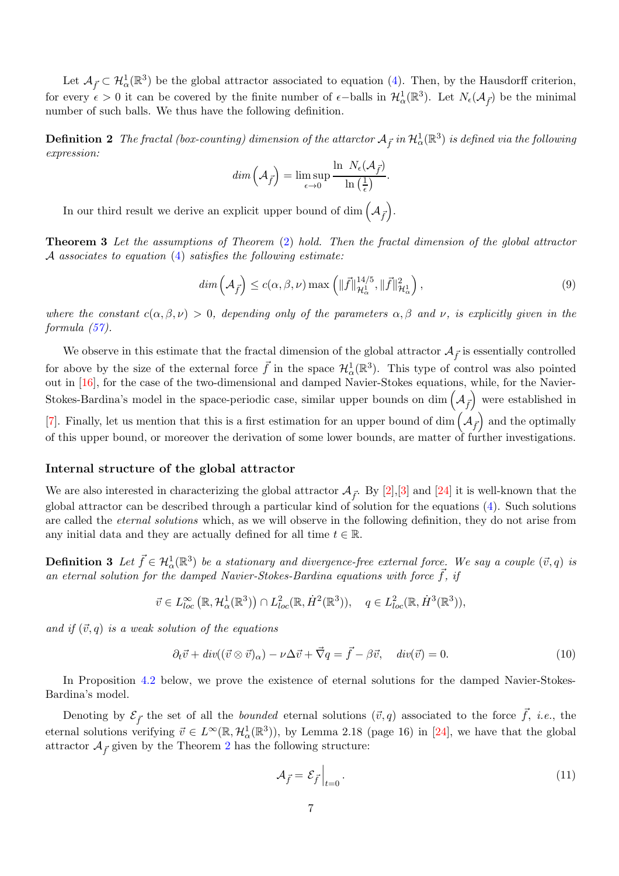Let  $\mathcal{A}_{\vec{f}} \subset \mathcal{H}^1_\alpha(\mathbb{R}^3)$  be the global attractor associated to equation [\(4\)](#page-3-0). Then, by the Hausdorff criterion, for every  $\epsilon > 0$  it can be covered by the finite number of  $\epsilon$ -balls in  $\mathcal{H}^1_\alpha(\mathbb{R}^3)$ . Let  $N_{\epsilon}(\mathcal{A}_{\vec{f}})$  be the minimal number of such balls. We thus have the following definition.

**Definition 2** The fractal (box-counting) dimension of the attarctor  $\mathcal{A}_{\bar f}$  in  $\mathcal{H}^1_\alpha(\mathbb{R}^3)$  is defined via the following expression:

<span id="page-6-2"></span>
$$
dim\left(\mathcal{A}_{\vec{f}}\right) = \limsup_{\epsilon \to 0} \frac{\ln \ N_{\epsilon}(\mathcal{A}_{\vec{f}})}{\ln\left(\frac{1}{\epsilon}\right)}.
$$

<span id="page-6-3"></span>In our third result we derive an explicit upper bound of dim  $\left(\mathcal{A}_{\tilde{f}}\right)$  $.\big).$ 

Theorem 3 Let the assumptions of Theorem [\(2\)](#page-5-2) hold. Then the fractal dimension of the global attractor A associates to equation [\(4\)](#page-3-0) satisfies the following estimate:

<span id="page-6-4"></span>
$$
dim\left(\mathcal{A}_{\vec{f}}\right) \le c(\alpha, \beta, \nu) \max\left(\|\vec{f}\|_{\mathcal{H}^{1}_{\alpha}}^{14/5}, \|\vec{f}\|_{\mathcal{H}^{1}_{\alpha}}^{2}\right),\tag{9}
$$

where the constant  $c(\alpha, \beta, \nu) > 0$ , depending only of the parameters  $\alpha, \beta$  and  $\nu$ , is explicitly given in the formula [\(57\)](#page-27-1).

We observe in this estimate that the fractal dimension of the global attractor  $\mathcal{A}_{\vec{f}}$  is essentially controlled for above by the size of the external force  $\vec{f}$  in the space  $\mathcal{H}^1_\alpha(\mathbb{R}^3)$ . This type of control was also pointed out in [\[16\]](#page-39-10), for the case of the two-dimensional and damped Navier-Stokes equations, while, for the Navier-Stokes-Bardina's model in the space-periodic case, similar upper bounds on dim  $(A_f)$ were established in

[\[7\]](#page-39-3). Finally, let us mention that this is a first estimation for an upper bound of dim  $(A_{\tilde{f}})$  $\alpha$  and the optimally of this upper bound, or moreover the derivation of some lower bounds, are matter of further investigations.

#### Internal structure of the global attractor

We are also interested in characterizing the global attractor  $\mathcal{A}_{\vec{f}}$ . By [\[2\]](#page-39-12), [\[3\]](#page-39-13) and [\[24\]](#page-40-4) it is well-known that the global attractor can be described through a particular kind of solution for the equations [\(4\)](#page-3-0). Such solutions are called the eternal solutions which, as we will observe in the following definition, they do not arise from any initial data and they are actually defined for all time  $t \in \mathbb{R}$ .

<span id="page-6-0"></span>**Definition 3** Let  $\vec{f} \in H^1_\alpha(\mathbb{R}^3)$  be a stationary and divergence-free external force. We say a couple  $(\vec{v}, q)$  is an eternal solution for the damped Navier-Stokes-Bardina equations with force  $\vec{f}$ , if

$$
\vec{v} \in L^{\infty}_{loc}(\mathbb{R}, \mathcal{H}^{1}_{\alpha}(\mathbb{R}^{3})) \cap L^{2}_{loc}(\mathbb{R}, \dot{H}^{2}(\mathbb{R}^{3})), \quad q \in L^{2}_{loc}(\mathbb{R}, \dot{H}^{3}(\mathbb{R}^{3})),
$$

and if  $(\vec{v}, q)$  is a weak solution of the equations

<span id="page-6-1"></span>
$$
\partial_t \vec{v} + \operatorname{div}((\vec{v} \otimes \vec{v})_{\alpha}) - \nu \Delta \vec{v} + \vec{\nabla}q = \vec{f} - \beta \vec{v}, \quad \operatorname{div}(\vec{v}) = 0. \tag{10}
$$

In Proposition [4.2](#page-16-0) below, we prove the existence of eternal solutions for the damped Navier-Stokes-Bardina's model.

Denoting by  $\mathcal{E}_{\vec{f}}$  the set of all the *bounded* eternal solutions  $(\vec{v}, q)$  associated to the force  $\vec{f}$ , *i.e.*, the eternal solutions verifying  $\vec{v} \in L^{\infty}(\mathbb{R}, \mathcal{H}_{\alpha}^{1}(\mathbb{R}^{3}))$ , by Lemma 2.18 (page 16) in [\[24\]](#page-40-4), we have that the global attractor  $A_{\vec{f}}$  given by the Theorem [2](#page-5-2) has the following structure:

<span id="page-6-5"></span>
$$
\mathcal{A}_{\vec{f}} = \mathcal{E}_{\vec{f}} \Big|_{t=0} \,. \tag{11}
$$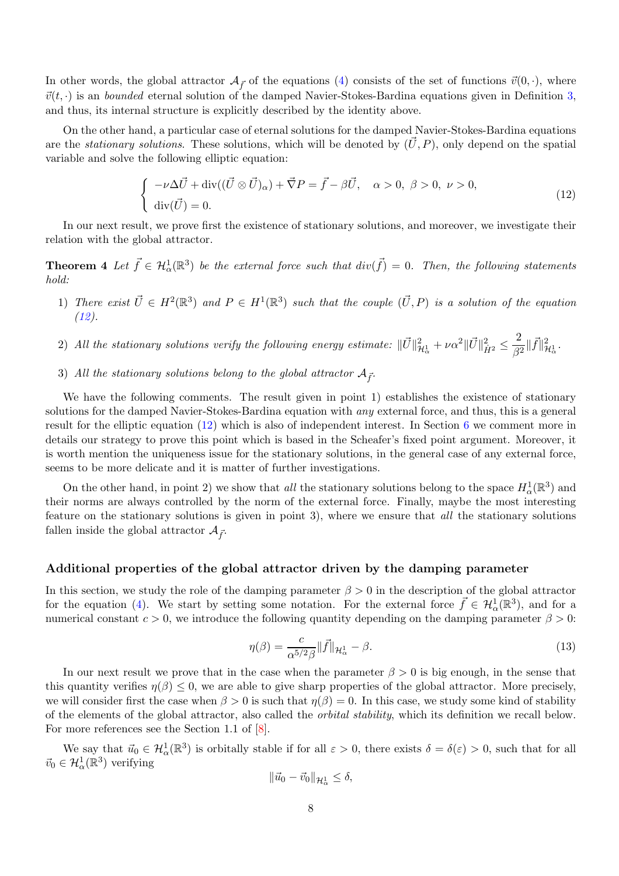In other words, the global attractor  $A_{\vec{f}}$  of the equations [\(4\)](#page-3-0) consists of the set of functions  $\vec{v}(0, \cdot)$ , where  $\vec{v}(t, \cdot)$  is an *bounded* eternal solution of the damped Navier-Stokes-Bardina equations given in Definition [3,](#page-6-0) and thus, its internal structure is explicitly described by the identity above.

On the other hand, a particular case of eternal solutions for the damped Navier-Stokes-Bardina equations are the *stationary solutions*. These solutions, which will be denoted by  $(\vec{U}, P)$ , only depend on the spatial variable and solve the following elliptic equation:

<span id="page-7-0"></span>
$$
\begin{cases}\n-\nu\Delta \vec{U} + \operatorname{div}((\vec{U} \otimes \vec{U})_{\alpha}) + \vec{\nabla}P = \vec{f} - \beta \vec{U}, & \alpha > 0, \ \beta > 0, \ \nu > 0, \\
\operatorname{div}(\vec{U}) = 0.\n\end{cases}
$$
\n(12)

<span id="page-7-1"></span>In our next result, we prove first the existence of stationary solutions, and moreover, we investigate their relation with the global attractor.

**Theorem 4** Let  $\vec{f} \in H^1_\alpha(\mathbb{R}^3)$  be the external force such that  $div(\vec{f}) = 0$ . Then, the following statements hold:

- 1) There exist  $\vec{U} \in H^2(\mathbb{R}^3)$  and  $P \in H^1(\mathbb{R}^3)$  such that the couple  $(\vec{U}, P)$  is a solution of the equation  $(12).$  $(12).$
- 2) All the stationary solutions verify the following energy estimate:  $\Vert \vec{U} \Vert^{2}_{\mathcal{H}^{1}_{\alpha}} + \nu \alpha^{2} \Vert \vec{U} \Vert^{2}_{\dot{H}^{2}} \leq$ 2  $\frac{2}{\beta^2} \|\vec{f}\|_{\mathcal{H}^1_\alpha}^2.$
- 3) All the stationary solutions belong to the global attractor  $\mathcal{A}_{\vec{f}}$ .

We have the following comments. The result given in point 1) establishes the existence of stationary solutions for the damped Navier-Stokes-Bardina equation with any external force, and thus, this is a general result for the elliptic equation [\(12\)](#page-7-0) which is also of independent interest. In Section [6](#page-27-0) we comment more in details our strategy to prove this point which is based in the Scheafer's fixed point argument. Moreover, it is worth mention the uniqueness issue for the stationary solutions, in the general case of any external force, seems to be more delicate and it is matter of further investigations.

On the other hand, in point 2) we show that all the stationary solutions belong to the space  $H^1_\alpha(\mathbb{R}^3)$  and their norms are always controlled by the norm of the external force. Finally, maybe the most interesting feature on the stationary solutions is given in point 3), where we ensure that all the stationary solutions fallen inside the global attractor  $\mathcal{A}_{\vec{f}}$ .

#### Additional properties of the global attractor driven by the damping parameter

In this section, we study the role of the damping parameter  $\beta > 0$  in the description of the global attractor for the equation [\(4\)](#page-3-0). We start by setting some notation. For the external force  $\vec{f} \in H^1_\alpha(\mathbb{R}^3)$ , and for a numerical constant  $c > 0$ , we introduce the following quantity depending on the damping parameter  $\beta > 0$ :

<span id="page-7-2"></span>
$$
\eta(\beta) = \frac{c}{\alpha^{5/2}\beta} \|\vec{f}\|_{\mathcal{H}^1_{\alpha}} - \beta. \tag{13}
$$

In our next result we prove that in the case when the parameter  $\beta > 0$  is big enough, in the sense that this quantity verifies  $\eta(\beta) \leq 0$ , we are able to give sharp properties of the global attractor. More precisely, we will consider first the case when  $\beta > 0$  is such that  $\eta(\beta) = 0$ . In this case, we study some kind of stability of the elements of the global attractor, also called the orbital stability, which its definition we recall below. For more references see the Section 1.1 of [\[8\]](#page-39-14).

We say that  $\vec{u}_0 \in \mathcal{H}^1_\alpha(\mathbb{R}^3)$  is orbitally stable if for all  $\varepsilon > 0$ , there exists  $\delta = \delta(\varepsilon) > 0$ , such that for all  $\vec{v}_0 \in \mathcal{H}^1_\alpha(\mathbb{R}^3)$  verifying

$$
\|\vec{u}_0-\vec{v}_0\|_{\mathcal{H}^1_\alpha}\leq \delta,
$$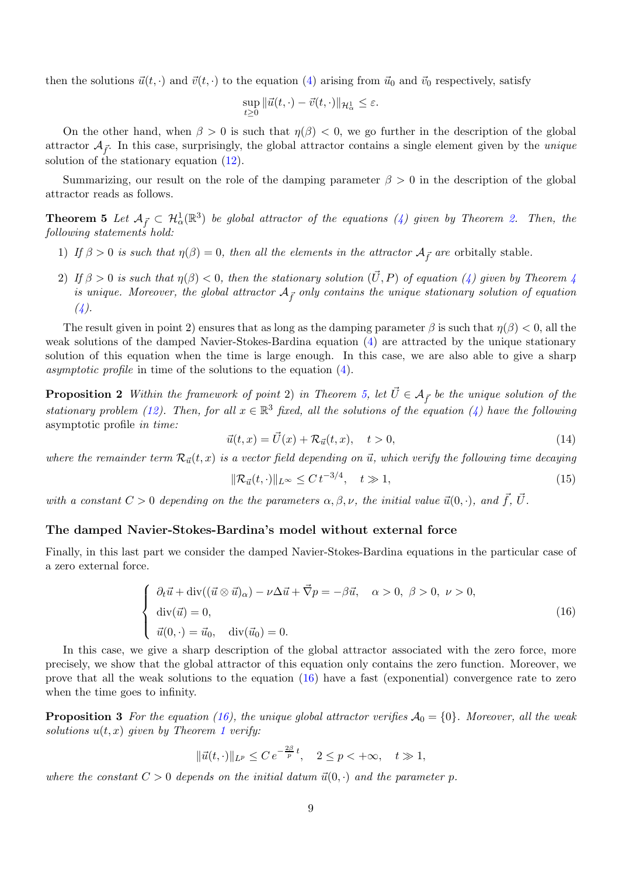then the solutions  $\vec{u}(t, \cdot)$  and  $\vec{v}(t, \cdot)$  to the equation [\(4\)](#page-3-0) arising from  $\vec{u}_0$  and  $\vec{v}_0$  respectively, satisfy

$$
\sup_{t\geq 0} \|\vec{u}(t,\cdot)-\vec{v}(t,\cdot)\|_{\mathcal{H}^1_{\alpha}} \leq \varepsilon.
$$

On the other hand, when  $\beta > 0$  is such that  $\eta(\beta) < 0$ , we go further in the description of the global attractor  $A_{\vec{f}}$ . In this case, surprisingly, the global attractor contains a single element given by the *unique* solution of the stationary equation [\(12\)](#page-7-0).

<span id="page-8-0"></span>Summarizing, our result on the role of the damping parameter  $\beta > 0$  in the description of the global attractor reads as follows.

**Theorem 5** Let  $A_{\vec{f}} \subset H^1_\alpha(\mathbb{R}^3)$  be global attractor of the equations [\(4\)](#page-3-0) given by Theorem [2.](#page-5-2) Then, the following statements hold:

- 1) If  $\beta > 0$  is such that  $\eta(\beta) = 0$ , then all the elements in the attractor  $A_{\vec{f}}$  are orbitally stable.
- 2) If  $\beta > 0$  is such that  $\eta(\beta) < 0$ , then the stationary solution  $(\vec{U}, P)$  of equation  $(4)$  $(4)$  $(4)$  given by Theorem 4 is unique. Moreover, the global attractor  $\mathcal{A}_{\vec{f}}$  only contains the unique stationary solution of equation  $(4).$  $(4).$

The result given in point 2) ensures that as long as the damping parameter  $\beta$  is such that  $\eta(\beta) < 0$ , all the weak solutions of the damped Navier-Stokes-Bardina equation [\(4\)](#page-3-0) are attracted by the unique stationary solution of this equation when the time is large enough. In this case, we are also able to give a sharp asymptotic profile in time of the solutions to the equation [\(4\)](#page-3-0).

<span id="page-8-2"></span>**Proposition 2** Within the framework of point 2) in Theorem [5,](#page-8-0) let  $\vec{U} \in A_{\vec{f}}$  be the unique solution of the stationary problem [\(12\)](#page-7-0). Then, for all  $x \in \mathbb{R}^3$  fixed, all the solutions of the equation [\(4\)](#page-3-0) have the following asymptotic profile in time:

$$
\vec{u}(t,x) = \vec{U}(x) + \mathcal{R}_{\vec{u}}(t,x), \quad t > 0,
$$
\n(14)

where the remainder term  $\mathcal{R}_{\vec{u}}(t,x)$  is a vector field depending on  $\vec{u}$ , which verify the following time decaying

<span id="page-8-3"></span>
$$
\|\mathcal{R}_{\vec{u}}(t,\cdot)\|_{L^{\infty}} \leq C \, t^{-3/4}, \quad t \gg 1,\tag{15}
$$

with a constant  $C > 0$  depending on the the parameters  $\alpha, \beta, \nu$ , the initial value  $\vec{u}(0, \cdot)$ , and  $\vec{f}, \vec{U}$ .

#### The damped Navier-Stokes-Bardina's model without external force

Finally, in this last part we consider the damped Navier-Stokes-Bardina equations in the particular case of a zero external force.

<span id="page-8-1"></span>
$$
\begin{cases}\n\partial_t \vec{u} + \operatorname{div}((\vec{u} \otimes \vec{u})_\alpha) - \nu \Delta \vec{u} + \vec{\nabla} p = -\beta \vec{u}, & \alpha > 0, \ \beta > 0, \ \nu > 0, \\
\operatorname{div}(\vec{u}) = 0, \\
\vec{u}(0, \cdot) = \vec{u}_0, & \operatorname{div}(\vec{u}_0) = 0.\n\end{cases}
$$
\n(16)

In this case, we give a sharp description of the global attractor associated with the zero force, more precisely, we show that the global attractor of this equation only contains the zero function. Moreover, we prove that all the weak solutions to the equation [\(16\)](#page-8-1) have a fast (exponential) convergence rate to zero when the time goes to infinity.

<span id="page-8-4"></span>**Proposition 3** For the equation [\(16\)](#page-8-1), the unique global attractor verifies  $A_0 = \{0\}$ . Moreover, all the weak solutions  $u(t, x)$  given by Theorem [1](#page-4-1) verify:

$$
\|\vec{u}(t,\cdot)\|_{L^p} \leq C e^{-\frac{2\beta}{p}t}, \quad 2 \leq p < +\infty, \quad t \gg 1,
$$

where the constant  $C > 0$  depends on the initial datum  $\vec{u}(0, \cdot)$  and the parameter p.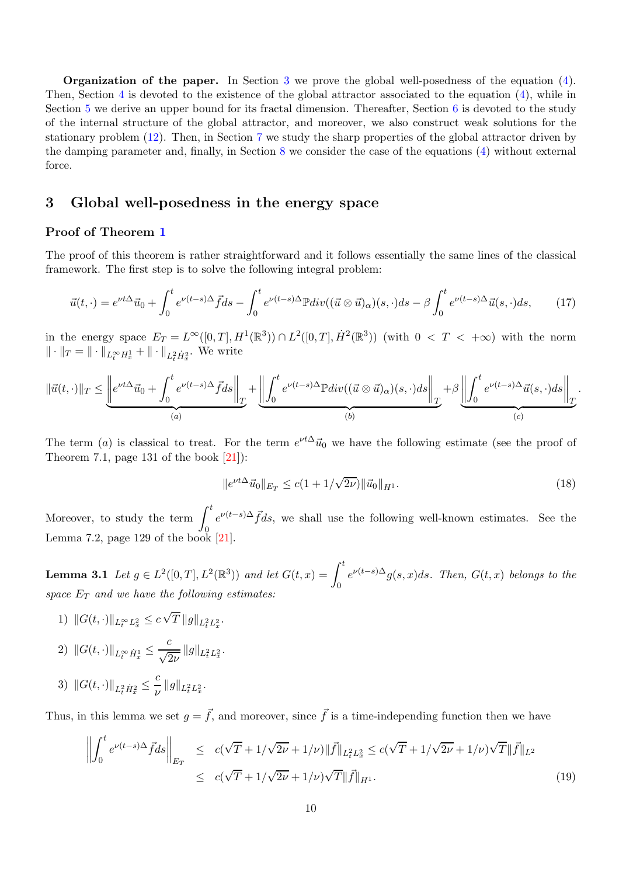Organization of the paper. In Section [3](#page-9-0) we prove the global well-posedness of the equation [\(4\)](#page-3-0). Then, Section [4](#page-14-0) is devoted to the existence of the global attractor associated to the equation  $(4)$ , while in Section [5](#page-21-0) we derive an upper bound for its fractal dimension. Thereafter, Section [6](#page-27-0) is devoted to the study of the internal structure of the global attractor, and moreover, we also construct weak solutions for the stationary problem [\(12\)](#page-7-0). Then, in Section [7](#page-33-0) we study the sharp properties of the global attractor driven by the damping parameter and, finally, in Section [8](#page-38-0) we consider the case of the equations [\(4\)](#page-3-0) without external force.

## <span id="page-9-0"></span>3 Global well-posedness in the energy space

## Proof of Theorem [1](#page-4-1)

The proof of this theorem is rather straightforward and it follows essentially the same lines of the classical framework. The first step is to solve the following integral problem:

<span id="page-9-4"></span>
$$
\vec{u}(t,\cdot) = e^{\nu t \Delta} \vec{u}_0 + \int_0^t e^{\nu(t-s)\Delta} \vec{f} ds - \int_0^t e^{\nu(t-s)\Delta} \mathbb{P} \text{div}((\vec{u} \otimes \vec{u})_\alpha)(s,\cdot) ds - \beta \int_0^t e^{\nu(t-s)\Delta} \vec{u}(s,\cdot) ds,\tag{17}
$$

in the energy space  $E_T = L^{\infty}([0,T], H^1(\mathbb{R}^3)) \cap L^2([0,T], \dot{H}^2(\mathbb{R}^3))$  (with  $0 < T < +\infty$ ) with the norm  $\|\cdot\|_T = \|\cdot\|_{L_t^{\infty} H_x^1} + \|\cdot\|_{L_t^2 \dot H_x^2}$ . We write

$$
\|\vec{u}(t,\cdot)\|_{T} \leq \underbrace{\left\|e^{\nu t \Delta}\vec{u}_0 + \int_0^t e^{\nu (t-s) \Delta} \vec{f} ds\right\|_{T}}_{(a)} + \underbrace{\left\|\int_0^t e^{\nu (t-s) \Delta} \mathbb{P} div((\vec{u} \otimes \vec{u})_{\alpha})(s,\cdot) ds\right\|_{T}}_{(b)} + \beta \underbrace{\left\|\int_0^t e^{\nu (t-s) \Delta} \vec{u}(s,\cdot) ds\right\|_{T}}_{(c)}.
$$

The term (a) is classical to treat. For the term  $e^{\nu t\Delta}\vec{u}_0$  we have the following estimate (see the proof of Theorem 7.1, page 131 of the book  $[21]$ :

<span id="page-9-3"></span><span id="page-9-1"></span>
$$
||e^{\nu t \Delta} \vec{u}_0||_{E_T} \le c(1 + 1/\sqrt{2\nu}) ||\vec{u}_0||_{H^1}.
$$
\n(18)

Moreover, to study the term  $\int_0^t$  $\overline{0}$  $e^{\nu(t-s)\Delta} \vec{f} ds$ , we shall use the following well-known estimates. See the Lemma 7.2, page 129 of the book  $[21]$ .

**Lemma 3.1** Let  $g \in L^2([0,T], L^2(\mathbb{R}^3))$  and let  $G(t,x) = \int_0^t$ 0  $e^{\nu(t-s)\Delta}g(s,x)ds$ . Then,  $G(t,x)$  belongs to the space  $E_T$  and we have the following estimates:

- 1)  $||G(t, \cdot)||_{L_t^{\infty}L_x^2} \leq c\sqrt{T} ||g||_{L_t^2L_x^2}$ .
- 2)  $\|G(t, \cdot)\|_{L^{\infty}_{t} \dot{H}^{1}_{x}} \leq$ c  $\frac{c}{\sqrt{2\nu}}\|g\|_{L^{2}_{t}L^{2}_{x}}.$ c

3)  $\|G(t, \cdot)\|_{L^2_t \dot H^2_x} \leq$  $\frac{\varepsilon}{\nu} \|g\|_{L^2_t L^2_x}.$ 

Thus, in this lemma we set  $g = \vec{f}$ , and moreover, since  $\vec{f}$  is a time-independing function then we have

<span id="page-9-2"></span>
$$
\left\| \int_0^t e^{\nu(t-s)\Delta} \vec{f} ds \right\|_{E_T} \le c(\sqrt{T} + 1/\sqrt{2\nu} + 1/\nu) \|\vec{f}\|_{L_t^2 L_x^2} \le c(\sqrt{T} + 1/\sqrt{2\nu} + 1/\nu)\sqrt{T} \|\vec{f}\|_{L^2}
$$
  

$$
\le c(\sqrt{T} + 1/\sqrt{2\nu} + 1/\nu)\sqrt{T} \|\vec{f}\|_{H^1}.
$$
 (19)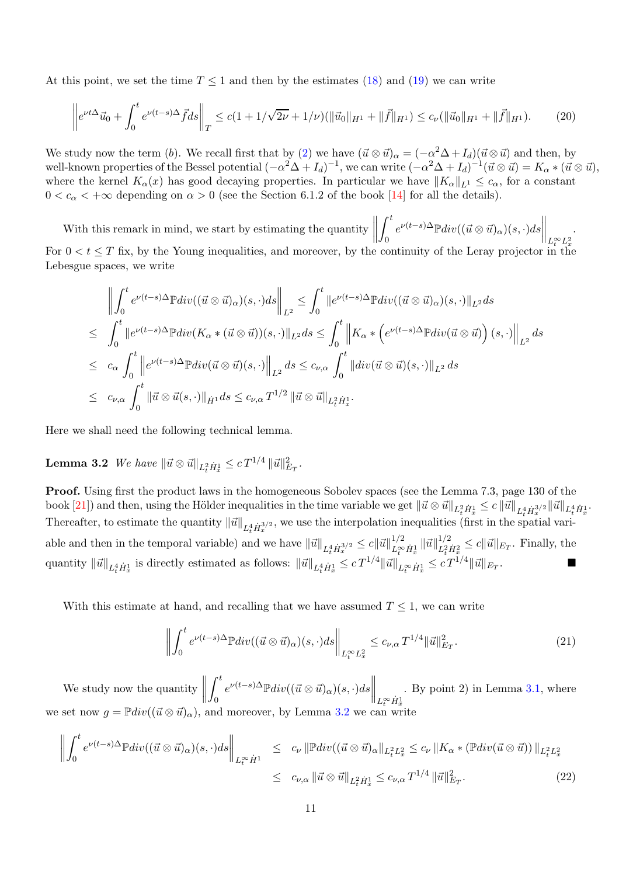At this point, we set the time  $T \leq 1$  and then by the estimates [\(18\)](#page-9-1) and [\(19\)](#page-9-2) we can write

<span id="page-10-3"></span>
$$
\left\| e^{\nu t \Delta} \vec{u}_0 + \int_0^t e^{\nu (t-s)\Delta} \vec{f} ds \right\|_T \le c(1 + 1/\sqrt{2\nu} + 1/\nu) (\|\vec{u}_0\|_{H^1} + \|\vec{f}\|_{H^1}) \le c_\nu (\|\vec{u}_0\|_{H^1} + \|\vec{f}\|_{H^1}).
$$
 (20)

We study now the term (b). We recall first that by [\(2\)](#page-1-2) we have  $(\vec{u} \otimes \vec{u})_{\alpha} = (-\alpha^2 \Delta + I_d)(\vec{u} \otimes \vec{u})$  and then, by well-known properties of the Bessel potential  $(-\alpha^2 \Delta + I_d)^{-1}$ , we can write  $(-\alpha^2 \Delta + I_d)^{-1}(\vec{u} \otimes \vec{u}) = K_\alpha * (\vec{u} \otimes \vec{u})$ , where the kernel  $K_{\alpha}(x)$  has good decaying properties. In particular we have  $||K_{\alpha}||_{L^{1}} \leq c_{\alpha}$ , for a constant  $0 < c_{\alpha} < +\infty$  depending on  $\alpha > 0$  (see the Section 6.1.2 of the book [\[14\]](#page-39-2) for all the details).

With this remark in mind, we start by estimating the quantity  $\int_0^t$ 0  $e^{\nu(t-s)\Delta} \mathbb{P} div((\vec{u} \otimes \vec{u})_\alpha)(s,\cdot) ds \bigg\|_{L^\infty_t L^2_x}$ . For  $0 < t \leq T$  fix, by the Young inequalities, and moreover, by the continuity of the Leray projector in the

$$
\left\| \int_{0}^{t} e^{\nu(t-s)\Delta} \mathbb{P} div((\vec{u} \otimes \vec{u})_{\alpha})(s,\cdot) ds \right\|_{L^{2}} \leq \int_{0}^{t} \|e^{\nu(t-s)\Delta} \mathbb{P} div((\vec{u} \otimes \vec{u})_{\alpha})(s,\cdot) \|_{L^{2}} ds
$$
  
\n
$$
\leq \int_{0}^{t} \|e^{\nu(t-s)\Delta} \mathbb{P} div(K_{\alpha} * (\vec{u} \otimes \vec{u}))(s,\cdot) \|_{L^{2}} ds \leq \int_{0}^{t} \|K_{\alpha} * (e^{\nu(t-s)\Delta} \mathbb{P} div(\vec{u} \otimes \vec{u})) (s,\cdot) \|_{L^{2}} ds
$$
  
\n
$$
\leq c_{\alpha} \int_{0}^{t} \|e^{\nu(t-s)\Delta} \mathbb{P} div(\vec{u} \otimes \vec{u})(s,\cdot) \|_{L^{2}} ds \leq c_{\nu,\alpha} \int_{0}^{t} \|div(\vec{u} \otimes \vec{u})(s,\cdot) \|_{L^{2}} ds
$$
  
\n
$$
\leq c_{\nu,\alpha} \int_{0}^{t} \|\vec{u} \otimes \vec{u}(s,\cdot) \|_{\dot{H}^{1}} ds \leq c_{\nu,\alpha} T^{1/2} \| \vec{u} \otimes \vec{u} \|_{L^{2}_{t} \dot{H}^{1}_{x}}.
$$

Here we shall need the following technical lemma.

Lebesgue spaces, we write

# ${\bf Lemma~3.2}~~ We ~have~ \|\vec{u} \otimes \vec{u}\|_{L^2_t \dot H^1_x} \leq c \, T^{1/4} \, \|\vec{u}\|_{E_T}^2.$

Proof. Using first the product laws in the homogeneous Sobolev spaces (see the Lemma 7.3, page 130 of the book [\[21\]](#page-40-1)) and then, using the Hölder inequalities in the time variable we get  $\|\vec{u}\otimes\vec{u}\|_{L^2_t\dot{H}^1_x} \leq c\,\|\vec{u}\|_{L^4_t\dot{H}^{3/2}_x}\|\vec{u}\|_{L^4_t\dot{H}^1_x}.$ Thereafter, to estimate the quantity  $\|\vec{u}\|_{L_t^4 \dot{H}_x^{3/2}}$ , we use the interpolation inequalities (first in the spatial variable and then in the temporal variable) and we have  $\|\vec{u}\|_{L_t^4 \dot{H}_x^{3/2}} \le c \|\vec{u}\|_{L_t^\infty}^{1/2}$  $_{L_{t}^{\infty}\dot{H}_{x}^{1}}^{1/2}\|\vec{u}\|_{L_{t}^{2}}^{1/2}$  $L_t^2 H_x^2 \leq c ||\vec{u}||_{E_T}$ . Finally, the quantity  $\|\vec{u}\|_{L^4_t \dot{H}^1_x}$  is directly estimated as follows:  $\|\vec{u}\|_{L^4_t \dot{H}^1_x} \leq c T^{1/4} \|\vec{u}\|_{L^\infty_t \dot{H}^1_x} \leq c T^{1/4} \|\vec{u}\|_{E_T}$ .

With this estimate at hand, and recalling that we have assumed  $T \leq 1$ , we can write

<span id="page-10-1"></span><span id="page-10-0"></span>
$$
\left\| \int_0^t e^{\nu(t-s)\Delta} \mathbb{P} div((\vec{u} \otimes \vec{u})_\alpha)(s,\cdot) ds \right\|_{L_t^\infty L_x^2} \le c_{\nu,\alpha} T^{1/4} \|\vec{u}\|_{E_T}^2.
$$
 (21)

We study now the quantity  $\int_0^t$ 0  $e^{\nu(t-s)\Delta} \mathbb{P} div ((\vec{u} \otimes \vec{u})_\alpha)(s,\cdot) ds \bigg\|_{L^\infty_t \dot{H}^1_x}$ . By point 2) in Lemma [3.1,](#page-9-3) where we set now  $g = \mathbb{P}div((\vec{u} \otimes \vec{u})_{\alpha})$ , and moreover, by Lemma [3.2](#page-10-0) we can write

<span id="page-10-2"></span>
$$
\left\| \int_0^t e^{\nu(t-s)\Delta} \mathbb{P} div((\vec{u} \otimes \vec{u})_\alpha)(s,\cdot) ds \right\|_{L_t^\infty \dot{H}^1} \leq c_\nu \left\| \mathbb{P} div((\vec{u} \otimes \vec{u})_\alpha \right\|_{L_t^2 L_x^2} \leq c_\nu \left\| K_\alpha * (\mathbb{P} div(\vec{u} \otimes \vec{u})) \right\|_{L_t^2 L_x^2}
$$
  

$$
\leq c_{\nu,\alpha} \left\| \vec{u} \otimes \vec{u} \right\|_{L_t^2 \dot{H}_x^1} \leq c_{\nu,\alpha} T^{1/4} \left\| \vec{u} \right\|_{E_T}^2. \tag{22}
$$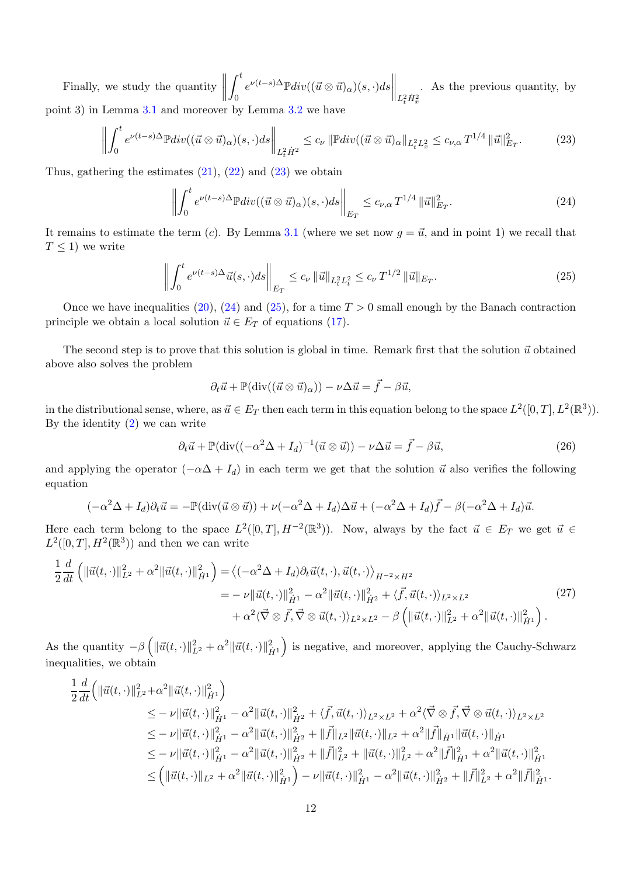Finally, we study the quantity  $\begin{array}{c} \begin{array}{c} \begin{array}{c} \end{array} \\ \begin{array}{c} \end{array} \end{array} \end{array}$  $\int_0^t$ 0  $e^{\nu(t-s)\Delta} \mathbb{P} div ((\vec{u} \otimes \vec{u})_\alpha)(s,\cdot) ds \bigg\|_{L^2_t \dot{H}^2_x}$ . As the previous quantity, by point 3) in Lemma [3.1](#page-9-3) and moreover by Lemma [3.2](#page-10-0) we have

<span id="page-11-0"></span>
$$
\left\| \int_0^t e^{\nu(t-s)\Delta} \mathbb{P} div((\vec{u} \otimes \vec{u})_\alpha)(s,\cdot) ds \right\|_{L^2_t \dot{H}^2} \leq c_\nu \left\| \mathbb{P} div((\vec{u} \otimes \vec{u})_\alpha \right\|_{L^2_t L^2_x} \leq c_{\nu,\alpha} T^{1/4} \left\| \vec{u} \right\|_{E_T}^2. \tag{23}
$$

Thus, gathering the estimates  $(21)$ ,  $(22)$  and  $(23)$  we obtain

<span id="page-11-1"></span>
$$
\left\| \int_0^t e^{\nu(t-s)\Delta} \mathbb{P} div((\vec{u} \otimes \vec{u})_\alpha)(s,\cdot) ds \right\|_{E_T} \leq c_{\nu,\alpha} T^{1/4} \left\| \vec{u} \right\|_{E_T}^2.
$$
 (24)

It remains to estimate the term (c). By Lemma [3.1](#page-9-3) (where we set now  $g = \vec{u}$ , and in point 1) we recall that  $T \leq 1$ ) we write

<span id="page-11-2"></span>
$$
\left\| \int_0^t e^{\nu(t-s)\Delta} \vec{u}(s,\cdot) ds \right\|_{E_T} \le c_\nu \left\| \vec{u} \right\|_{L_t^2 L_t^2} \le c_\nu T^{1/2} \left\| \vec{u} \right\|_{E_T}.
$$
 (25)

Once we have inequalities [\(20\)](#page-10-3), [\(24\)](#page-11-1) and [\(25\)](#page-11-2), for a time  $T > 0$  small enough by the Banach contraction principle we obtain a local solution  $\vec{u} \in E_T$  of equations [\(17\)](#page-9-4).

The second step is to prove that this solution is global in time. Remark first that the solution  $\vec{u}$  obtained above also solves the problem

$$
\partial_t \vec{u} + \mathbb{P}(\text{div}((\vec{u} \otimes \vec{u})_{\alpha})) - \nu \Delta \vec{u} = \vec{f} - \beta \vec{u},
$$

in the distributional sense, where, as  $\vec{u} \in E_T$  then each term in this equation belong to the space  $L^2([0,T], L^2(\mathbb{R}^3))$ . By the identity  $(2)$  we can write

<span id="page-11-4"></span>
$$
\partial_t \vec{u} + \mathbb{P}(\text{div}((-\alpha^2 \Delta + I_d)^{-1}(\vec{u} \otimes \vec{u})) - \nu \Delta \vec{u} = \vec{f} - \beta \vec{u},\tag{26}
$$

and applying the operator  $(-\alpha \Delta + I_d)$  in each term we get that the solution  $\vec{u}$  also verifies the following equation

$$
(-\alpha^2 \Delta + I_d)\partial_t \vec{u} = -\mathbb{P}(\text{div}(\vec{u} \otimes \vec{u})) + \nu(-\alpha^2 \Delta + I_d)\Delta \vec{u} + (-\alpha^2 \Delta + I_d)\vec{f} - \beta(-\alpha^2 \Delta + I_d)\vec{u}.
$$

Here each term belong to the space  $L^2([0,T], H^{-2}(\mathbb{R}^3))$ . Now, always by the fact  $\vec{u} \in E_T$  we get  $\vec{u} \in \mathbb{R}^3$  $L^2([0,T], H^2(\mathbb{R}^3))$  and then we can write

<span id="page-11-3"></span>
$$
\frac{1}{2}\frac{d}{dt}\left(\|\vec{u}(t,\cdot)\|_{L^{2}}^{2}+\alpha^{2}\|\vec{u}(t,\cdot)\|_{\dot{H}^{1}}^{2}\right) = \left\langle (-\alpha^{2}\Delta + I_{d})\partial_{t}\vec{u}(t,\cdot),\vec{u}(t,\cdot)\right\rangle_{H^{-2}\times H^{2}}\n= -\nu\|\vec{u}(t,\cdot)\|_{\dot{H}^{1}}^{2} - \alpha^{2}\|\vec{u}(t,\cdot)\|_{\dot{H}^{2}}^{2} + \langle\vec{f},\vec{u}(t,\cdot)\rangle_{L^{2}\times L^{2}}\n+ \alpha^{2}\langle\vec{\nabla}\otimes\vec{f},\vec{\nabla}\otimes\vec{u}(t,\cdot)\rangle_{L^{2}\times L^{2}} - \beta\left(\|\vec{u}(t,\cdot)\|_{L^{2}}^{2} + \alpha^{2}\|\vec{u}(t,\cdot)\|_{\dot{H}^{1}}^{2}\right).
$$
\n(27)

As the quantity  $-\beta \left( \|\vec{u}(t,\cdot)\|_{L^2}^2 + \alpha^2 \|\vec{u}(t,\cdot)\|_{\dot{H}^1}^2 \right)$ ) is negative, and moreover, applying the Cauchy-Schwarz inequalities, we obtain

$$
\frac{1}{2}\frac{d}{dt}\Big(\|\vec{u}(t,\cdot)\|_{L^{2}}^{2}+\alpha^{2}\|\vec{u}(t,\cdot)\|_{\dot{H}^{1}}^{2}\Big) \n\leq -\nu\|\vec{u}(t,\cdot)\|_{\dot{H}^{1}}^{2}-\alpha^{2}\|\vec{u}(t,\cdot)\|_{\dot{H}^{2}}^{2}+\langle\vec{f},\vec{u}(t,\cdot)\rangle_{L^{2}\times L^{2}}+\alpha^{2}\langle\vec{\nabla}\otimes\vec{f},\vec{\nabla}\otimes\vec{u}(t,\cdot)\rangle_{L^{2}\times L^{2}}\n\leq -\nu\|\vec{u}(t,\cdot)\|_{\dot{H}^{1}}^{2}-\alpha^{2}\|\vec{u}(t,\cdot)\|_{\dot{H}^{2}}^{2}+\|\vec{f}\|_{L^{2}}\|\vec{u}(t,\cdot)\|_{L^{2}}+\alpha^{2}\|\vec{f}\|_{\dot{H}^{1}}\|\vec{u}(t,\cdot)\|_{\dot{H}^{1}}\n\leq -\nu\|\vec{u}(t,\cdot)\|_{\dot{H}^{1}}^{2}-\alpha^{2}\|\vec{u}(t,\cdot)\|_{\dot{H}^{2}}^{2}+\|\vec{f}\|_{L^{2}}^{2}+\|\vec{u}(t,\cdot)\|_{L^{2}}^{2}+\alpha^{2}\|\vec{f}\|_{\dot{H}^{1}}^{2}+\alpha^{2}\|\vec{u}(t,\cdot)\|_{\dot{H}^{1}}^{2}\n\leq (\|\vec{u}(t,\cdot)\|_{L^{2}}+\alpha^{2}\|\vec{u}(t,\cdot)\|_{\dot{H}^{1}}^{2})-\nu\|\vec{u}(t,\cdot)\|_{\dot{H}^{1}}^{2}-\alpha^{2}\|\vec{u}(t,\cdot)\|_{\dot{H}^{2}}^{2}+\|\vec{f}\|_{L^{2}}^{2}+\alpha^{2}\|\vec{f}\|_{\dot{H}^{1}}^{2}.
$$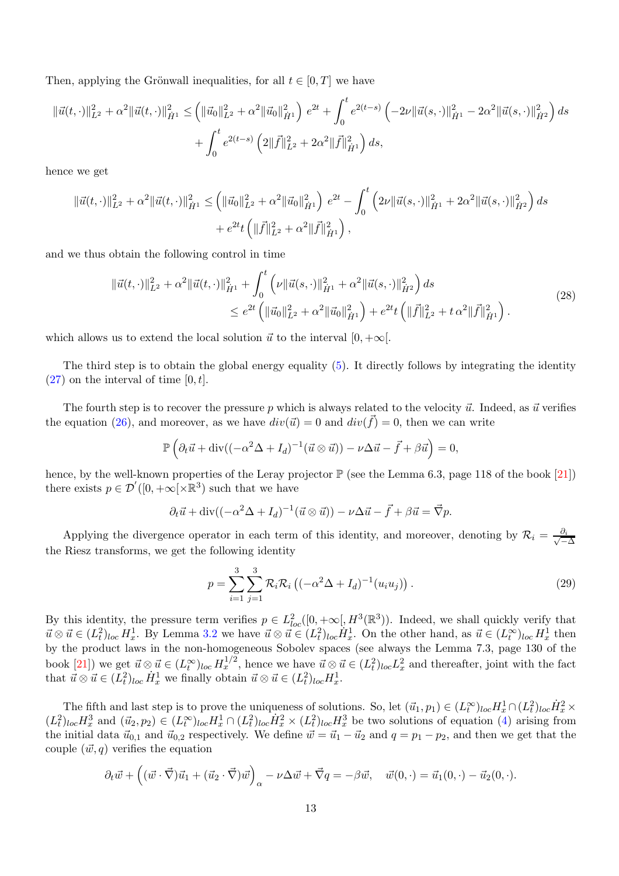Then, applying the Grönwall inequalities, for all  $t \in [0, T]$  we have

$$
\begin{split} \|\vec{u}(t,\cdot)\|_{L^{2}}^{2}+\alpha^{2}\|\vec{u}(t,\cdot)\|_{\dot{H}^{1}}^{2} &\leq \left(\|\vec{u}_{0}\|_{L^{2}}^{2}+\alpha^{2}\|\vec{u}_{0}\|_{\dot{H}^{1}}^{2}\right)e^{2t}+\int_{0}^{t}e^{2(t-s)}\left(-2\nu\|\vec{u}(s,\cdot)\|_{\dot{H}^{1}}^{2}-2\alpha^{2}\|\vec{u}(s,\cdot)\|_{\dot{H}^{2}}^{2}\right)ds\\ &+\int_{0}^{t}e^{2(t-s)}\left(2\|\vec{f}\|_{L^{2}}^{2}+2\alpha^{2}\|\vec{f}\|_{\dot{H}^{1}}^{2}\right)ds, \end{split}
$$

hence we get

$$
\begin{split} \|\vec{u}(t,\cdot)\|_{L^{2}}^{2}+\alpha^{2}\|\vec{u}(t,\cdot)\|_{\dot{H}^{1}}^{2} &\leq \left(\|\vec{u}_{0}\|_{L^{2}}^{2}+\alpha^{2}\|\vec{u}_{0}\|_{\dot{H}^{1}}^{2}\right)e^{2t}-\int_{0}^{t}\left(2\nu\|\vec{u}(s,\cdot)\|_{\dot{H}^{1}}^{2}+2\alpha^{2}\|\vec{u}(s,\cdot)\|_{\dot{H}^{2}}^{2}\right)ds\\ &+e^{2t}t\left(\|\vec{f}\|_{L^{2}}^{2}+\alpha^{2}\|\vec{f}\|_{\dot{H}^{1}}^{2}\right), \end{split}
$$

<span id="page-12-0"></span>and we thus obtain the following control in time

$$
\begin{split} \|\vec{u}(t,\cdot)\|_{L^{2}}^{2} + \alpha^{2} \|\vec{u}(t,\cdot)\|_{\dot{H}^{1}}^{2} + \int_{0}^{t} \left(\nu \|\vec{u}(s,\cdot)\|_{\dot{H}^{1}}^{2} + \alpha^{2} \|\vec{u}(s,\cdot)\|_{\dot{H}^{2}}^{2}\right) ds \\ &\leq e^{2t} \left(\|\vec{u}_{0}\|_{L^{2}}^{2} + \alpha^{2} \|\vec{u}_{0}\|_{\dot{H}^{1}}^{2}\right) + e^{2t} t \left(\|\vec{f}\|_{L^{2}}^{2} + t \alpha^{2} \|\vec{f}\|_{\dot{H}^{1}}^{2}\right). \end{split} \tag{28}
$$

which allows us to extend the local solution  $\vec{u}$  to the interval  $[0, +\infty)$ .

The third step is to obtain the global energy equality [\(5\)](#page-4-3). It directly follows by integrating the identity  $(27)$  on the interval of time  $[0, t]$ .

The fourth step is to recover the pressure p which is always related to the velocity  $\vec{u}$ . Indeed, as  $\vec{u}$  verifies the equation [\(26\)](#page-11-4), and moreover, as we have  $div(\vec{u}) = 0$  and  $div(\vec{f}) = 0$ , then we can write

$$
\mathbb{P}\left(\partial_t \vec{u} + \text{div}((-\alpha^2 \Delta + I_d)^{-1}(\vec{u} \otimes \vec{u})) - \nu \Delta \vec{u} - \vec{f} + \beta \vec{u}\right) = 0,
$$

hence, by the well-known properties of the Leray projector  $\mathbb P$  (see the Lemma 6.3, page 118 of the book [\[21\]](#page-40-1)) there exists  $p \in \mathcal{D}'([0, +\infty[\times \mathbb{R}^3)$  such that we have

$$
\partial_t \vec{u} + \text{div}((-\alpha^2 \Delta + I_d)^{-1}(\vec{u} \otimes \vec{u})) - \nu \Delta \vec{u} - \vec{f} + \beta \vec{u} = \vec{\nabla} p.
$$

Applying the divergence operator in each term of this identity, and moreover, denoting by  $\mathcal{R}_i = \frac{\partial_i}{\sqrt{-1}}$ −∆ the Riesz transforms, we get the following identity

<span id="page-12-1"></span>
$$
p = \sum_{i=1}^{3} \sum_{j=1}^{3} \mathcal{R}_i \mathcal{R}_i \left( (-\alpha^2 \Delta + I_d)^{-1} (u_i u_j) \right).
$$
 (29)

By this identity, the pressure term verifies  $p \in L^2_{loc}([0,+\infty[, H^3(\mathbb{R}^3))$ . Indeed, we shall quickly verify that  $\vec{u} \otimes \vec{u} \in (L_t^2)_{loc} H_x^1$ . By Lemma [3.2](#page-10-0) we have  $\vec{u} \otimes \vec{u} \in (L_t^2)_{loc} H_x^1$ . On the other hand, as  $\vec{u} \in (L_t^{\infty})_{loc} H_x^1$  then by the product laws in the non-homogeneous Sobolev spaces (see always the Lemma 7.3, page 130 of the book [\[21\]](#page-40-1)) we get  $\vec{u} \otimes \vec{u} \in (L_t^{\infty})_{loc} H_x^{1/2}$ , hence we have  $\vec{u} \otimes \vec{u} \in (L_t^2)_{loc} L_x^2$  and thereafter, joint with the fact that  $\vec{u} \otimes \vec{u} \in (L_t^2)_{loc} \dot{H}_x^1$  we finally obtain  $\vec{u} \otimes \vec{u} \in (L_t^2)_{loc} H_x^1$ .

The fifth and last step is to prove the uniqueness of solutions. So, let  $(\vec{u}_1, p_1) \in (L^{\infty}_t)_{loc} H^1_x \cap (L^2_t)_{loc} H^2_x \times$  $(L_t^2)_{loc}H_x^3$  and  $(\vec{u}_2, p_2) \in (L_t^{\infty})_{loc}H_x^1 \cap (L_t^2)_{loc}H_x^2 \times (L_t^2)_{loc}H_x^3$  be two solutions of equation [\(4\)](#page-3-0) arising from the initial data  $\vec{u}_{0,1}$  and  $\vec{u}_{0,2}$  respectively. We define  $\vec{w} = \vec{u}_1 - \vec{u}_2$  and  $q = p_1 - p_2$ , and then we get that the couple  $(\vec{w}, q)$  verifies the equation

$$
\partial_t \vec{w} + \left( (\vec{w} \cdot \vec{\nabla}) \vec{u}_1 + (\vec{u}_2 \cdot \vec{\nabla}) \vec{w} \right)_{\alpha} - \nu \Delta \vec{w} + \vec{\nabla} q = -\beta \vec{w}, \quad \vec{w}(0, \cdot) = \vec{u}_1(0, \cdot) - \vec{u}_2(0, \cdot).
$$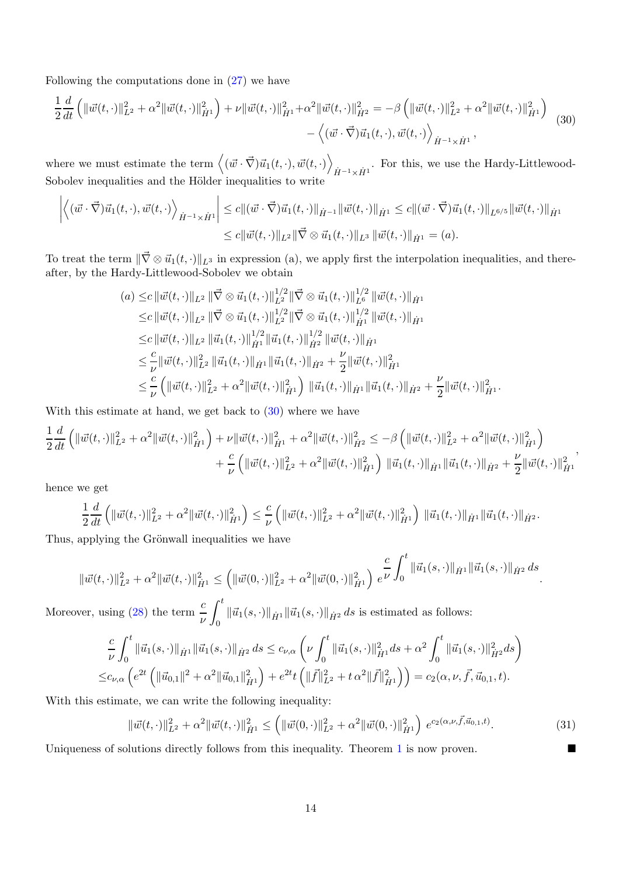Following the computations done in [\(27\)](#page-11-3) we have

<span id="page-13-0"></span>
$$
\frac{1}{2}\frac{d}{dt}\left(\|\vec{w}(t,\cdot)\|_{L^{2}}^{2}+\alpha^{2}\|\vec{w}(t,\cdot)\|_{\dot{H}^{1}}^{2}\right)+\nu\|\vec{w}(t,\cdot)\|_{\dot{H}^{1}}^{2}+\alpha^{2}\|\vec{w}(t,\cdot)\|_{\dot{H}^{2}}^{2}=-\beta\left(\|\vec{w}(t,\cdot)\|_{L^{2}}^{2}+\alpha^{2}\|\vec{w}(t,\cdot)\|_{\dot{H}^{1}}^{2}\right)\n-\left\langle(\vec{w}\cdot\vec{\nabla})\vec{u}_{1}(t,\cdot),\vec{w}(t,\cdot)\right\rangle_{\dot{H}^{-1}\times\dot{H}^{1}},\tag{30}
$$

where we must estimate the term  $\langle (\vec{w} \cdot \vec{\nabla}) \vec{u}_1(t, \cdot), \vec{w}(t, \cdot) \rangle$  $\dot{H}^{-1} \times \dot{H}^{1}$ . For this, we use the Hardy-Littlewood-Sobolev inequalities and the Hölder inequalities to write

$$
\left| \left\langle (\vec{w} \cdot \vec{\nabla}) \vec{u}_1(t,\cdot), \vec{w}(t,\cdot) \right\rangle_{\dot{H}^{-1} \times \dot{H}^1} \right| \leq c \| (\vec{w} \cdot \vec{\nabla}) \vec{u}_1(t,\cdot) \|_{\dot{H}^{-1}} \| \vec{w}(t,\cdot) \|_{\dot{H}^1} \leq c \| (\vec{w} \cdot \vec{\nabla}) \vec{u}_1(t,\cdot) \|_{L^{6/5}} \| \vec{w}(t,\cdot) \|_{\dot{H}^1}
$$
  

$$
\leq c \| \vec{w}(t,\cdot) \|_{L^2} \| \vec{\nabla} \otimes \vec{u}_1(t,\cdot) \|_{L^3} \| \vec{w}(t,\cdot) \|_{\dot{H}^1} = (a).
$$

To treat the term  $\|\vec{\nabla} \otimes \vec{u}_1(t, \cdot)\|_{L^3}$  in expression (a), we apply first the interpolation inequalities, and thereafter, by the Hardy-Littlewood-Sobolev we obtain

$$
(a) \leq c \|\vec{w}(t,\cdot)\|_{L^{2}} \|\vec{\nabla} \otimes \vec{u}_{1}(t,\cdot)\|_{L^{2}}^{1/2} \|\vec{\nabla} \otimes \vec{u}_{1}(t,\cdot)\|_{L^{6}}^{1/2} \|\vec{w}(t,\cdot)\|_{\dot{H}^{1}}^{1/2} \leq c \|\vec{w}(t,\cdot)\|_{L^{2}} \|\vec{\nabla} \otimes \vec{u}_{1}(t,\cdot)\|_{L^{2}}^{1/2} \|\vec{\nabla} \otimes \vec{u}_{1}(t,\cdot)\|_{\dot{H}^{1}}^{1/2} \|\vec{w}(t,\cdot)\|_{\dot{H}^{1}}^{1/2} \leq c \|\vec{w}(t,\cdot)\|_{L^{2}} \|\vec{u}_{1}(t,\cdot)\|_{\dot{H}^{1}}^{1/2} \|\vec{u}_{1}(t,\cdot)\|_{\dot{H}^{2}}^{1/2} \|\vec{w}(t,\cdot)\|_{\dot{H}^{1}}^{1/2} \leq \frac{c}{\nu} \|\vec{w}(t,\cdot)\|_{L^{2}}^{2} \|\vec{u}_{1}(t,\cdot)\|_{\dot{H}^{1}} \|\vec{u}_{1}(t,\cdot)\|_{\dot{H}^{2}} + \frac{\nu}{2} \|\vec{w}(t,\cdot)\|_{\dot{H}^{1}}^{2} \leq \frac{c}{\nu} \left( \|\vec{w}(t,\cdot)\|_{L^{2}}^{2} + \alpha^{2} \|\vec{w}(t,\cdot)\|_{\dot{H}^{1}}^{2} \right) \|\vec{u}_{1}(t,\cdot)\|_{\dot{H}^{1}} \|\vec{u}_{1}(t,\cdot)\|_{\dot{H}^{2}} + \frac{\nu}{2} \|\vec{w}(t,\cdot)\|_{\dot{H}^{1}}^{2}.
$$

With this estimate at hand, we get back to  $(30)$  where we have

$$
\frac{1}{2}\frac{d}{dt}\left(\|\vec{w}(t,\cdot)\|_{L^{2}}^{2}+\alpha^{2}\|\vec{w}(t,\cdot)\|_{\dot{H}^{1}}^{2}\right)+\nu\|\vec{w}(t,\cdot)\|_{\dot{H}^{1}}^{2}+\alpha^{2}\|\vec{w}(t,\cdot)\|_{\dot{H}^{2}}^{2}\leq-\beta\left(\|\vec{w}(t,\cdot)\|_{L^{2}}^{2}+\alpha^{2}\|\vec{w}(t,\cdot)\|_{\dot{H}^{1}}^{2}\right)\\+\frac{c}{\nu}\left(\|\vec{w}(t,\cdot)\|_{L^{2}}^{2}+\alpha^{2}\|\vec{w}(t,\cdot)\|_{\dot{H}^{1}}^{2}\right)\|\vec{u}_{1}(t,\cdot)\|_{\dot{H}^{1}}\|\vec{u}_{1}(t,\cdot)\|_{\dot{H}^{2}}+\frac{\nu}{2}\|\vec{w}(t,\cdot)\|_{\dot{H}^{1}}^{2},
$$

hence we get

$$
\frac{1}{2}\frac{d}{dt}\left(\|\vec{w}(t,\cdot)\|_{L^2}^2 + \alpha^2 \|\vec{w}(t,\cdot)\|_{\dot{H}^1}^2\right) \leq \frac{c}{\nu}\left(\|\vec{w}(t,\cdot)\|_{L^2}^2 + \alpha^2 \|\vec{w}(t,\cdot)\|_{\dot{H}^1}^2\right) \|\vec{u}_1(t,\cdot)\|_{\dot{H}^1} \|\vec{u}_1(t,\cdot)\|_{\dot{H}^2}.
$$

Thus, applying the Grönwall inequalities we have

$$
\|\vec{w}(t,\cdot)\|_{L^2}^2 + \alpha^2 \|\vec{w}(t,\cdot)\|_{\dot{H}^1}^2 \leq \left( \|\vec{w}(0,\cdot)\|_{L^2}^2 + \alpha^2 \|\vec{w}(0,\cdot)\|_{\dot{H}^1}^2 \right) e^{\frac{C}{\nu} \int_0^t \|\vec{u}_1(s,\cdot)\|_{\dot{H}^1} \|\vec{u}_1(s,\cdot)\|_{\dot{H}^2} ds}.
$$

Moreover, using [\(28\)](#page-12-0) the term  $\frac{c}{\nu}$  $\int_0^t$  $\|\vec{u}_1(s,\cdot)\|_{\dot{H}^1} \|\vec{u}_1(s,\cdot)\|_{\dot{H}^2} ds$  is estimated as follows:

$$
\frac{c}{\nu} \int_0^t \|\vec{u}_1(s,\cdot)\|_{\dot{H}^1} \|\vec{u}_1(s,\cdot)\|_{\dot{H}^2} ds \leq c_{\nu,\alpha} \left(\nu \int_0^t \|\vec{u}_1(s,\cdot)\|_{\dot{H}^1}^2 ds + \alpha^2 \int_0^t \|\vec{u}_1(s,\cdot)\|_{\dot{H}^2}^2 ds\right)
$$
  

$$
\leq c_{\nu,\alpha} \left(e^{2t} \left(\|\vec{u}_{0,1}\|^2 + \alpha^2 \|\vec{u}_{0,1}\|_{\dot{H}^1}^2\right) + e^{2t} t \left(\|\vec{f}\|_{L^2}^2 + t \alpha^2 \|\vec{f}\|_{\dot{H}^1}^2\right)\right) = c_2(\alpha,\nu,\vec{f},\vec{u}_{0,1},t).
$$

With this estimate, we can write the following inequality:

<span id="page-13-1"></span>
$$
\|\vec{w}(t,\cdot)\|_{L^2}^2 + \alpha^2 \|\vec{w}(t,\cdot)\|_{\dot{H}^1}^2 \le \left( \|\vec{w}(0,\cdot)\|_{L^2}^2 + \alpha^2 \|\vec{w}(0,\cdot)\|_{\dot{H}^1}^2 \right) e^{c_2(\alpha,\nu,\vec{f},\vec{u}_{0,1},t)}.
$$
\n(31)

Uniqueness of solutions directly follows from this inequality. Theorem [1](#page-4-1) is now proven.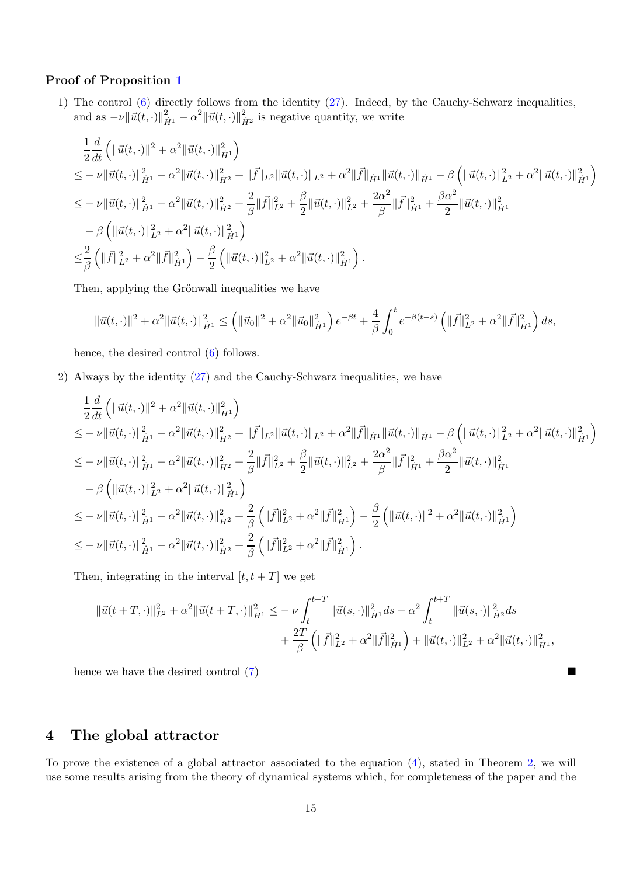## Proof of Proposition [1](#page-4-4)

1) The control [\(6\)](#page-4-2) directly follows from the identity [\(27\)](#page-11-3). Indeed, by the Cauchy-Schwarz inequalities, and as  $-\nu \|\vec{u}(t,\cdot)\|_{\dot{H}^1}^2 - \alpha^2 \|\vec{u}(t,\cdot)\|_{\dot{H}^2}^2$  is negative quantity, we write

$$
\begin{split}\n&\frac{1}{2}\frac{d}{dt}\left(\|\vec{u}(t,\cdot)\|^{2}+\alpha^{2}\|\vec{u}(t,\cdot)\|_{\dot{H}^{1}}^{2}\right) \\
&\leq-\nu\|\vec{u}(t,\cdot)\|_{\dot{H}^{1}}^{2}-\alpha^{2}\|\vec{u}(t,\cdot)\|_{\dot{H}^{2}}^{2}+\|\vec{f}\|_{L^{2}}\|\vec{u}(t,\cdot)\|_{L^{2}}+\alpha^{2}\|\vec{f}\|_{\dot{H}^{1}}\|\vec{u}(t,\cdot)\|_{\dot{H}^{1}}-\beta\left(\|\vec{u}(t,\cdot)\|_{L^{2}}^{2}+\alpha^{2}\|\vec{u}(t,\cdot)\|_{\dot{H}^{1}}^{2}\right) \\
&\leq-\nu\|\vec{u}(t,\cdot)\|_{\dot{H}^{1}}^{2}-\alpha^{2}\|\vec{u}(t,\cdot)\|_{\dot{H}^{2}}^{2}+\frac{2}{\beta}\|\vec{f}\|_{L^{2}}^{2}+\frac{\beta}{2}\|\vec{u}(t,\cdot)\|_{L^{2}}^{2}+\frac{2\alpha^{2}}{\beta}\|\vec{f}\|_{\dot{H}^{1}}^{2}+\frac{\beta\alpha^{2}}{2}\|\vec{u}(t,\cdot)\|_{\dot{H}^{1}}^{2} \\
&\quad-\beta\left(\|\vec{u}(t,\cdot)\|_{L^{2}}^{2}+\alpha^{2}\|\vec{u}(t,\cdot)\|_{\dot{H}^{1}}^{2}\right) \\
&\leq\frac{2}{\beta}\left(\|\vec{f}\|_{L^{2}}^{2}+\alpha^{2}\|\vec{f}\|_{\dot{H}^{1}}^{2}\right)-\frac{\beta}{2}\left(\|\vec{u}(t,\cdot)\|_{L^{2}}^{2}+\alpha^{2}\|\vec{u}(t,\cdot)\|_{\dot{H}^{1}}^{2}\right).\n\end{split}
$$

Then, applying the Grönwall inequalities we have

$$
\|\vec{u}(t,\cdot)\|^2 + \alpha^2 \|\vec{u}(t,\cdot)\|_{\dot{H}^1}^2 \leq \left(\|\vec{u}_0\|^2 + \alpha^2 \|\vec{u}_0\|_{\dot{H}^1}^2\right) e^{-\beta t} + \frac{4}{\beta} \int_0^t e^{-\beta(t-s)} \left(\|\vec{f}\|_{L^2}^2 + \alpha^2 \|\vec{f}\|_{\dot{H}^1}^2\right) ds,
$$

hence, the desired control [\(6\)](#page-4-2) follows.

2) Always by the identity [\(27\)](#page-11-3) and the Cauchy-Schwarz inequalities, we have

$$
\begin{split}\n&\frac{1}{2}\frac{d}{dt}\left(\|\vec{u}(t,\cdot)\|^{2}+\alpha^{2}\|\vec{u}(t,\cdot)\|_{\dot{H}^{1}}^{2}\right) \\
&\leq-\nu\|\vec{u}(t,\cdot)\|_{\dot{H}^{1}}^{2}-\alpha^{2}\|\vec{u}(t,\cdot)\|_{\dot{H}^{2}}^{2}+\|\vec{f}\|_{L^{2}}\|\vec{u}(t,\cdot)\|_{L^{2}}+\alpha^{2}\|\vec{f}\|_{\dot{H}^{1}}\|\vec{u}(t,\cdot)\|_{\dot{H}^{1}}-\beta\left(\|\vec{u}(t,\cdot)\|_{L^{2}}^{2}+\alpha^{2}\|\vec{u}(t,\cdot)\|_{\dot{H}^{1}}^{2}\right) \\
&\leq-\nu\|\vec{u}(t,\cdot)\|_{\dot{H}^{1}}^{2}-\alpha^{2}\|\vec{u}(t,\cdot)\|_{\dot{H}^{2}}^{2}+\frac{2}{\beta}\|\vec{f}\|_{L^{2}}^{2}+\frac{\beta}{2}\|\vec{u}(t,\cdot)\|_{L^{2}}^{2}+\frac{2\alpha^{2}}{\beta}\|\vec{f}\|_{\dot{H}^{1}}^{2}+\frac{\beta\alpha^{2}}{2}\|\vec{u}(t,\cdot)\|_{\dot{H}^{1}}^{2} \\
&\quad-\beta\left(\|\vec{u}(t,\cdot)\|_{L^{2}}^{2}+\alpha^{2}\|\vec{u}(t,\cdot)\|_{\dot{H}^{1}}^{2}\right) \\
&\leq-\nu\|\vec{u}(t,\cdot)\|_{\dot{H}^{1}}^{2}-\alpha^{2}\|\vec{u}(t,\cdot)\|_{\dot{H}^{2}}^{2}+\frac{2}{\beta}\left(\|\vec{f}\|_{L^{2}}^{2}+\alpha^{2}\|\vec{f}\|_{\dot{H}^{1}}^{2}\right)-\frac{\beta}{2}\left(\|\vec{u}(t,\cdot)\|^{2}+\alpha^{2}\|\vec{u}(t,\cdot)\|_{\dot{H}^{1}}^{2}\right) \\
&\leq-\nu\|\vec{u}(t,\cdot)\|_{\dot{H}^{1}}^{2}-\alpha^{2}\|\vec{u}(t,\cdot)\|_{\dot{H}^{2}}^{2}+\frac{2}{\beta}\left(\|\vec{f}\|_{L^{2}}^{2}+\alpha^{2}\|\vec{f}\|_{\dot{H}^{1}}^{2}\right).\n\end{split}
$$

Then, integrating in the interval  $[t, t + T]$  we get

$$
\begin{aligned} \|\vec{u}(t+T,\cdot)\|_{L^2}^2+\alpha^2\|\vec{u}(t+T,\cdot)\|_{\dot{H}^1}^2 \leq & -\nu\int_t^{t+T}\|\vec{u}(s,\cdot)\|_{\dot{H}^1}^2ds-\alpha^2\int_t^{t+T}\|\vec{u}(s,\cdot)\|_{\dot{H}^2}^2ds\\ & +\frac{2T}{\beta}\left(\|\vec{f}\|_{L^2}^2+\alpha^2\|\vec{f}\|_{\dot{H}^1}^2\right)+\|\vec{u}(t,\cdot)\|_{L^2}^2+\alpha^2\|\vec{u}(t,\cdot)\|_{\dot{H}^1}^2, \end{aligned}
$$

hence we have the desired control  $(7)$ 

## <span id="page-14-0"></span>4 The global attractor

To prove the existence of a global attractor associated to the equation [\(4\)](#page-3-0), stated in Theorem [2,](#page-5-2) we will use some results arising from the theory of dynamical systems which, for completeness of the paper and the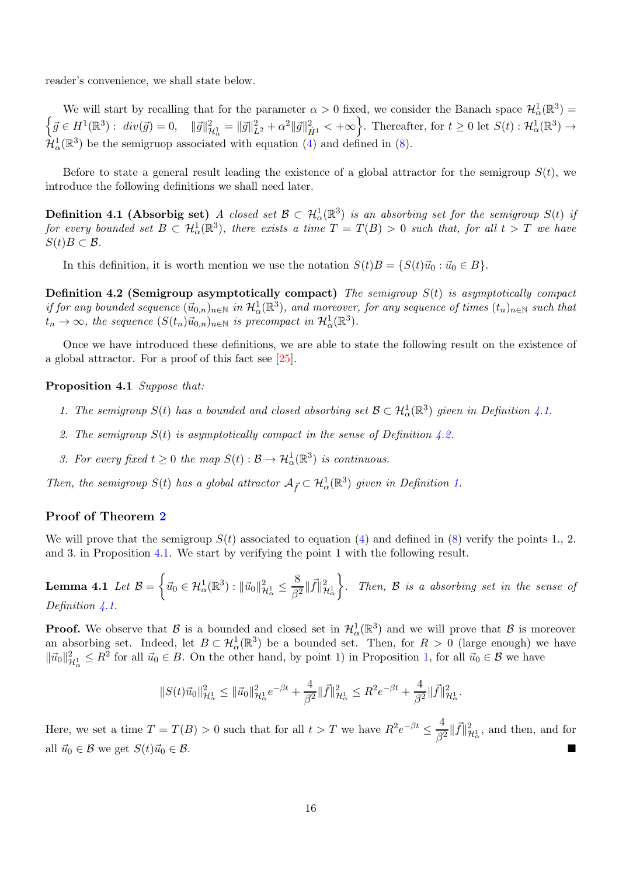reader's convenience, we shall state below.

We will start by recalling that for the parameter  $\alpha > 0$  fixed, we consider the Banach space  $\mathcal{H}^1_\alpha(\mathbb{R}^3)$  =  $\left\{ \vec{g} \in H^{1}(\mathbb{R}^{3}) : \text{ div}(\vec{g}) = 0, \quad ||\vec{g}||^{2}_{\mathcal{H}^{1}_{\alpha}} = ||\vec{g}||^{2}_{L^{2}} + \alpha^{2} ||\vec{g}||^{2}_{\dot{H}^{1}} < +\infty \right\}.$  Thereafter, for  $t \geq 0$  let  $S(t) : \mathcal{H}^{1}_{\alpha}(\mathbb{R}^{3}) \to$  $\mathcal{H}^1_{\alpha}(\mathbb{R}^3)$  be the semigruop associated with equation [\(4\)](#page-3-0) and defined in [\(8\)](#page-5-0).

<span id="page-15-0"></span>Before to state a general result leading the existence of a global attractor for the semigroup  $S(t)$ , we introduce the following definitions we shall need later.

**Definition 4.1 (Absorbig set)** A closed set  $\mathcal{B} \subset \mathcal{H}^1_\alpha(\mathbb{R}^3)$  is an absorbing set for the semigroup  $S(t)$  if for every bounded set  $B \subset H^1_\alpha(\mathbb{R}^3)$ , there exists a time  $T = T(B) > 0$  such that, for all  $t > T$  we have  $S(t)B\subset\mathcal{B}.$ 

<span id="page-15-1"></span>In this definition, it is worth mention we use the notation  $S(t)B = \{S(t)\vec{u}_0 : \vec{u}_0 \in B\}.$ 

**Definition 4.2 (Semigroup asymptotically compact)** The semigroup  $S(t)$  is asymptotically compact if for any bounded sequence  $(\vec{u}_{0,n})_{n\in\mathbb{N}}$  in  $\mathcal{H}^1_\alpha(\mathbb{R}^3)$ , and moreover, for any sequence of times  $(t_n)_{n\in\mathbb{N}}$  such that  $t_n \to \infty$ , the sequence  $(S(t_n) \vec{u}_{0,n})_{n \in \mathbb{N}}$  is precompact in  $\mathcal{H}^1_\alpha(\mathbb{R}^3)$ .

Once we have introduced these definitions, we are able to state the following result on the existence of a global attractor. For a proof of this fact see [\[25\]](#page-40-5).

### Proposition 4.1 Suppose that:

- <span id="page-15-2"></span>1. The semigroup  $S(t)$  has a bounded and closed absorbing set  $\mathcal{B} \subset \mathcal{H}^1_\alpha(\mathbb{R}^3)$  given in Definition [4.1.](#page-15-0)
- 2. The semigroup  $S(t)$  is asymptotically compact in the sense of Definition [4.2.](#page-15-1)
- 3. For every fixed  $t \geq 0$  the map  $S(t) : \mathcal{B} \to \mathcal{H}^1_\alpha(\mathbb{R}^3)$  is continuous.

Then, the semigroup  $S(t)$  has a global attractor  $\mathcal{A}_{\vec{f}} \subset \mathcal{H}^1_\alpha(\mathbb{R}^3)$  given in Definition [1.](#page-5-1)

## Proof of Theorem [2](#page-5-2)

We will prove that the semigroup  $S(t)$  associated to equation [\(4\)](#page-3-0) and defined in [\(8\)](#page-5-0) verify the points 1., 2. and 3. in Proposition [4.1.](#page-15-2) We start by verifying the point 1 with the following result.

Lemma 4.1 Let  $\mathcal{B} =$  $\left\{ \vec{u}_0 \in \mathcal{H}^1_\alpha(\mathbb{R}^3): \|\vec{u}_0\|^2_{\mathcal{H}^1_\alpha} \leq \right.$ 8  $\frac{\delta}{\beta^2} \|\vec{f}\|_{\mathcal{H}^1_\alpha}^2$  $\mathcal{L}$ . Then, B is a absorbing set in the sense of Definition [4.1.](#page-15-0)

**Proof.** We observe that  $\mathcal{B}$  is a bounded and closed set in  $\mathcal{H}^1_\alpha(\mathbb{R}^3)$  and we will prove that  $\mathcal{B}$  is moreover **a** absorbing set. Indeed, let  $B \subset H^1_\alpha(\mathbb{R}^3)$  be a bounded set. Then, for  $R > 0$  (large enough) we have  $\|\vec{u}_0\|_{\mathcal{H}^1_{\alpha}}^2 \leq R^2$  for all  $\vec{u}_0 \in B$ . On the other hand, by point 1) in Proposition [1,](#page-4-4) for all  $\vec{u}_0 \in \mathcal{B}$  we have

<span id="page-15-3"></span>
$$
||S(t)\vec{u}_0||^2_{\mathcal{H}^1_{\alpha}} \leq ||\vec{u}_0||^2_{\mathcal{H}^1_{\alpha}}e^{-\beta t} + \frac{4}{\beta^2}||\vec{f}||^2_{\mathcal{H}^1_{\alpha}} \leq R^2e^{-\beta t} + \frac{4}{\beta^2}||\vec{f}||^2_{\mathcal{H}^1_{\alpha}}.
$$

Here, we set a time  $T = T(B) > 0$  such that for all  $t > T$  we have  $R^2 e^{-\beta t} \leq \frac{4}{\beta^2}$  $\frac{4}{\beta^2}$  || $\vec{f}$ || $^2_{\mathcal{H}^1_{\alpha}}$ , and then, and for all  $\vec{u}_0 \in \mathcal{B}$  we get  $S(t)\vec{u}_0 \in \mathcal{B}$ .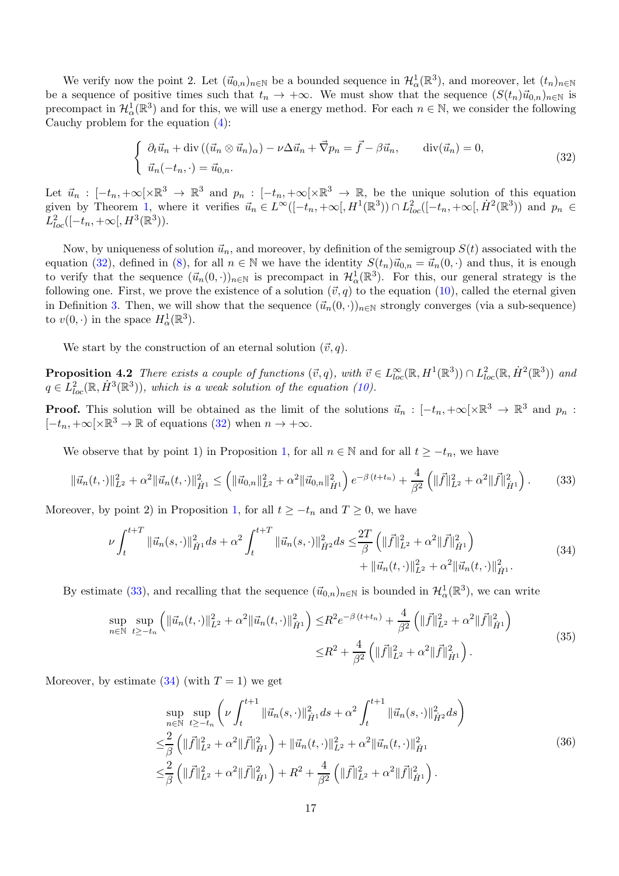We verify now the point 2. Let  $(\vec{u}_{0,n})_{n\in\mathbb{N}}$  be a bounded sequence in  $\mathcal{H}^1_\alpha(\mathbb{R}^3)$ , and moreover, let  $(t_n)_{n\in\mathbb{N}}$ be a sequence of positive times such that  $t_n \to +\infty$ . We must show that the sequence  $(S(t_n)\vec{u}_{0,n})_{n\in\mathbb{N}}$  is precompact in  $\mathcal{H}^1_\alpha(\mathbb{R}^3)$  and for this, we will use a energy method. For each  $n \in \mathbb{N}$ , we consider the following Cauchy problem for the equation [\(4\)](#page-3-0):

<span id="page-16-1"></span>
$$
\begin{cases}\n\partial_t \vec{u}_n + \operatorname{div}\left((\vec{u}_n \otimes \vec{u}_n)_{\alpha}\right) - \nu \Delta \vec{u}_n + \vec{\nabla} p_n = \vec{f} - \beta \vec{u}_n, & \operatorname{div}(\vec{u}_n) = 0, \\
\vec{u}_n(-t_n, \cdot) = \vec{u}_{0,n}.\n\end{cases} \tag{32}
$$

Let  $\vec{u}_n : [-t_n, +\infty[\times \mathbb{R}^3 \to \mathbb{R}^3 \text{ and } p_n : [-t_n, +\infty[\times \mathbb{R}^3 \to \mathbb{R}, \text{ be the unique solution of this equation}]$ given by Theorem [1,](#page-4-1) where it verifies  $\vec{u}_n \in L^{\infty}([-t_n, +\infty[, H^1(\mathbb{R}^3)) \cap L^2_{loc}([-t_n, +\infty[, \dot{H}^2(\mathbb{R}^3))$  and  $p_n \in$  $L_{loc}^2([-t_n, +\infty[, H^3(\mathbb{R}^3)).$ 

Now, by uniqueness of solution  $\vec{u}_n$ , and moreover, by definition of the semigroup  $S(t)$  associated with the equation [\(32\)](#page-16-1), defined in [\(8\)](#page-5-0), for all  $n \in \mathbb{N}$  we have the identity  $S(t_n)\vec{u}_{0,n} = \vec{u}_n(0, \cdot)$  and thus, it is enough to verify that the sequence  $(\vec{u}_n(0, \cdot))_{n \in \mathbb{N}}$  is precompact in  $\mathcal{H}^1_\alpha(\mathbb{R}^3)$ . For this, our general strategy is the following one. First, we prove the existence of a solution  $(\vec{v}, q)$  to the equation [\(10\)](#page-6-1), called the eternal given in Definition [3.](#page-6-0) Then, we will show that the sequence  $(\vec{u}_n(0, \cdot))_{n \in \mathbb{N}}$  strongly converges (via a sub-sequence) to  $v(0, \cdot)$  in the space  $H^1_\alpha(\mathbb{R}^3)$ .

<span id="page-16-0"></span>We start by the construction of an eternal solution  $(\vec{v}, q)$ .

**Proposition 4.2** There exists a couple of functions  $(\vec{v}, q)$ , with  $\vec{v} \in L^{\infty}_{loc}(\mathbb{R}, H^1(\mathbb{R}^3)) \cap L^2_{loc}(\mathbb{R}, H^2(\mathbb{R}^3))$  and  $q \in L^2_{loc}(\mathbb{R}, \dot{H}^3(\mathbb{R}^3))$ , which is a weak solution of the equation [\(10\)](#page-6-1).

**Proof.** This solution will be obtained as the limit of the solutions  $\vec{u}_n : [-t_n, +\infty[\times \mathbb{R}^3 \to \mathbb{R}^3 \text{ and } p_n :$  $[-t_n, +\infty[\times \mathbb{R}^3 \to \mathbb{R} \text{ of equations (32) when } n \to +\infty.$  $[-t_n, +\infty[\times \mathbb{R}^3 \to \mathbb{R} \text{ of equations (32) when } n \to +\infty.$  $[-t_n, +\infty[\times \mathbb{R}^3 \to \mathbb{R} \text{ of equations (32) when } n \to +\infty.$ 

We observe that by point 1) in Proposition [1,](#page-4-4) for all  $n \in \mathbb{N}$  and for all  $t \geq -t_n$ , we have

<span id="page-16-2"></span>
$$
\|\vec{u}_n(t,\cdot)\|_{L^2}^2 + \alpha^2 \|\vec{u}_n(t,\cdot)\|_{\dot{H}^1}^2 \le \left( \|\vec{u}_{0,n}\|_{L^2}^2 + \alpha^2 \|\vec{u}_{0,n}\|_{\dot{H}^1}^2 \right) e^{-\beta(t+t_n)} + \frac{4}{\beta^2} \left( \|\vec{f}\|_{L^2}^2 + \alpha^2 \|\vec{f}\|_{\dot{H}^1}^2 \right). \tag{33}
$$

<span id="page-16-3"></span>Moreover, by point 2) in Proposition [1,](#page-4-4) for all  $t \geq -t_n$  and  $T \geq 0$ , we have

$$
\nu \int_{t}^{t+T} \|\vec{u}_{n}(s,\cdot)\|_{\dot{H}^{1}}^{2} ds + \alpha^{2} \int_{t}^{t+T} \|\vec{u}_{n}(s,\cdot)\|_{\dot{H}^{2}}^{2} ds \leq \frac{2T}{\beta} \left( \|\vec{f}\|_{L^{2}}^{2} + \alpha^{2} \|\vec{f}\|_{\dot{H}^{1}}^{2} \right) + \|\vec{u}_{n}(t,\cdot)\|_{L^{2}}^{2} + \alpha^{2} \|\vec{u}_{n}(t,\cdot)\|_{\dot{H}^{1}}^{2}.
$$
\n(34)

By estimate [\(33\)](#page-16-2), and recalling that the sequence  $(\vec{u}_{0,n})_{n\in\mathbb{N}}$  is bounded in  $\mathcal{H}^1_\alpha(\mathbb{R}^3)$ , we can write

$$
\sup_{n \in \mathbb{N}} \sup_{t \ge -t_n} \left( \|\vec{u}_n(t, \cdot)\|_{L^2}^2 + \alpha^2 \|\vec{u}_n(t, \cdot)\|_{\dot{H}^1}^2 \right) \le R^2 e^{-\beta (t+t_n)} + \frac{4}{\beta^2} \left( \|\vec{f}\|_{L^2}^2 + \alpha^2 \|\vec{f}\|_{\dot{H}^1}^2 \right) \n\le R^2 + \frac{4}{\beta^2} \left( \|\vec{f}\|_{L^2}^2 + \alpha^2 \|\vec{f}\|_{\dot{H}^1}^2 \right).
$$
\n(35)

<span id="page-16-5"></span><span id="page-16-4"></span>Moreover, by estimate  $(34)$  (with  $T = 1$ ) we get

$$
\sup_{n \in \mathbb{N}} \sup_{t \ge -t_n} \left( \nu \int_t^{t+1} \|\vec{u}_n(s, \cdot)\|_{\dot{H}^1}^2 ds + \alpha^2 \int_t^{t+1} \|\vec{u}_n(s, \cdot)\|_{\dot{H}^2}^2 ds \right) \n\le \frac{2}{\beta} \left( \|\vec{f}\|_{L^2}^2 + \alpha^2 \|\vec{f}\|_{\dot{H}^1}^2 \right) + \|\vec{u}_n(t, \cdot)\|_{L^2}^2 + \alpha^2 \|\vec{u}_n(t, \cdot)\|_{\dot{H}^1}^2 \n\le \frac{2}{\beta} \left( \|\vec{f}\|_{L^2}^2 + \alpha^2 \|\vec{f}\|_{\dot{H}^1}^2 \right) + R^2 + \frac{4}{\beta^2} \left( \|\vec{f}\|_{L^2}^2 + \alpha^2 \|\vec{f}\|_{\dot{H}^1}^2 \right).
$$
\n(36)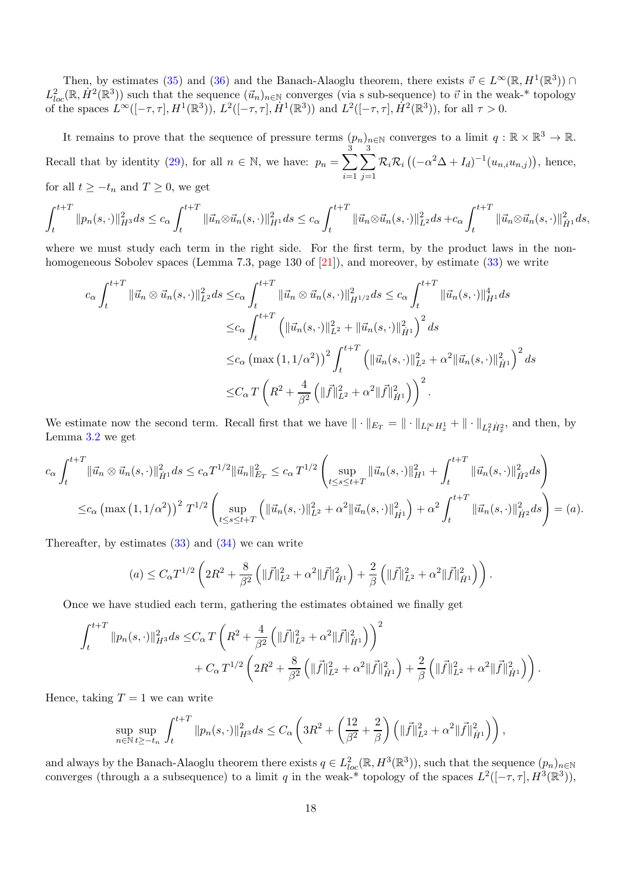Then, by estimates [\(35\)](#page-16-4) and [\(36\)](#page-16-5) and the Banach-Alaoglu theorem, there exists  $\vec{v} \in L^{\infty}(\mathbb{R}, H^1(\mathbb{R}^3))$  $L^2_{loc}(\mathbb{R}, \dot{H}^2(\mathbb{R}^3))$  such that the sequence  $(\vec{u}_n)_{n\in\mathbb{N}}$  converges (via s sub-sequence) to  $\vec{v}$  in the weak-\* topology of the spaces  $L^{\infty}([-\tau,\tau], H^1(\mathbb{R}^3))$ ,  $L^2([-\tau,\tau], \dot{H}^1(\mathbb{R}^3))$  and  $L^2([-\tau,\tau], \dot{H}^2(\mathbb{R}^3))$ , for all  $\tau > 0$ .

It remains to prove that the sequence of pressure terms  $(p_n)_{n\in\mathbb{N}}$  converges to a limit  $q:\mathbb{R}\times\mathbb{R}^3\to\mathbb{R}$ . Recall that by identity [\(29\)](#page-12-1), for all  $n \in \mathbb{N}$ , we have:  $p_n = \sum^3$  $\frac{i=1}{i}$  $\sum_{ }^{3}$  $j=1$  $\mathcal{R}_i \mathcal{R}_i \left( (-\alpha^2 \Delta + I_d)^{-1} (u_{n,i} u_{n,j}) \right)$ , hence, for all  $t \geq -t_n$  and  $T \geq 0$ , we get

$$
\int_{t}^{t+T} \|p_{n}(s,\cdot)\|_{H^{3}}^{2} ds \leq c_{\alpha} \int_{t}^{t+T} \|\vec{u}_{n} \otimes \vec{u}_{n}(s,\cdot)\|_{H^{1}}^{2} ds \leq c_{\alpha} \int_{t}^{t+T} \|\vec{u}_{n} \otimes \vec{u}_{n}(s,\cdot)\|_{L^{2}}^{2} ds + c_{\alpha} \int_{t}^{t+T} \|\vec{u}_{n} \otimes \vec{u}_{n}(s,\cdot)\|_{H^{1}}^{2} ds,
$$

where we must study each term in the right side. For the first term, by the product laws in the non-homogeneous Sobolev spaces (Lemma 7.3, page 130 of [\[21\]](#page-40-1)), and moreover, by estimate [\(33\)](#page-16-2) we write

$$
c_{\alpha} \int_{t}^{t+T} \|\vec{u}_{n} \otimes \vec{u}_{n}(s,\cdot)\|_{L^{2}}^{2} ds \leq c_{\alpha} \int_{t}^{t+T} \|\vec{u}_{n} \otimes \vec{u}_{n}(s,\cdot)\|_{H^{1/2}}^{2} ds \leq c_{\alpha} \int_{t}^{t+T} \|\vec{u}_{n}(s,\cdot)\|_{H^{1}}^{4} ds
$$
  

$$
\leq c_{\alpha} \int_{t}^{t+T} \left( \|\vec{u}_{n}(s,\cdot)\|_{L^{2}}^{2} + \|\vec{u}_{n}(s,\cdot)\|_{H^{1}}^{2} \right)^{2} ds
$$
  

$$
\leq c_{\alpha} \left( \max(1,1/\alpha^{2}) \right)^{2} \int_{t}^{t+T} \left( \|\vec{u}_{n}(s,\cdot)\|_{L^{2}}^{2} + \alpha^{2} \|\vec{u}_{n}(s,\cdot)\|_{H^{1}}^{2} \right)^{2} ds
$$
  

$$
\leq C_{\alpha} T \left( R^{2} + \frac{4}{\beta^{2}} \left( \|\vec{f}\|_{L^{2}}^{2} + \alpha^{2} \|\vec{f}\|_{H^{1}}^{2} \right) \right)^{2}.
$$

We estimate now the second term. Recall first that we have  $\|\cdot\|_{E_T} = \|\cdot\|_{L_t^{\infty} H_x^1} + \|\cdot\|_{L_t^2 \dot{H}_x^2}$ , and then, by Lemma [3.2](#page-10-0) we get

$$
c_{\alpha} \int_{t}^{t+T} \|\vec{u}_{n} \otimes \vec{u}_{n}(s,\cdot)\|_{\dot{H}^{1}}^{2} ds \leq c_{\alpha} T^{1/2} \|\vec{u}_{n}\|_{E_{T}}^{2} \leq c_{\alpha} T^{1/2} \left( \sup_{t \leq s \leq t+T} \|\vec{u}_{n}(s,\cdot)\|_{H^{1}}^{2} + \int_{t}^{t+T} \|\vec{u}_{n}(s,\cdot)\|_{\dot{H}^{2}}^{2} ds \right)
$$
  

$$
\leq c_{\alpha} \left( \max(1,1/\alpha^{2}) \right)^{2} T^{1/2} \left( \sup_{t \leq s \leq t+T} \left( \|\vec{u}_{n}(s,\cdot)\|_{L^{2}}^{2} + \alpha^{2} \|\vec{u}_{n}(s,\cdot)\|_{\dot{H}^{1}}^{2} \right) + \alpha^{2} \int_{t}^{t+T} \|\vec{u}_{n}(s,\cdot)\|_{\dot{H}^{2}}^{2} ds \right) = (a).
$$

Thereafter, by estimates  $(33)$  and  $(34)$  we can write

$$
(a) \leq C_{\alpha} T^{1/2} \left( 2R^2 + \frac{8}{\beta^2} \left( \| \vec{f} \|_{L^2}^2 + \alpha^2 \| \vec{f} \|_{\dot{H}^1}^2 \right) + \frac{2}{\beta} \left( \| \vec{f} \|_{L^2}^2 + \alpha^2 \| \vec{f} \|_{\dot{H}^1}^2 \right) \right).
$$

Once we have studied each term, gathering the estimates obtained we finally get

$$
\int_{t}^{t+T} ||p_{n}(s,\cdot)||_{H^{3}}^{2} ds \leq C_{\alpha} T \left( R^{2} + \frac{4}{\beta^{2}} \left( ||\vec{f}||_{L^{2}}^{2} + \alpha^{2} ||\vec{f}||_{\dot{H}^{1}}^{2} \right) \right)^{2} + C_{\alpha} T^{1/2} \left( 2R^{2} + \frac{8}{\beta^{2}} \left( ||\vec{f}||_{L^{2}}^{2} + \alpha^{2} ||\vec{f}||_{\dot{H}^{1}}^{2} \right) + \frac{2}{\beta} \left( ||\vec{f}||_{L^{2}}^{2} + \alpha^{2} ||\vec{f}||_{\dot{H}^{1}}^{2} \right) \right).
$$

Hence, taking  $T = 1$  we can write

$$
\sup_{n \in \mathbb{N}} \sup_{t \ge -t_n} \int_t^{t+T} \|p_n(s, \cdot)\|_{H^3}^2 ds \le C_\alpha \left( 3R^2 + \left( \frac{12}{\beta^2} + \frac{2}{\beta} \right) \left( \|\vec{f}\|_{L^2}^2 + \alpha^2 \|\vec{f}\|_{\dot{H}^1}^2 \right) \right),
$$

and always by the Banach-Alaoglu theorem there exists  $q \in L^2_{loc}(\mathbb{R}, H^3(\mathbb{R}^3))$ , such that the sequence  $(p_n)_{n \in \mathbb{N}}$ converges (through a a subsequence) to a limit q in the weak-\* topology of the spaces  $L^2([-\tau, \tau], H^3(\mathbb{R}^3)),$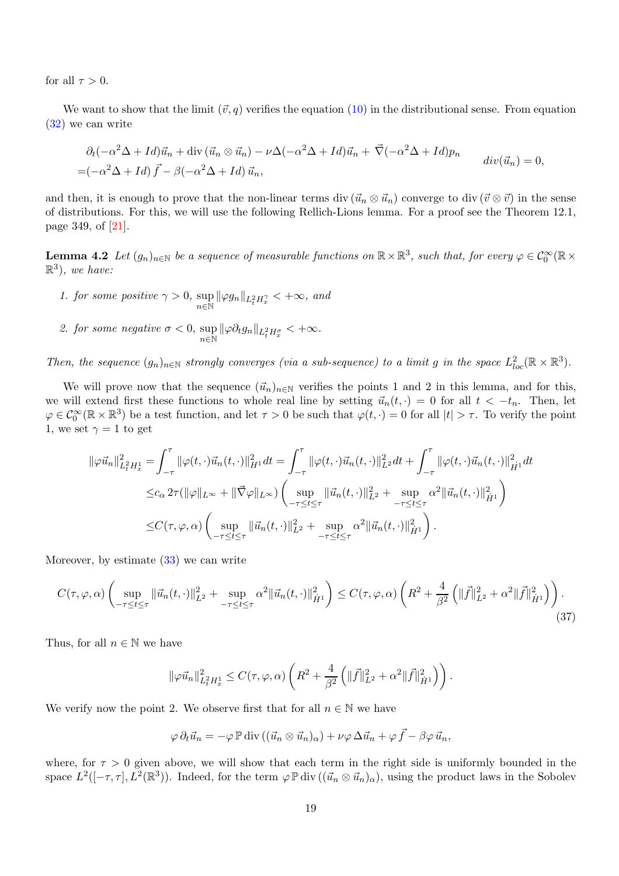for all  $\tau > 0$ .

We want to show that the limit  $(\vec{v}, q)$  verifies the equation [\(10\)](#page-6-1) in the distributional sense. From equation [\(32\)](#page-16-1) we can write

$$
\partial_t(-\alpha^2 \Delta + Id)\vec{u}_n + \text{div}(\vec{u}_n \otimes \vec{u}_n) - \nu \Delta(-\alpha^2 \Delta + Id)\vec{u}_n + \vec{\nabla}(-\alpha^2 \Delta + Id)p_n
$$
  
=  $(-\alpha^2 \Delta + Id) \vec{f} - \beta(-\alpha^2 \Delta + Id) \vec{u}_n$ ,  $div(\vec{u}_n) = 0$ ,

<span id="page-18-0"></span>and then, it is enough to prove that the non-linear terms div  $(\vec{u}_n \otimes \vec{u}_n)$  converge to div  $(\vec{v} \otimes \vec{v})$  in the sense of distributions. For this, we will use the following Rellich-Lions lemma. For a proof see the Theorem 12.1, page 349, of [\[21\]](#page-40-1).

**Lemma 4.2** Let  $(g_n)_{n\in\mathbb{N}}$  be a sequence of measurable functions on  $\mathbb{R}\times\mathbb{R}^3$ , such that, for every  $\varphi \in C_0^\infty(\mathbb{R}\times$  $\mathbb{R}^3$ ), we have:

1. for some positive  $\gamma > 0$ , sup  $\sup_{n\in\mathbb{N}} \|\varphi g_n\|_{L^2_t H^\gamma_x} < +\infty$ , and

2. for some negative 
$$
\sigma < 0
$$
,  $\sup_{n \in \mathbb{N}} ||\varphi \partial_t g_n||_{L_t^2 H_x^{\sigma}} < +\infty$ .

Then, the sequence  $(g_n)_{n\in\mathbb{N}}$  strongly converges (via a sub-sequence) to a limit g in the space  $L^2_{loc}(\mathbb{R}\times\mathbb{R}^3)$ .

We will prove now that the sequence  $(\vec{u}_n)_{n\in\mathbb{N}}$  verifies the points 1 and 2 in this lemma, and for this, we will extend first these functions to whole real line by setting  $\vec{u}_n(t, \cdot) = 0$  for all  $t < -t_n$ . Then, let  $\varphi \in \mathcal{C}_0^{\infty}(\mathbb{R} \times \mathbb{R}^3)$  be a test function, and let  $\tau > 0$  be such that  $\varphi(t, \cdot) = 0$  for all  $|t| > \tau$ . To verify the point 1, we set  $\gamma = 1$  to get

$$
\|\varphi \vec{u}_{n}\|_{L_{t}^{2} H_{x}^{1}}^{2} = \int_{-\tau}^{\tau} \|\varphi(t, \cdot)\vec{u}_{n}(t, \cdot)\|_{H^{1}}^{2} dt = \int_{-\tau}^{\tau} \|\varphi(t, \cdot)\vec{u}_{n}(t, \cdot)\|_{L^{2}}^{2} dt + \int_{-\tau}^{\tau} \|\varphi(t, \cdot)\vec{u}_{n}(t, \cdot)\|_{\dot{H}^{1}}^{2} dt
$$
  

$$
\leq c_{\alpha} 2\tau (\|\varphi\|_{L^{\infty}} + \|\vec{\nabla}\varphi\|_{L^{\infty}}) \left( \sup_{-\tau \leq t \leq \tau} \|\vec{u}_{n}(t, \cdot)\|_{L^{2}}^{2} + \sup_{-\tau \leq t \leq \tau} \alpha^{2} \|\vec{u}_{n}(t, \cdot)\|_{\dot{H}^{1}}^{2} \right)
$$
  

$$
\leq C(\tau, \varphi, \alpha) \left( \sup_{-\tau \leq t \leq \tau} \|\vec{u}_{n}(t, \cdot)\|_{L^{2}}^{2} + \sup_{-\tau \leq t \leq \tau} \alpha^{2} \|\vec{u}_{n}(t, \cdot)\|_{\dot{H}^{1}}^{2} \right).
$$

Moreover, by estimate [\(33\)](#page-16-2) we can write

$$
C(\tau,\varphi,\alpha)\left(\sup_{-\tau\leq t\leq \tau} \|\vec{u}_n(t,\cdot)\|_{L^2}^2 + \sup_{-\tau\leq t\leq \tau} \alpha^2 \|\vec{u}_n(t,\cdot)\|_{\dot{H}^1}^2\right) \leq C(\tau,\varphi,\alpha)\left(R^2 + \frac{4}{\beta^2} \left(\|\vec{f}\|_{L^2}^2 + \alpha^2 \|\vec{f}\|_{\dot{H}^1}^2\right)\right). \tag{37}
$$

Thus, for all  $n \in \mathbb{N}$  we have

$$
\|\varphi \vec{u}_n\|_{L^2_t H^1_x}^2 \leq C(\tau,\varphi,\alpha) \left( R^2 + \frac{4}{\beta^2} \left( \|\vec{f}\|_{L^2}^2 + \alpha^2 \|\vec{f}\|_{\dot{H}^1}^2 \right) \right).
$$

We verify now the point 2. We observe first that for all  $n \in \mathbb{N}$  we have

$$
\varphi \, \partial_t \vec{u}_n = -\varphi \, \mathbb{P} \, \mathrm{div} \, ((\vec{u}_n \otimes \vec{u}_n)_\alpha) + \nu \varphi \, \Delta \vec{u}_n + \varphi \, \vec{f} - \beta \varphi \, \vec{u}_n,
$$

where, for  $\tau > 0$  given above, we will show that each term in the right side is uniformly bounded in the space  $L^2([-\tau,\tau], L^2(\mathbb{R}^3))$ . Indeed, for the term  $\varphi \mathbb{P} \text{div}((\vec{u}_n \otimes \vec{u}_n)_\alpha)$ , using the product laws in the Sobolev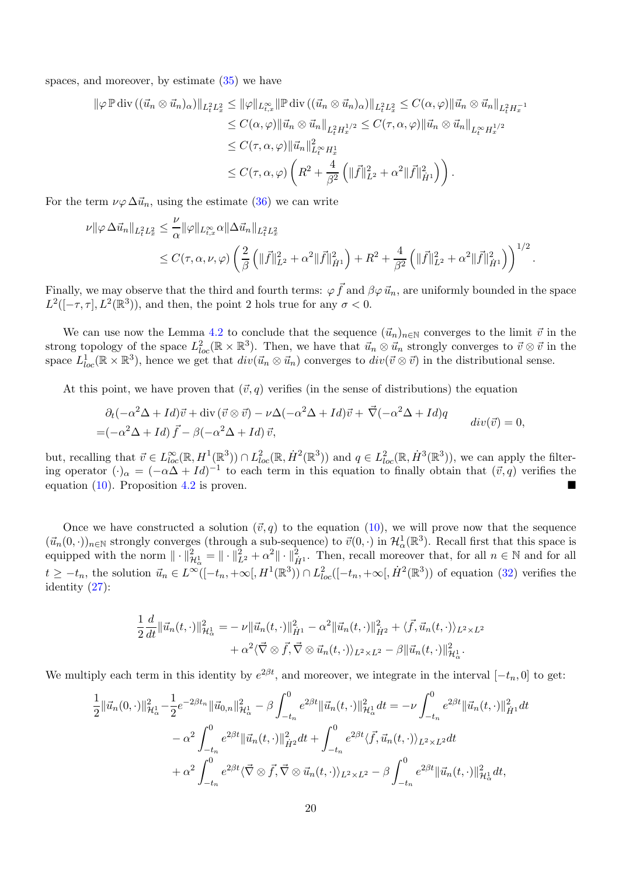spaces, and moreover, by estimate [\(35\)](#page-16-4) we have

$$
\begin{split} \|\varphi \mathbb{P} \operatorname{div} \left( (\vec{u}_n \otimes \vec{u}_n)_{\alpha} \right) \|_{L_t^2 L_x^2} &\leq \|\varphi\|_{L_{t,x}^\infty} \|\mathbb{P} \operatorname{div} \left( (\vec{u}_n \otimes \vec{u}_n)_{\alpha} \right) \|_{L_t^2 L_x^2} \leq C(\alpha, \varphi) \|\vec{u}_n \otimes \vec{u}_n\|_{L_t^2 H_x^{-1}} \\ &\leq C(\alpha, \varphi) \|\vec{u}_n \otimes \vec{u}_n\|_{L_t^2 H_x^{1/2}} \leq C(\tau, \alpha, \varphi) \|\vec{u}_n \otimes \vec{u}_n\|_{L_t^\infty H_x^{1/2}} \\ &\leq C(\tau, \alpha, \varphi) \left( R^2 + \frac{4}{\beta^2} \left( \|\vec{f}\|_{L^2}^2 + \alpha^2 \|\vec{f}\|_{\dot{H}^1}^2 \right) \right). \end{split}
$$

For the term  $\nu\varphi \Delta \vec{u}_n$ , using the estimate [\(36\)](#page-16-5) we can write

$$
\nu \|\varphi \Delta \vec{u}_n\|_{L_t^2 L_x^2} \leq \frac{\nu}{\alpha} \|\varphi\|_{L_{t,x}^{\infty}} \alpha \|\Delta \vec{u}_n\|_{L_t^2 L_x^2}
$$
  

$$
\leq C(\tau, \alpha, \nu, \varphi) \left(\frac{2}{\beta} \left(\|\vec{f}\|_{L^2}^2 + \alpha^2 \|\vec{f}\|_{\dot{H}^1}^2\right) + R^2 + \frac{4}{\beta^2} \left(\|\vec{f}\|_{L^2}^2 + \alpha^2 \|\vec{f}\|_{\dot{H}^1}^2\right)\right)^{1/2}
$$

.

Finally, we may observe that the third and fourth terms:  $\varphi \vec{f}$  and  $\beta \varphi \vec{u}_n$ , are uniformly bounded in the space  $L^2([-\tau, \tau], L^2(\mathbb{R}^3))$ , and then, the point 2 hols true for any  $\sigma < 0$ .

We can use now the Lemma [4.2](#page-18-0) to conclude that the sequence  $(\vec{u}_n)_{n\in\mathbb{N}}$  converges to the limit  $\vec{v}$  in the strong topology of the space  $L^2_{loc}(\mathbb{R} \times \mathbb{R}^3)$ . Then, we have that  $\vec{u}_n \otimes \vec{u}_n$  strongly converges to  $\vec{v} \otimes \vec{v}$  in the space  $L^1_{loc}(\mathbb{R} \times \mathbb{R}^3)$ , hence we get that  $div(\vec{u}_n \otimes \vec{u}_n)$  converges to  $div(\vec{v} \otimes \vec{v})$  in the distributional sense.

At this point, we have proven that  $(\vec{v}, q)$  verifies (in the sense of distributions) the equation

$$
\partial_t(-\alpha^2 \Delta + Id)\vec{v} + \text{div}(\vec{v} \otimes \vec{v}) - \nu \Delta(-\alpha^2 \Delta + Id)\vec{v} + \vec{\nabla}(-\alpha^2 \Delta + Id)q
$$
  
=  $(-\alpha^2 \Delta + Id) \vec{f} - \beta(-\alpha^2 \Delta + Id) \vec{v},$   $div(\vec{v}) = 0,$ 

but, recalling that  $\vec{v} \in L^{\infty}_{loc}(\mathbb{R}, H^1(\mathbb{R}^3)) \cap L^2_{loc}(\mathbb{R}, H^2(\mathbb{R}^3))$  and  $q \in L^2_{loc}(\mathbb{R}, H^3(\mathbb{R}^3))$ , we can apply the filtering operator  $(\cdot)_\alpha = (-\alpha \Delta + Id)^{-1}$  to each term in this equation to finally obtain that  $(\vec{v}, q)$  verifies the equation  $(10)$ . Proposition [4.2](#page-16-0) is proven.

Once we have constructed a solution  $(\vec{v}, q)$  to the equation [\(10\)](#page-6-1), we will prove now that the sequence  $(\vec{u}_n(0, \cdot))_{n \in \mathbb{N}}$  strongly converges (through a sub-sequence) to  $\vec{v}(0, \cdot)$  in  $\mathcal{H}_\alpha^1(\mathbb{R}^3)$ . Recall first that this space is equipped with the norm  $\|\cdot\|_{\mathcal{H}^1_{\alpha}}^2 = \|\cdot\|_{L^2}^2 + \alpha^2 \|\cdot\|_{\dot{H}^1}^2$ . Then, recall moreover that, for all  $n \in \mathbb{N}$  and for all  $t \geq -t_n$ , the solution  $\vec{u}_n \in L^{\infty}([-t_n, +\infty[, H^1(\mathbb{R}^3)) \cap L^2_{loc}([-t_n, +\infty[, \dot{H}^2(\mathbb{R}^3))$  of equation [\(32\)](#page-16-1) verifies the identity [\(27\)](#page-11-3):

$$
\frac{1}{2}\frac{d}{dt}\|\vec{u}_n(t,\cdot)\|_{\mathcal{H}^1_{\alpha}}^2 = -\nu\|\vec{u}_n(t,\cdot)\|_{\dot{H}^1}^2 - \alpha^2\|\vec{u}_n(t,\cdot)\|_{\dot{H}^2}^2 + \langle\vec{f},\vec{u}_n(t,\cdot)\rangle_{L^2\times L^2} \n+ \alpha^2\langle\vec{\nabla}\otimes\vec{f},\vec{\nabla}\otimes\vec{u}_n(t,\cdot)\rangle_{L^2\times L^2} - \beta\|\vec{u}_n(t,\cdot)\|_{\mathcal{H}^1_{\alpha}}^2.
$$

We multiply each term in this identity by  $e^{2\beta t}$ , and moreover, we integrate in the interval  $[-t_n, 0]$  to get:

$$
\frac{1}{2} \|\vec{u}_n(0,\cdot)\|_{\mathcal{H}^1_{\alpha}}^2 - \frac{1}{2} e^{-2\beta t_n} \|\vec{u}_{0,n}\|_{\mathcal{H}^1_{\alpha}}^2 - \beta \int_{-t_n}^0 e^{2\beta t} \|\vec{u}_n(t,\cdot)\|_{\mathcal{H}^1_{\alpha}}^2 dt = -\nu \int_{-t_n}^0 e^{2\beta t} \|\vec{u}_n(t,\cdot)\|_{\dot{H}^1}^2 dt \n- \alpha^2 \int_{-t_n}^0 e^{2\beta t} \|\vec{u}_n(t,\cdot)\|_{\dot{H}^2}^2 dt + \int_{-t_n}^0 e^{2\beta t} \langle \vec{f}, \vec{u}_n(t,\cdot) \rangle_{L^2 \times L^2} dt \n+ \alpha^2 \int_{-t_n}^0 e^{2\beta t} \langle \vec{\nabla} \otimes \vec{f}, \vec{\nabla} \otimes \vec{u}_n(t,\cdot) \rangle_{L^2 \times L^2} - \beta \int_{-t_n}^0 e^{2\beta t} \|\vec{u}_n(t,\cdot)\|_{\mathcal{H}^1_{\alpha}}^2 dt,
$$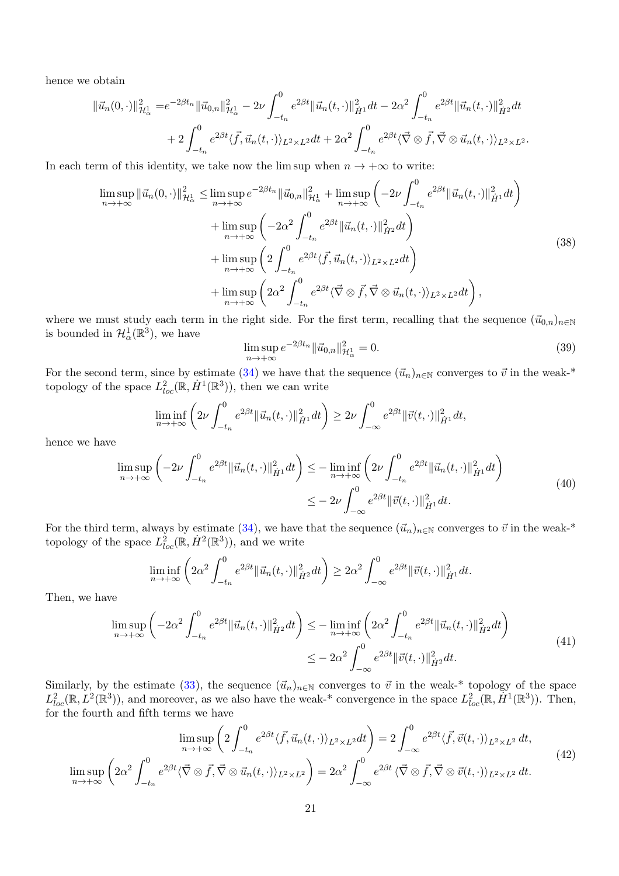hence we obtain

$$
\begin{split} \|\vec{u}_n(0,\cdot)\|_{\mathcal{H}^1_{\alpha}}^2 &= e^{-2\beta t_n} \|\vec{u}_{0,n}\|_{\mathcal{H}^1_{\alpha}}^2 - 2\nu \int_{-t_n}^0 e^{2\beta t} \|\vec{u}_n(t,\cdot)\|_{\dot{H}^1}^2 dt - 2\alpha^2 \int_{-t_n}^0 e^{2\beta t} \|\vec{u}_n(t,\cdot)\|_{\dot{H}^2}^2 dt \\ &+ 2 \int_{-t_n}^0 e^{2\beta t} \langle \vec{f}, \vec{u}_n(t,\cdot) \rangle_{L^2 \times L^2} dt + 2\alpha^2 \int_{-t_n}^0 e^{2\beta t} \langle \vec{\nabla} \otimes \vec{f}, \vec{\nabla} \otimes \vec{u}_n(t,\cdot) \rangle_{L^2 \times L^2} .\end{split}
$$

<span id="page-20-4"></span>In each term of this identity, we take now the lim sup when  $n \to +\infty$  to write:

$$
\limsup_{n \to +\infty} \|\vec{u}_n(0,\cdot)\|_{\mathcal{H}^1_\alpha}^2 \leq \limsup_{n \to +\infty} e^{-2\beta t_n} \|\vec{u}_{0,n}\|_{\mathcal{H}^1_\alpha}^2 + \limsup_{n \to +\infty} \left( -2\nu \int_{-t_n}^0 e^{2\beta t} \|\vec{u}_n(t,\cdot)\|_{\dot{H}^1}^2 dt \right) \n+ \limsup_{n \to +\infty} \left( -2\alpha^2 \int_{-t_n}^0 e^{2\beta t} \|\vec{u}_n(t,\cdot)\|_{\dot{H}^2}^2 dt \right) \n+ \limsup_{n \to +\infty} \left( 2 \int_{-t_n}^0 e^{2\beta t} \langle \vec{f}, \vec{u}_n(t,\cdot) \rangle_{L^2 \times L^2} dt \right) \n+ \limsup_{n \to +\infty} \left( 2\alpha^2 \int_{-t_n}^0 e^{2\beta t} \langle \vec{\nabla} \otimes \vec{f}, \vec{\nabla} \otimes \vec{u}_n(t,\cdot) \rangle_{L^2 \times L^2} dt \right),
$$
\n(38)

where we must study each term in the right side. For the first term, recalling that the sequence  $(\vec{u}_{0,n})_{n\in\mathbb{N}}$ is bounded in  $\mathcal{H}^1_\alpha(\mathbb{R}^3)$ , we have

<span id="page-20-0"></span>
$$
\limsup_{n \to +\infty} e^{-2\beta t_n} \| \vec{u}_{0,n} \|_{\mathcal{H}^1_{\alpha}}^2 = 0.
$$
\n(39)

For the second term, since by estimate [\(34\)](#page-16-3) we have that the sequence  $(\vec{u}_n)_{n\in\mathbb{N}}$  converges to  $\vec{v}$  in the weak-\* topology of the space  $L^2_{loc}(\mathbb{R}, \dot{H}^1(\mathbb{R}^3))$ , then we can write

$$
\liminf_{n \to +\infty} \left( 2\nu \int_{-t_n}^0 e^{2\beta t} \| \vec{u}_n(t, \cdot) \|_{\dot{H}^1}^2 dt \right) \ge 2\nu \int_{-\infty}^0 e^{2\beta t} \| \vec{v}(t, \cdot) \|_{\dot{H}^1}^2 dt,
$$

<span id="page-20-1"></span>hence we have

$$
\limsup_{n \to +\infty} \left( -2\nu \int_{-t_n}^0 e^{2\beta t} \|\vec{u}_n(t,\cdot)\|_{\dot{H}^1}^2 dt \right) \le -\liminf_{n \to +\infty} \left( 2\nu \int_{-t_n}^0 e^{2\beta t} \|\vec{u}_n(t,\cdot)\|_{\dot{H}^1}^2 dt \right) \n\le -2\nu \int_{-\infty}^0 e^{2\beta t} \|\vec{v}(t,\cdot)\|_{\dot{H}^1}^2 dt.
$$
\n(40)

For the third term, always by estimate [\(34\)](#page-16-3), we have that the sequence  $(\vec{u}_n)_{n\in\mathbb{N}}$  converges to  $\vec{v}$  in the weak-\* topology of the space  $L^2_{loc}(\mathbb{R}, \dot{H}^2(\mathbb{R}^3))$ , and we write

$$
\liminf_{n \to +\infty} \left( 2\alpha^2 \int_{-t_n}^0 e^{2\beta t} \| \vec{u}_n(t, \cdot) \|_{\dot{H}^2}^2 dt \right) \ge 2\alpha^2 \int_{-\infty}^0 e^{2\beta t} \| \vec{v}(t, \cdot) \|_{\dot{H}^1}^2 dt.
$$

<span id="page-20-2"></span>Then, we have

$$
\limsup_{n \to +\infty} \left( -2\alpha^2 \int_{-t_n}^0 e^{2\beta t} \| \vec{u}_n(t, \cdot) \|_{\dot{H}^2}^2 dt \right) \le -\liminf_{n \to +\infty} \left( 2\alpha^2 \int_{-t_n}^0 e^{2\beta t} \| \vec{u}_n(t, \cdot) \|_{\dot{H}^2}^2 dt \right)
$$
\n
$$
\le -2\alpha^2 \int_{-\infty}^0 e^{2\beta t} \| \vec{v}(t, \cdot) \|_{\dot{H}^2}^2 dt.
$$
\n(41)

Similarly, by the estimate [\(33\)](#page-16-2), the sequence  $(\vec{u}_n)_{n\in\mathbb{N}}$  converges to  $\vec{v}$  in the weak-\* topology of the space  $L^2_{loc}(\mathbb{R}, L^2(\mathbb{R}^3))$ , and moreover, as we also have the weak-\* convergence in the space  $L^2_{loc}(\mathbb{R}, \dot{H}^1(\mathbb{R}^3))$ . Then, for the fourth and fifth terms we have

<span id="page-20-3"></span>
$$
\limsup_{n \to +\infty} \left( 2 \int_{-t_n}^0 e^{2\beta t} \langle \vec{f}, \vec{u}_n(t, \cdot) \rangle_{L^2 \times L^2} dt \right) = 2 \int_{-\infty}^0 e^{2\beta t} \langle \vec{f}, \vec{v}(t, \cdot) \rangle_{L^2 \times L^2} dt,
$$
\n
$$
\limsup_{n \to +\infty} \left( 2\alpha^2 \int_{-t_n}^0 e^{2\beta t} \langle \vec{\nabla} \otimes \vec{f}, \vec{\nabla} \otimes \vec{u}_n(t, \cdot) \rangle_{L^2 \times L^2} \right) = 2\alpha^2 \int_{-\infty}^0 e^{2\beta t} \langle \vec{\nabla} \otimes \vec{f}, \vec{\nabla} \otimes \vec{v}(t, \cdot) \rangle_{L^2 \times L^2} dt.
$$
\n(42)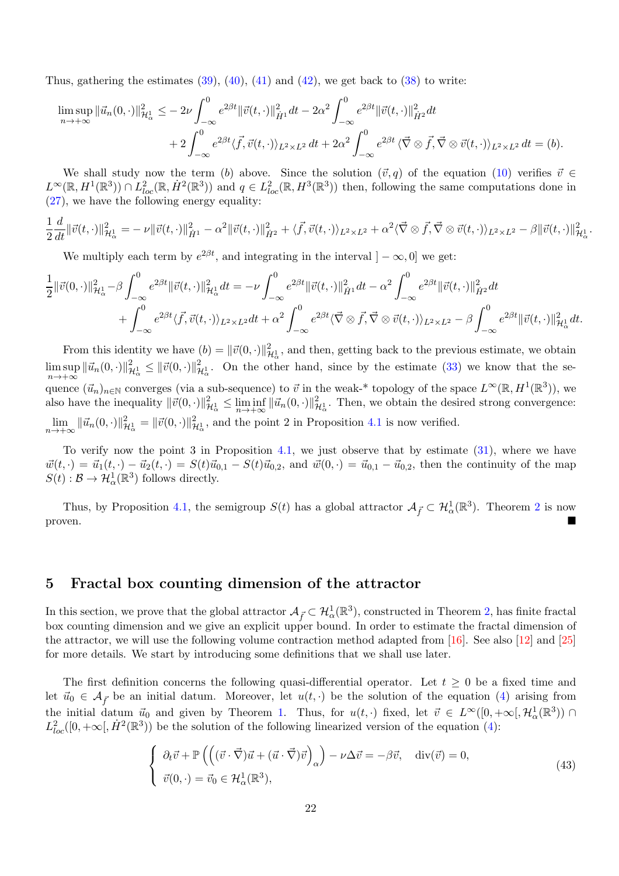Thus, gathering the estimates  $(39)$ ,  $(40)$ ,  $(41)$  and  $(42)$ , we get back to  $(38)$  to write:

$$
\limsup_{n \to +\infty} \|\vec{u}_n(0,\cdot)\|_{\mathcal{H}^1_{\alpha}}^2 \leq -2\nu \int_{-\infty}^0 e^{2\beta t} \|\vec{v}(t,\cdot)\|_{\dot{H}^1}^2 dt - 2\alpha^2 \int_{-\infty}^0 e^{2\beta t} \|\vec{v}(t,\cdot)\|_{\dot{H}^2}^2 dt \n+ 2 \int_{-\infty}^0 e^{2\beta t} \langle \vec{f}, \vec{v}(t,\cdot) \rangle_{L^2 \times L^2} dt + 2\alpha^2 \int_{-\infty}^0 e^{2\beta t} \langle \vec{\nabla} \otimes \vec{f}, \vec{\nabla} \otimes \vec{v}(t,\cdot) \rangle_{L^2 \times L^2} dt = (b).
$$

We shall study now the term (b) above. Since the solution  $(\vec{v}, q)$  of the equation [\(10\)](#page-6-1) verifies  $\vec{v} \in$  $L^{\infty}(\mathbb{R}, H^1(\mathbb{R}^3)) \cap L^2_{loc}(\mathbb{R}, H^2(\mathbb{R}^3))$  and  $q \in L^2_{loc}(\mathbb{R}, H^3(\mathbb{R}^3))$  then, following the same computations done in [\(27\)](#page-11-3), we have the following energy equality:

$$
\frac{1}{2}\frac{d}{dt}\|\vec{v}(t,\cdot)\|_{\mathcal{H}^1_\alpha}^2 = -\nu\|\vec{v}(t,\cdot)\|_{\dot{H}^1}^2 - \alpha^2\|\vec{v}(t,\cdot)\|_{\dot{H}^2}^2 + \langle\vec{f},\vec{v}(t,\cdot)\rangle_{L^2\times L^2} + \alpha^2\langle\vec{\nabla}\otimes\vec{f},\vec{\nabla}\otimes\vec{v}(t,\cdot)\rangle_{L^2\times L^2} - \beta\|\vec{v}(t,\cdot)\|_{\mathcal{H}^1_\alpha}^2.
$$

We multiply each term by  $e^{2\beta t}$ , and integrating in the interval  $]-\infty,0]$  we get:

$$
\frac{1}{2} \|\vec{v}(0,\cdot)\|_{\mathcal{H}^1_{\alpha}}^2 - \beta \int_{-\infty}^0 e^{2\beta t} \|\vec{v}(t,\cdot)\|_{\mathcal{H}^1_{\alpha}}^2 dt = -\nu \int_{-\infty}^0 e^{2\beta t} \|\vec{v}(t,\cdot)\|_{\dot{H}^1}^2 dt - \alpha^2 \int_{-\infty}^0 e^{2\beta t} \|\vec{v}(t,\cdot)\|_{\dot{H}^2}^2 dt \n+ \int_{-\infty}^0 e^{2\beta t} \langle \vec{f}, \vec{v}(t,\cdot) \rangle_{L^2 \times L^2} dt + \alpha^2 \int_{-\infty}^0 e^{2\beta t} \langle \vec{\nabla} \otimes \vec{f}, \vec{\nabla} \otimes \vec{v}(t,\cdot) \rangle_{L^2 \times L^2} - \beta \int_{-\infty}^0 e^{2\beta t} \|\vec{v}(t,\cdot)\|_{\mathcal{H}^1_{\alpha}}^2 dt.
$$

From this identity we have  $(b) = ||\vec{v}(0, \cdot)||_{\mathcal{H}^1_\alpha}^2$ , and then, getting back to the previous estimate, we obtain  $\limsup \| \vec{u}_n(0, \cdot) \|_{\mathcal{H}^1}^2 \leq \| \vec{v}(0, \cdot) \|_{\mathcal{H}^1}^2$ . On the oth  $\limsup_{n\to+\infty} \|\vec{u}_n(0,\cdot)\|_{\mathcal{H}^1_\alpha}^2 \leq \|\vec{v}(0,\cdot)\|_{\mathcal{H}^1_\alpha}^2$ . On the other hand, since by the estimate [\(33\)](#page-16-2) we know that the sequence  $(\vec{u}_n)_{n\in\mathbb{N}}$  converges (via a sub-sequence) to  $\vec{v}$  in the weak-\* topology of the space  $L^{\infty}(\mathbb{R}, H^1(\mathbb{R}^3))$ , we also have the inequality  $\|\vec{v}(0, \cdot)\|_{\mathcal{H}^1_\alpha}^2 \leq \liminf_{n \to +\infty} \|\vec{u}_n(0, \cdot)\|_{\mathcal{H}^1_\alpha}^2$ . Then, we obtain the desired strong convergence:  $\lim_{n\to+\infty} ||\vec{u}_n(0,\cdot)||_{\mathcal{H}^1_{\alpha}}^2 = ||\vec{v}(0,\cdot)||_{\mathcal{H}^1_{\alpha}}^2$ , and the point 2 in Proposition [4.1](#page-15-2) is now verified.

To verify now the point 3 in Proposition [4.1,](#page-15-2) we just observe that by estimate [\(31\)](#page-13-1), where we have  $\vec{w}(t, \cdot) = \vec{u}_1(t, \cdot) - \vec{u}_2(t, \cdot) = S(t)\vec{u}_{0,1} - S(t)\vec{u}_{0,2}$ , and  $\vec{w}(0, \cdot) = \vec{u}_{0,1} - \vec{u}_{0,2}$ , then the continuity of the map  $S(t): \mathcal{B} \to \mathcal{H}^1_\alpha(\mathbb{R}^3)$  follows directly.

Thus, by Proposition [4.1,](#page-15-2) the semigroup  $S(t)$  has a global attractor  $\mathcal{A}_{\vec{f}} \subset \mathcal{H}^1_\alpha(\mathbb{R}^3)$ . Theorem [2](#page-5-2) is now proven.

## <span id="page-21-0"></span>5 Fractal box counting dimension of the attractor

In this section, we prove that the global attractor  $\mathcal{A}_{f} \subset \mathcal{H}^1_\alpha(\mathbb{R}^3)$ , constructed in Theorem [2,](#page-5-2) has finite fractal box counting dimension and we give an explicit upper bound. In order to estimate the fractal dimension of the attractor, we will use the following volume contraction method adapted from [\[16\]](#page-39-10). See also [\[12\]](#page-39-15) and [\[25\]](#page-40-5) for more details. We start by introducing some definitions that we shall use later.

The first definition concerns the following quasi-differential operator. Let  $t > 0$  be a fixed time and let  $\vec{u}_0 \in \mathcal{A}_{\vec{f}}$  be an initial datum. Moreover, let  $u(t, \cdot)$  be the solution of the equation [\(4\)](#page-3-0) arising from the initial datum  $\vec{u}_0$  and given by Theorem [1.](#page-4-1) Thus, for  $u(t, \cdot)$  fixed, let  $\vec{v} \in L^{\infty}([0, +\infty[, \mathcal{H}_\alpha^1(\mathbb{R}^3)) \cap$  $L^2_{loc}([0,+\infty], \dot{H}^2(\mathbb{R}^3))$  be the solution of the following linearized version of the equation [\(4\)](#page-3-0):

<span id="page-21-1"></span>
$$
\begin{cases}\n\partial_t \vec{v} + \mathbb{P}\left(\left((\vec{v} \cdot \vec{\nabla})\vec{u} + (\vec{u} \cdot \vec{\nabla})\vec{v}\right)_\alpha\right) - \nu \Delta \vec{v} = -\beta \vec{v}, \quad \text{div}(\vec{v}) = 0, \\
\vec{v}(0, \cdot) = \vec{v}_0 \in \mathcal{H}_\alpha^1(\mathbb{R}^3),\n\end{cases}
$$
\n(43)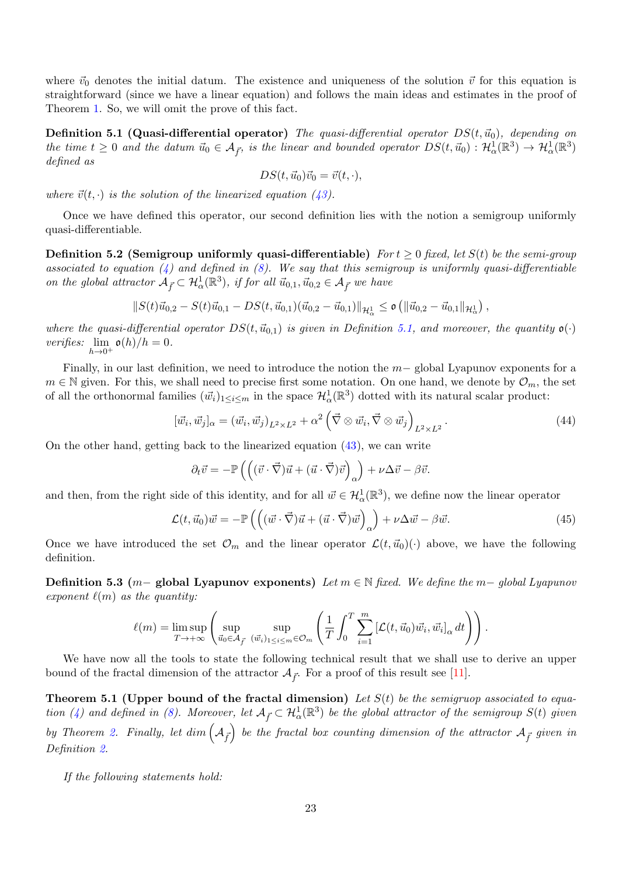where  $\vec{v}_0$  denotes the initial datum. The existence and uniqueness of the solution  $\vec{v}$  for this equation is straightforward (since we have a linear equation) and follows the main ideas and estimates in the proof of Theorem [1.](#page-4-1) So, we will omit the prove of this fact.

<span id="page-22-0"></span>**Definition 5.1 (Quasi-differential operator)** The quasi-differential operator  $DS(t, \vec{u}_0)$ , depending on the time  $t \geq 0$  and the datum  $\vec{u}_0 \in A_{\vec{f}}$ , is the linear and bounded operator  $DS(t, \vec{u}_0) : \mathcal{H}^1_\alpha(\mathbb{R}^3) \to \mathcal{H}^1_\alpha(\mathbb{R}^3)$ defined as

$$
DS(t, \vec{u}_0)\vec{v}_0 = \vec{v}(t, \cdot),
$$

where  $\vec{v}(t, \cdot)$  is the solution of the linearized equation [\(43\)](#page-21-1).

<span id="page-22-1"></span>Once we have defined this operator, our second definition lies with the notion a semigroup uniformly quasi-differentiable.

**Definition 5.2 (Semigroup uniformly quasi-differentiable)** For  $t > 0$  fixed, let  $S(t)$  be the semi-group associated to equation  $(4)$  and defined in  $(8)$ . We say that this semigroup is uniformly quasi-differentiable on the global attractor  $A_{\vec{f}} \subset H^1_\alpha(\mathbb{R}^3)$ , if for all  $\vec{u}_{0,1}, \vec{u}_{0,2} \in A_{\vec{f}}$  we have

$$
||S(t)\vec{u}_{0,2} - S(t)\vec{u}_{0,1} - DS(t,\vec{u}_{0,1})(\vec{u}_{0,2} - \vec{u}_{0,1})||_{\mathcal{H}^1_{\alpha}} \leq \mathfrak{o}\left(||\vec{u}_{0,2} - \vec{u}_{0,1}||_{\mathcal{H}^1_{\alpha}}\right),
$$

where the quasi-differential operator  $DS(t, \vec{u}_{0,1})$  is given in Definition [5.1,](#page-22-0) and moreover, the quantity  $\mathfrak{o}(\cdot)$ verifies: lim  $h\rightarrow 0^+$  $\mathfrak{o}(h)/h = 0.$ 

Finally, in our last definition, we need to introduce the notion the m− global Lyapunov exponents for a  $m \in \mathbb{N}$  given. For this, we shall need to precise first some notation. On one hand, we denote by  $\mathcal{O}_m$ , the set of all the orthonormal families  $(\vec{w}_i)_{1 \leq i \leq m}$  in the space  $\mathcal{H}^1_\alpha(\mathbb{R}^3)$  dotted with its natural scalar product:

<span id="page-22-5"></span>
$$
[\vec{w_i}, \vec{w_j}]_{\alpha} = (\vec{w_i}, \vec{w_j})_{L^2 \times L^2} + \alpha^2 \left( \vec{\nabla} \otimes \vec{w_i}, \vec{\nabla} \otimes \vec{w_j} \right)_{L^2 \times L^2}.
$$
\n(44)

On the other hand, getting back to the linearized equation  $(43)$ , we can write

$$
\partial_t \vec{v} = -\mathbb{P}\left( \left( (\vec{v} \cdot \vec{\nabla})\vec{u} + (\vec{u} \cdot \vec{\nabla})\vec{v} \right)_\alpha \right) + \nu \Delta \vec{v} - \beta \vec{v}.
$$

and then, from the right side of this identity, and for all  $\vec{w} \in \mathcal{H}^1_\alpha(\mathbb{R}^3)$ , we define now the linear operator

<span id="page-22-4"></span>
$$
\mathcal{L}(t, \vec{u}_0)\vec{w} = -\mathbb{P}\left(\left((\vec{w}\cdot\vec{\nabla})\vec{u} + (\vec{u}\cdot\vec{\nabla})\vec{w}\right)_{\alpha}\right) + \nu\Delta\vec{w} - \beta\vec{w}.\tag{45}
$$

<span id="page-22-2"></span>Once we have introduced the set  $\mathcal{O}_m$  and the linear operator  $\mathcal{L}(t, \vec{u}_0)(\cdot)$  above, we have the following definition.

**Definition 5.3** (m– global Lyapunov exponents) Let  $m \in \mathbb{N}$  fixed. We define the m– global Lyapunov exponent  $\ell(m)$  as the quantity:

$$
\ell(m) = \limsup_{T \to +\infty} \left( \sup_{\vec{u}_0 \in \mathcal{A}_{\vec{f}}} \sup_{(\vec{w}_i)_{1 \leq i \leq m} \in \mathcal{O}_m} \left( \frac{1}{T} \int_0^T \sum_{i=1}^m \left[ \mathcal{L}(t, \vec{u}_0) \vec{w}_i, \vec{w}_i \right]_{\alpha} dt \right) \right).
$$

<span id="page-22-3"></span>We have now all the tools to state the following technical result that we shall use to derive an upper bound of the fractal dimension of the attractor  $A_{\vec{f}}$ . For a proof of this result see [\[11\]](#page-39-16).

Theorem 5.1 (Upper bound of the fractal dimension) Let  $S(t)$  be the semigruop associated to equa-tion [\(4\)](#page-3-0) and defined in [\(8\)](#page-5-0). Moreover, let  $A_{\vec{f}} \subset H^1_\alpha(\mathbb{R}^3)$  be the global attractor of the semigroup  $S(t)$  given by Theorem [2.](#page-5-2) Finally, let  $dim (\mathcal{A}_{\tilde{f}})$ be the fractal box counting dimension of the attractor  $A_{\vec{f}}$  given in Definition [2.](#page-6-2)

If the following statements hold: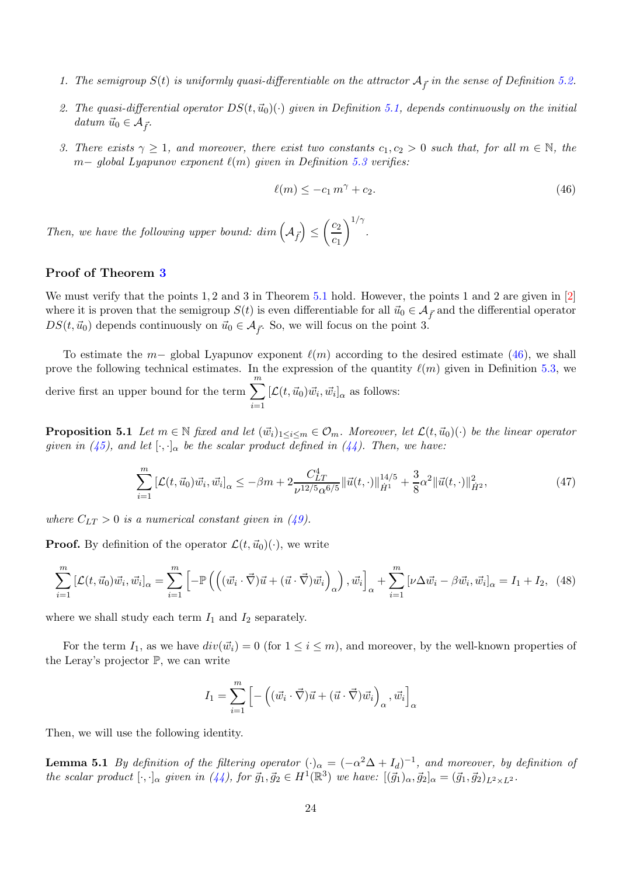- 1. The semigroup  $S(t)$  is uniformly quasi-differentiable on the attractor  $A_f^-$  in the sense of Definition [5.2.](#page-22-1)
- 2. The quasi-differential operator  $DS(t, \vec{u}_0)(\cdot)$  given in Definition [5.1,](#page-22-0) depends continuously on the initial datum  $\vec{u}_0 \in \mathcal{A}_{\vec{f}}$ .
- 3. There exists  $\gamma \geq 1$ , and moreover, there exist two constants  $c_1, c_2 > 0$  such that, for all  $m \in \mathbb{N}$ , the  $m-$  global Lyapunov exponent  $\ell(m)$  given in Definition [5.3](#page-22-2) verifies:

<span id="page-23-0"></span>
$$
\ell(m) \le -c_1 m^{\gamma} + c_2. \tag{46}
$$

Then, we have the following upper bound:  $dim (\mathcal{A}_f)$  $\overline{\Lambda}$ ≤  $\int_{0}^{1}$  $c_1$  $\setminus$ <sup>1/γ</sup> .

## Proof of Theorem [3](#page-6-3)

We must verify that the points 1, 2 and 3 in Theorem [5.1](#page-22-3) hold. However, the points 1 and 2 are given in [\[2\]](#page-39-12) where it is proven that the semigroup  $S(t)$  is even differentiable for all  $\vec{u}_0 \in A_{\vec{f}}$  and the differential operator  $DS(t, \vec{u}_0)$  depends continuously on  $\vec{u}_0 \in \mathcal{A}_{\vec{f}}$ . So, we will focus on the point 3.

To estimate the m– global Lyapunov exponent  $\ell(m)$  according to the desired estimate [\(46\)](#page-23-0), we shall prove the following technical estimates. In the expression of the quantity  $\ell(m)$  given in Definition [5.3,](#page-22-2) we derive first an upper bound for the term  $\sum_{n=1}^{m}$  $i=1$  $[\mathcal{L}(t, \vec{u}_0)\vec{w}_i, \vec{w}_i]_{\alpha}$  as follows:

<span id="page-23-2"></span>**Proposition 5.1** Let  $m \in \mathbb{N}$  fixed and let  $(\vec{w}_i)_{1 \leq i \leq m} \in \mathcal{O}_m$ . Moreover, let  $\mathcal{L}(t, \vec{u}_0)(\cdot)$  be the linear operator given in [\(45\)](#page-22-4), and let  $[\cdot, \cdot]_{\alpha}$  be the scalar product defined in [\(44\)](#page-22-5). Then, we have:

<span id="page-23-3"></span>
$$
\sum_{i=1}^{m} \left[ \mathcal{L}(t, \vec{u}_0) \vec{w}_i, \vec{w}_i \right]_{\alpha} \leq -\beta m + 2 \frac{C_{LT}^4}{\nu^{12/5} \alpha^{6/5}} \| \vec{u}(t, \cdot) \|_{\dot{H}^1}^{14/5} + \frac{3}{8} \alpha^2 \| \vec{u}(t, \cdot) \|_{\dot{H}^2}^2,
$$
\n(47)

where  $C_{LT} > 0$  is a numerical constant given in [\(49\)](#page-24-0).

**Proof.** By definition of the operator  $\mathcal{L}(t, \vec{u}_0)(\cdot)$ , we write

<span id="page-23-1"></span>
$$
\sum_{i=1}^{m} \left[ \mathcal{L}(t, \vec{u}_0) \vec{w}_i, \vec{w}_i \right]_{\alpha} = \sum_{i=1}^{m} \left[ -\mathbb{P}\left( \left( (\vec{w}_i \cdot \vec{\nabla}) \vec{u} + (\vec{u} \cdot \vec{\nabla}) \vec{w}_i \right)_{\alpha} \right), \vec{w}_i \right]_{\alpha} + \sum_{i=1}^{m} \left[ \nu \Delta \vec{w}_i - \beta \vec{w}_i, \vec{w}_i \right]_{\alpha} = I_1 + I_2, \tag{48}
$$

where we shall study each term  $I_1$  and  $I_2$  separately.

For the term  $I_1$ , as we have  $div(\vec{w}_i) = 0$  (for  $1 \leq i \leq m$ ), and moreover, by the well-known properties of the Leray's projector  $\mathbb{P}$ , we can write

$$
I_1 = \sum_{i=1}^{m} \left[ -\left( (\vec{w_i} \cdot \vec{\nabla}) \vec{u} + (\vec{u} \cdot \vec{\nabla}) \vec{w_i} \right)_{\alpha}, \vec{w_i} \right]_{\alpha}
$$

Then, we will use the following identity.

**Lemma 5.1** By definition of the filtering operator  $\left(\cdot\right)_{\alpha} = \left(-\alpha^2 \Delta + I_d\right)^{-1}$ , and moreover, by definition of the scalar product  $[\cdot, \cdot]_{\alpha}$  given in  $(44)$ , for  $\vec{g}_1, \vec{g}_2 \in H^1(\mathbb{R}^3)$  we have:  $[(\vec{g}_1)_{\alpha}, \vec{g}_2]_{\alpha} = (\vec{g}_1, \vec{g}_2)_{L^2 \times L^2}$ .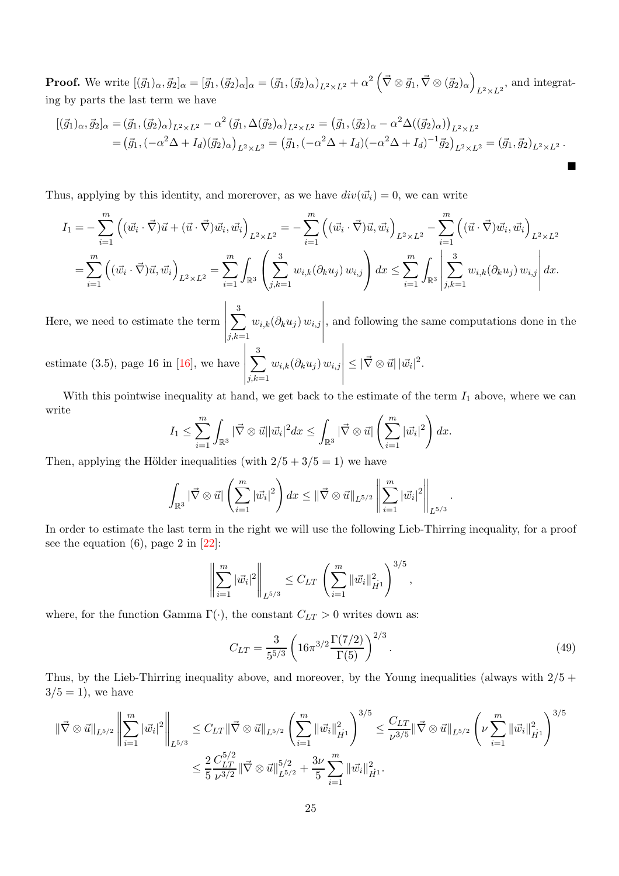**Proof.** We write  $[(\vec{g}_1)_\alpha, \vec{g}_2]_\alpha = [\vec{g}_1, (\vec{g}_2)_\alpha]_\alpha = (\vec{g}_1,(\vec{g}_2)_\alpha)_{L^2 \times L^2} + \alpha^2 \left( \vec{\nabla} \otimes \vec{g}_1, \vec{\nabla} \otimes (\vec{g}_2)_\alpha \right)$  $L^2 \times L^2$ , and integrating by parts the last term we have

$$
\begin{split} [(\vec{g}_1)_{\alpha}, \vec{g}_2]_{\alpha} &= (\vec{g}_1, (\vec{g}_2)_{\alpha})_{L^2 \times L^2} - \alpha^2 (\vec{g}_1, \Delta(\vec{g}_2)_{\alpha})_{L^2 \times L^2} = (\vec{g}_1, (\vec{g}_2)_{\alpha} - \alpha^2 \Delta((\vec{g}_2)_{\alpha}))_{L^2 \times L^2} \\ &= (\vec{g}_1, (-\alpha^2 \Delta + I_d)(\vec{g}_2)_{\alpha})_{L^2 \times L^2} = (\vec{g}_1, (-\alpha^2 \Delta + I_d)(-\alpha^2 \Delta + I_d)^{-1} \vec{g}_2)_{L^2 \times L^2} = (\vec{g}_1, \vec{g}_2)_{L^2 \times L^2} \,. \end{split}
$$

 $\blacksquare$ 

Thus, applying by this identity, and morerover, as we have  $div(\vec{w_i}) = 0$ , we can write

 $j,k=1$ 

$$
I_{1} = -\sum_{i=1}^{m} \left( (\vec{w}_{i} \cdot \vec{\nabla}) \vec{u} + (\vec{u} \cdot \vec{\nabla}) \vec{w}_{i}, \vec{w}_{i} \right)_{L^{2} \times L^{2}} = -\sum_{i=1}^{m} \left( (\vec{w}_{i} \cdot \vec{\nabla}) \vec{u}, \vec{w}_{i} \right)_{L^{2} \times L^{2}} - \sum_{i=1}^{m} \left( (\vec{u} \cdot \vec{\nabla}) \vec{w}_{i}, \vec{w}_{i} \right)_{L^{2} \times L^{2}}
$$
  

$$
= \sum_{i=1}^{m} \left( (\vec{w}_{i} \cdot \vec{\nabla}) \vec{u}, \vec{w}_{i} \right)_{L^{2} \times L^{2}} = \sum_{i=1}^{m} \int_{\mathbb{R}^{3}} \left( \sum_{j,k=1}^{3} w_{i,k} (\partial_{k} u_{j}) w_{i,j} \right) dx \leq \sum_{i=1}^{m} \int_{\mathbb{R}^{3}} \left| \sum_{j,k=1}^{3} w_{i,k} (\partial_{k} u_{j}) w_{i,j} \right| dx.
$$

Here, we need to estimate the term  $\sum$  $_{j,k=1}$  $w_{i,k}(\partial_k u_j)\,w_{i,j}$  $\begin{array}{c} \begin{array}{c} \begin{array}{c} \end{array}\\ \begin{array}{c} \end{array}\\ \begin{array}{c} \end{array}\\ \begin{array}{c} \end{array}\\ \begin{array}{c} \end{array}\\ \begin{array}{c} \end{array}\\ \begin{array}{c} \end{array}\\ \begin{array}{c} \end{array}\\ \begin{array}{c} \end{array}\\ \begin{array}{c} \end{array}\\ \begin{array}{c} \end{array}\\ \begin{array}{c} \end{array}\\ \begin{array}{c} \end{array}\\ \begin{array}{c} \end{array}\\ \begin{array}{c} \end{array}\\ \begin{array}{c} \end{array}\\ \begin{array}{c} \end{array}\\ \begin$ , and following the same computations done in the estimate  $(3.5)$ , page 16 in  $[16]$ , we have  $\begin{array}{c} \begin{array}{c} \begin{array}{c} \begin{array}{c} \end{array} \\ \end{array} \\ \begin{array}{c} \end{array} \end{array} \end{array} \end{array}$  $\sum_{ }^{3}$  $w_{i,k}(\partial_k u_j)\,w_{i,j}$  $\begin{array}{c} \begin{array}{c} \begin{array}{c} \begin{array}{c} \end{array}\\ \end{array} \end{array} \end{array}$  $\leq |\vec{\nabla} \otimes \vec{u}| |\vec{w_i}|^2.$ 

With this pointwise inequality at hand, we get back to the estimate of the term  $I_1$  above, where we can write

$$
I_1 \leq \sum_{i=1}^m \int_{\mathbb{R}^3} |\vec{\nabla} \otimes \vec{u}| |\vec{w_i}|^2 dx \leq \int_{\mathbb{R}^3} |\vec{\nabla} \otimes \vec{u}| \left( \sum_{i=1}^m |\vec{w_i}|^2 \right) dx.
$$

Then, applying the Hölder inequalities (with  $2/5 + 3/5 = 1$ ) we have

$$
\int_{\mathbb{R}^3} |\vec{\nabla} \otimes \vec{u}| \left( \sum_{i=1}^m |\vec{w_i}|^2 \right) dx \leq ||\vec{\nabla} \otimes \vec{u}||_{L^{5/2}} \left\| \sum_{i=1}^m |\vec{w_i}|^2 \right\|_{L^{5/3}}.
$$

In order to estimate the last term in the right we will use the following Lieb-Thirring inequality, for a proof see the equation  $(6)$ , page 2 in  $[22]$ :

$$
\left\| \sum_{i=1}^m |\vec{w}_i|^2 \right\|_{L^{5/3}} \leq C_{LT} \left( \sum_{i=1}^m \|\vec{w}_i\|_{\dot{H}^1}^2 \right)^{3/5},
$$

where, for the function Gamma  $\Gamma(\cdot)$ , the constant  $C_{LT} > 0$  writes down as:

<span id="page-24-0"></span>
$$
C_{LT} = \frac{3}{5^{5/3}} \left( 16\pi^{3/2} \frac{\Gamma(7/2)}{\Gamma(5)} \right)^{2/3}.
$$
\n(49)

Thus, by the Lieb-Thirring inequality above, and moreover, by the Young inequalities (always with  $2/5 +$  $3/5 = 1$ , we have

$$
\begin{aligned} \|\vec{\nabla} \otimes \vec{u}\|_{L^{5/2}} \left\| \sum_{i=1}^{m} |\vec{w_i}|^2 \right\|_{L^{5/3}} &\leq C_{LT} \|\vec{\nabla} \otimes \vec{u}\|_{L^{5/2}} \left( \sum_{i=1}^{m} \|\vec{w_i}\|_{\vec{H}^1}^2 \right)^{3/5} \leq \frac{C_{LT}}{\nu^{3/5}} \|\vec{\nabla} \otimes \vec{u}\|_{L^{5/2}} \left( \nu \sum_{i=1}^{m} \|\vec{w_i}\|_{\vec{H}^1}^2 \right)^{3/5} \\ &\leq \frac{2}{5} \frac{C_{LT}^{5/2}}{\nu^{3/2}} \|\vec{\nabla} \otimes \vec{u}\|_{L^{5/2}}^{5/2} + \frac{3\nu}{5} \sum_{i=1}^{m} \|\vec{w_i}\|_{\vec{H}^1}^2. \end{aligned}
$$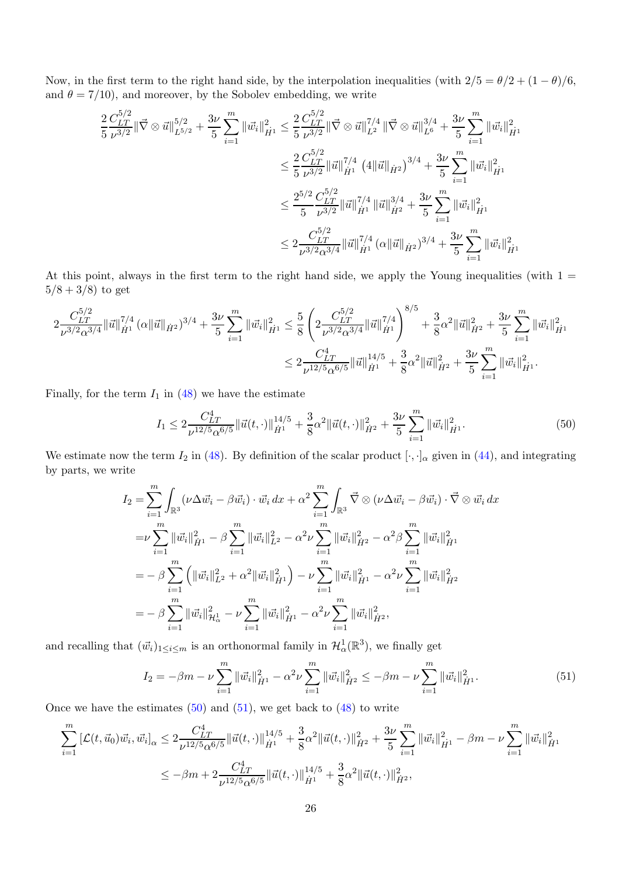Now, in the first term to the right hand side, by the interpolation inequalities (with  $2/5 = \theta/2 + (1 - \theta)/6$ , and  $\theta = 7/10$ , and moreover, by the Sobolev embedding, we write

$$
\frac{2}{5} \frac{C_{LT}^{5/2}}{\nu^{3/2}} \|\vec{\nabla} \otimes \vec{u}\|_{L^{5/2}}^{5/2} + \frac{3\nu}{5} \sum_{i=1}^{m} \|\vec{w}_{i}\|_{\dot{H}^{1}}^{2} \leq \frac{2}{5} \frac{C_{LT}^{5/2}}{\nu^{3/2}} \|\vec{\nabla} \otimes \vec{u}\|_{L^{2}}^{7/4} \|\vec{\nabla} \otimes \vec{u}\|_{L^{6}}^{3/4} + \frac{3\nu}{5} \sum_{i=1}^{m} \|\vec{w}_{i}\|_{\dot{H}^{1}}^{2}
$$
  

$$
\leq \frac{2}{5} \frac{C_{LT}^{5/2}}{\nu^{3/2}} \|\vec{u}\|_{\dot{H}^{1}}^{7/4} \left(4\|\vec{u}\|_{\dot{H}^{2}}\right)^{3/4} + \frac{3\nu}{5} \sum_{i=1}^{m} \|\vec{w}_{i}\|_{\dot{H}^{1}}^{2}
$$
  

$$
\leq \frac{2^{5/2}}{5} \frac{C_{LT}^{5/2}}{\nu^{3/2}} \|\vec{u}\|_{\dot{H}^{1}}^{7/4} \|\vec{u}\|_{\dot{H}^{2}}^{3/4} + \frac{3\nu}{5} \sum_{i=1}^{m} \|\vec{w}_{i}\|_{\dot{H}^{1}}^{2}
$$
  

$$
\leq 2 \frac{C_{LT}^{5/2}}{\nu^{3/2} \alpha^{3/4}} \|\vec{u}\|_{\dot{H}^{1}}^{7/4} (\alpha \|\vec{u}\|_{\dot{H}^{2}})^{3/4} + \frac{3\nu}{5} \sum_{i=1}^{m} \|\vec{w}_{i}\|_{\dot{H}^{1}}^{2}
$$

At this point, always in the first term to the right hand side, we apply the Young inequalities (with  $1 =$  $5/8 + 3/8$  to get

$$
2\frac{C_{LT}^{5/2}}{\nu^{3/2}\alpha^{3/4}}\|\vec{u}\|_{\dot{H}^{1}}^{7/4}(\alpha\|\vec{u}\|_{\dot{H}^{2}})^{3/4} + \frac{3\nu}{5}\sum_{i=1}^{m}\|\vec{w}_{i}\|_{\dot{H}^{1}}^{2} \leq \frac{5}{8}\left(2\frac{C_{LT}^{5/2}}{\nu^{3/2}\alpha^{3/4}}\|\vec{u}\|_{\dot{H}^{1}}^{7/4}\right)^{8/5} + \frac{3}{8}\alpha^{2}\|\vec{u}\|_{\dot{H}^{2}}^{2} + \frac{3\nu}{5}\sum_{i=1}^{m}\|\vec{w}_{i}\|_{\dot{H}^{1}}^{2}
$$

$$
\leq 2\frac{C_{LT}^{4}}{\nu^{12/5}\alpha^{6/5}}\|\vec{u}\|_{\dot{H}^{1}}^{14/5} + \frac{3}{8}\alpha^{2}\|\vec{u}\|_{\dot{H}^{2}}^{2} + \frac{3\nu}{5}\sum_{i=1}^{m}\|\vec{w}_{i}\|_{\dot{H}^{1}}^{2}.
$$

Finally, for the term  $I_1$  in [\(48\)](#page-23-1) we have the estimate

<span id="page-25-0"></span>
$$
I_1 \leq 2 \frac{C_{LT}^4}{\nu^{12/5} \alpha^{6/5}} \| \vec{u}(t, \cdot) \|_{\dot{H}^1}^{14/5} + \frac{3}{8} \alpha^2 \| \vec{u}(t, \cdot) \|_{\dot{H}^2}^2 + \frac{3\nu}{5} \sum_{i=1}^m \| \vec{w}_i \|_{\dot{H}^1}^2.
$$
 (50)

We estimate now the term  $I_2$  in [\(48\)](#page-23-1). By definition of the scalar product  $[\cdot, \cdot]_{\alpha}$  given in [\(44\)](#page-22-5), and integrating by parts, we write

$$
I_2 = \sum_{i=1}^m \int_{\mathbb{R}^3} (\nu \Delta \vec{w_i} - \beta \vec{w_i}) \cdot \vec{w_i} \, dx + \alpha^2 \sum_{i=1}^m \int_{\mathbb{R}^3} \vec{\nabla} \otimes (\nu \Delta \vec{w_i} - \beta \vec{w_i}) \cdot \vec{\nabla} \otimes \vec{w_i} \, dx
$$
  
\n
$$
= \nu \sum_{i=1}^m \|\vec{w_i}\|_{\dot{H}^1}^2 - \beta \sum_{i=1}^m \|\vec{w_i}\|_{L^2}^2 - \alpha^2 \nu \sum_{i=1}^m \|\vec{w_i}\|_{\dot{H}^2}^2 - \alpha^2 \beta \sum_{i=1}^m \|\vec{w_i}\|_{\dot{H}^1}^2
$$
  
\n
$$
= -\beta \sum_{i=1}^m \left( \|\vec{w_i}\|_{L^2}^2 + \alpha^2 \|\vec{w_i}\|_{\dot{H}^1}^2 \right) - \nu \sum_{i=1}^m \|\vec{w_i}\|_{\dot{H}^1}^2 - \alpha^2 \nu \sum_{i=1}^m \|\vec{w_i}\|_{\dot{H}^2}^2
$$
  
\n
$$
= -\beta \sum_{i=1}^m \|\vec{w_i}\|_{\mathcal{H}^1_{\alpha}}^2 - \nu \sum_{i=1}^m \|\vec{w_i}\|_{\dot{H}^1}^2 - \alpha^2 \nu \sum_{i=1}^m \|\vec{w_i}\|_{\dot{H}^2}^2,
$$

and recalling that  $(\vec{w_i})_{1 \leq i \leq m}$  is an orthonormal family in  $\mathcal{H}^1_\alpha(\mathbb{R}^3)$ , we finally get

<span id="page-25-1"></span>
$$
I_2 = -\beta m - \nu \sum_{i=1}^m \|\vec{w}_i\|_{\dot{H}^1}^2 - \alpha^2 \nu \sum_{i=1}^m \|\vec{w}_i\|_{\dot{H}^2}^2 \leq -\beta m - \nu \sum_{i=1}^m \|\vec{w}_i\|_{\dot{H}^1}^2.
$$
 (51)

Once we have the estimates  $(50)$  and  $(51)$ , we get back to  $(48)$  to write

$$
\sum_{i=1}^{m} [\mathcal{L}(t, \vec{u}_0)\vec{w}_i, \vec{w}_i]_{\alpha} \leq 2 \frac{C_{LT}^4}{\nu^{12/5} \alpha^{6/5}} \|\vec{u}(t, \cdot)\|_{\dot{H}^1}^{14/5} + \frac{3}{8} \alpha^2 \|\vec{u}(t, \cdot)\|_{\dot{H}^2}^2 + \frac{3\nu}{5} \sum_{i=1}^{m} \|\vec{w}_i\|_{\dot{H}^1}^2 - \beta m - \nu \sum_{i=1}^{m} \|\vec{w}_i\|_{\dot{H}^1}^2
$$
  

$$
\leq -\beta m + 2 \frac{C_{LT}^4}{\nu^{12/5} \alpha^{6/5}} \|\vec{u}(t, \cdot)\|_{\dot{H}^1}^{14/5} + \frac{3}{8} \alpha^2 \|\vec{u}(t, \cdot)\|_{\dot{H}^2}^2,
$$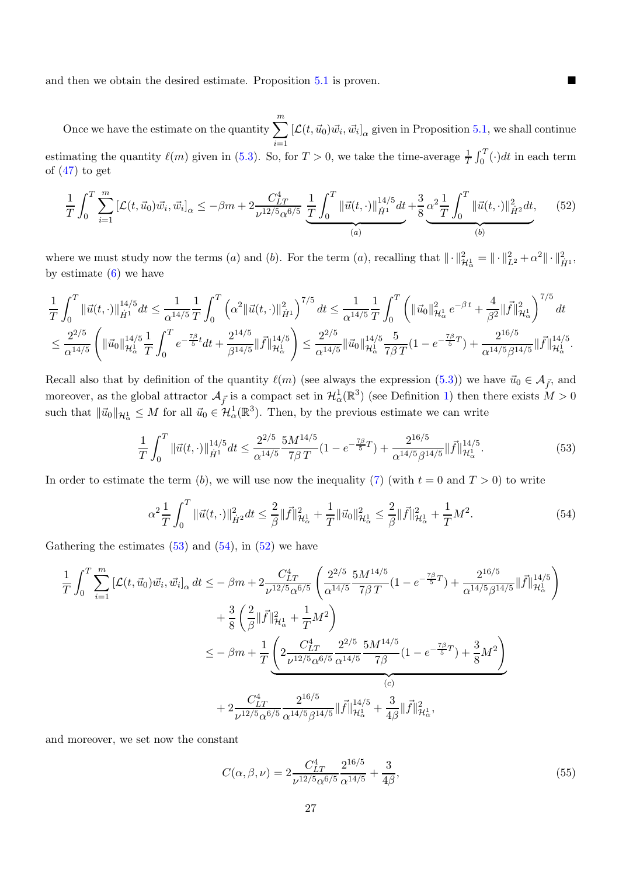and then we obtain the desired estimate. Proposition [5.1](#page-23-2) is proven.

Once we have the estimate on the quantity  $\sum_{n=1}^{m}$  $i=1$  $[\mathcal{L}(t, \vec{u}_0)\vec{w}_i, \vec{w}_i]_{\alpha}$  given in Proposition [5.1,](#page-23-2) we shall continue estimating the quantity  $\ell(m)$  given in [\(5.3\)](#page-22-2). So, for  $T > 0$ , we take the time-average  $\frac{1}{T} \int_0^T (\cdot) dt$  in each term of  $(47)$  to get

<span id="page-26-2"></span>
$$
\frac{1}{T} \int_0^T \sum_{i=1}^m \left[ \mathcal{L}(t, \vec{u}_0) \vec{w}_i, \vec{w}_i \right]_{\alpha} \le -\beta m + 2 \frac{C_{LT}^4}{\nu^{12/5} \alpha^{6/5}} \underbrace{\frac{1}{T} \int_0^T \|\vec{u}(t, \cdot)\|_{\dot{H}^1}^{14/5} dt}_{(a)} + \frac{3}{8} \underbrace{\alpha^2 \frac{1}{T} \int_0^T \|\vec{u}(t, \cdot)\|_{\dot{H}^2}^2 dt}_{(b)},
$$
(52)

where we must study now the terms (a) and (b). For the term (a), recalling that  $\|\cdot\|_{\mathcal{H}^1_{\alpha}}^2 = \|\cdot\|_{L^2}^2 + \alpha^2 \|\cdot\|_{\dot{H}^1}^2$ , by estimate  $(6)$  we have

$$
\begin{aligned} &\frac{1}{T}\int_0^T\|\vec{u}(t,\cdot)\|_{\dot{H}^1}^{14/5}dt\leq\frac{1}{\alpha^{14/5}}\frac{1}{T}\int_0^T\Big(\alpha^2\|\vec{u}(t,\cdot)\|_{\dot{H}^1}^2\Big)^{7/5}\,dt\leq\frac{1}{\alpha^{14/5}}\frac{1}{T}\int_0^T\left(\|\vec{u}_0\|_{\mathcal{H}^1_\alpha}^2\,e^{-\beta\,t}+\frac{4}{\beta^2}\|\vec{f}\|_{\mathcal{H}^1_\alpha}^2\right)^{7/5}\,dt\\ &\leq\frac{2^{2/5}}{\alpha^{14/5}}\left(\|\vec{u}_0\|_{\mathcal{H}^1_\alpha}^{14/5}\frac{1}{T}\int_0^T\,e^{-\frac{7\beta}{5}t}dt+\frac{2^{14/5}}{\beta^{14/5}}\|\vec{f}\|_{\mathcal{H}^1_\alpha}^{14/5}\right)\leq\frac{2^{2/5}}{\alpha^{14/5}}\|\vec{u}_0\|_{\mathcal{H}^1_\alpha}^{14/5}\frac{5}{7\beta\,T}(1-e^{-\frac{7\beta}{5}T})+\frac{2^{16/5}}{\alpha^{14/5}\beta^{14/5}}\|\vec{f}\|_{\mathcal{H}^1_\alpha}^{14/5}.\end{aligned}
$$

Recall also that by definition of the quantity  $\ell(m)$  (see always the expression [\(5.3\)](#page-22-2)) we have  $\vec{u}_0 \in A_{\vec{f}}$ , and moreover, as the global attractor  $\mathcal{A}_{\vec{f}}$  is a compact set in  $\mathcal{H}^1_\alpha(\mathbb{R}^3)$  (see Definition [1\)](#page-5-1) then there exists  $M > 0$ such that  $\|\vec{u}_0\|_{\mathcal{H}^1_{\alpha}} \leq M$  for all  $\vec{u}_0 \in \mathcal{H}^1_{\alpha}(\mathbb{R}^3)$ . Then, by the previous estimate we can write

<span id="page-26-0"></span>
$$
\frac{1}{T} \int_0^T \|\vec{u}(t, \cdot)\|_{\dot{H}^1}^{14/5} dt \le \frac{2^{2/5}}{\alpha^{14/5}} \frac{5M^{14/5}}{7\beta T} (1 - e^{-\frac{7\beta}{5}T}) + \frac{2^{16/5}}{\alpha^{14/5} \beta^{14/5}} \|\vec{f}\|_{\mathcal{H}^1_\alpha}^{14/5}.
$$
\n
$$
(53)
$$

In order to estimate the term (b), we will use now the inequality [\(7\)](#page-4-5) (with  $t = 0$  and  $T > 0$ ) to write

<span id="page-26-1"></span>
$$
\alpha^2 \frac{1}{T} \int_0^T \|\vec{u}(t, \cdot)\|_{\dot{H}^2}^2 dt \le \frac{2}{\beta} \|\vec{f}\|_{\mathcal{H}^1_\alpha}^2 + \frac{1}{T} \|\vec{u}_0\|_{\mathcal{H}^1_\alpha}^2 \le \frac{2}{\beta} \|\vec{f}\|_{\mathcal{H}^1_\alpha}^2 + \frac{1}{T} M^2. \tag{54}
$$

Gathering the estimates  $(53)$  and  $(54)$ , in  $(52)$  we have

$$
\frac{1}{T} \int_{0}^{T} \sum_{i=1}^{m} \left[ \mathcal{L}(t, \vec{u}_{0}) \vec{w}_{i}, \vec{w}_{i} \right]_{\alpha} dt \leq -\beta m + 2 \frac{C_{LT}^{4}}{\nu^{12/5} \alpha^{6/5}} \left( \frac{2^{2/5}}{\alpha^{14/5}} \frac{5M^{14/5}}{7\beta T} (1 - e^{-\frac{7\beta}{5}T}) + \frac{2^{16/5}}{\alpha^{14/5} \beta^{14/5}} \|\vec{f}\|_{\mathcal{H}^{1}_{\alpha}}^{14/5} \right) \times \frac{3}{8} \left( \frac{2}{\beta} \|\vec{f}\|_{\mathcal{H}^{1}_{\alpha}}^{2} + \frac{1}{T} M^{2} \right) \leq -\beta m + \frac{1}{T} \underbrace{\left( 2 \frac{C_{LT}^{4}}{\nu^{12/5} \alpha^{6/5}} \frac{2^{2/5}}{\alpha^{14/5}} \frac{5M^{14/5}}{7\beta} (1 - e^{-\frac{7\beta}{5}T}) + \frac{3}{8} M^{2} \right)}_{(c)} \times \frac{C_{LT}^{4}}{\nu^{12/5} \alpha^{6/5}} \frac{2^{16/5}}{\alpha^{14/5} \beta^{14/5}} \|\vec{f}\|_{\mathcal{H}^{1}_{\alpha}}^{14/5} + \frac{3}{4\beta} \|\vec{f}\|_{\mathcal{H}^{1}_{\alpha}}^{2},
$$

and moreover, we set now the constant

<span id="page-26-3"></span>
$$
C(\alpha, \beta, \nu) = 2 \frac{C_{LT}^4}{\nu^{12/5} \alpha^{6/5}} \frac{2^{16/5}}{\alpha^{14/5}} + \frac{3}{4\beta},\tag{55}
$$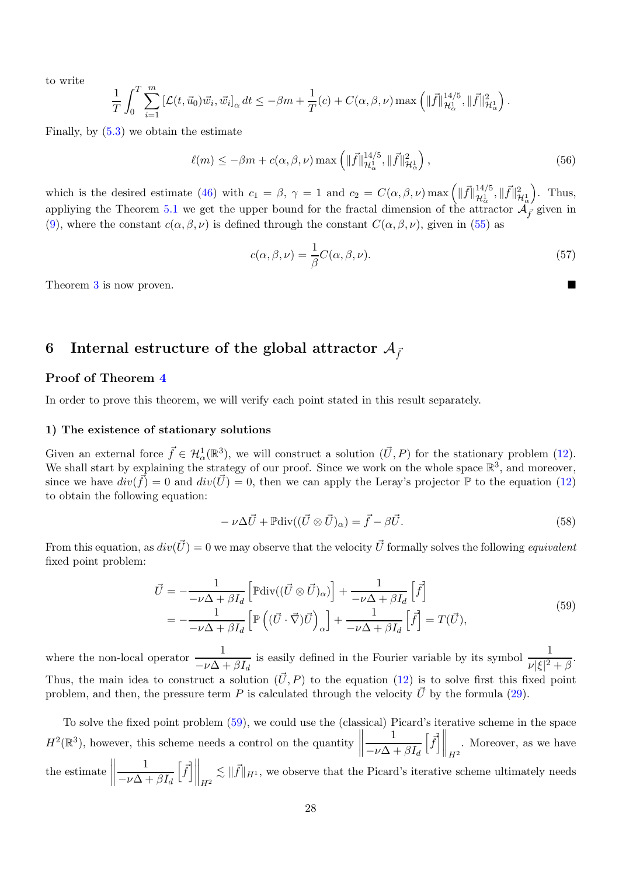to write

$$
\frac{1}{T}\int_0^T\sum_{i=1}^m\left[\mathcal{L}(t,\vec{u}_0)\vec{w}_i,\vec{w}_i\right]_{\alpha}dt\leq -\beta m+\frac{1}{T}(c)+C(\alpha,\beta,\nu)\max\left(\|\vec{f}\|_{\mathcal{H}^1_{\alpha}}^{14/5},\|\vec{f}\|_{\mathcal{H}^1_{\alpha}}^2\right).
$$

Finally, by [\(5.3\)](#page-22-2) we obtain the estimate

$$
\ell(m) \le -\beta m + c(\alpha, \beta, \nu) \max\left( \|\vec{f}\|_{\mathcal{H}^1_{\alpha}}^{14/5}, \|\vec{f}\|_{\mathcal{H}^1_{\alpha}}^2 \right),\tag{56}
$$

which is the desired estimate [\(46\)](#page-23-0) with  $c_1 = \beta$ ,  $\gamma = 1$  and  $c_2 = C(\alpha, \beta, \nu) \max \left( \|\vec{f}\|_{\mathcal{H}^1_{\alpha}}^{14/5} \right)$  $\frac{14/5}{\mathcal{H}^1_\alpha},\|\vec{f}\|^2_{\mathcal{H}^1_\alpha}$  $\big)$ . Thus, appliying the Theorem [5.1](#page-22-3) we get the upper bound for the fractal dimension of the attractor  $\mathcal{A}_{\vec{f}}$  given in [\(9\)](#page-6-4), where the constant  $c(\alpha, \beta, \nu)$  is defined through the constant  $C(\alpha, \beta, \nu)$ , given in [\(55\)](#page-26-3) as

<span id="page-27-1"></span>
$$
c(\alpha, \beta, \nu) = \frac{1}{\beta} C(\alpha, \beta, \nu).
$$
\n(57)

Theorem [3](#page-6-3) is now proven.

# <span id="page-27-0"></span>6 Internal estructure of the global attractor  $A_{\vec{f}}$

#### Proof of Theorem [4](#page-7-1)

In order to prove this theorem, we will verify each point stated in this result separately.

#### 1) The existence of stationary solutions

Given an external force  $\vec{f} \in \mathcal{H}^1_\alpha(\mathbb{R}^3)$ , we will construct a solution  $(\vec{U}, P)$  for the stationary problem [\(12\)](#page-7-0). We shall start by explaining the strategy of our proof. Since we work on the whole space  $\mathbb{R}^3$ , and moreover, since we have  $div(\vec{f}) = 0$  and  $div(\vec{U}) = 0$ , then we can apply the Leray's projector  $\mathbb P$  to the equation [\(12\)](#page-7-0) to obtain the following equation:

$$
-\nu\Delta\vec{U} + \mathbb{P}\text{div}((\vec{U}\otimes\vec{U})_{\alpha}) = \vec{f} - \beta\vec{U}.
$$
\n(58)

From this equation, as  $div(\vec{U}) = 0$  we may observe that the velocity  $\vec{U}$  formally solves the following *equivalent* fixed point problem:

$$
\vec{U} = -\frac{1}{-\nu\Delta + \beta I_d} \left[ \mathbb{P} \text{div}((\vec{U} \otimes \vec{U})_{\alpha}) \right] + \frac{1}{-\nu\Delta + \beta I_d} \left[ \vec{f} \right]
$$
\n
$$
= -\frac{1}{-\nu\Delta + \beta I_d} \left[ \mathbb{P} \left( (\vec{U} \cdot \vec{\nabla}) \vec{U} \right)_{\alpha} \right] + \frac{1}{-\nu\Delta + \beta I_d} \left[ \vec{f} \right] = T(\vec{U}), \tag{59}
$$

<span id="page-27-2"></span>where the non-local operator  $\frac{1}{\sqrt{2}}$  $-\nu\Delta + \beta I_d$ is easily defined in the Fourier variable by its symbol  $\frac{1}{162}$  $\frac{1}{\nu |\xi|^2 + \beta}$ . Thus, the main idea to construct a solution  $(\vec{U}, P)$  to the equation [\(12\)](#page-7-0) is to solve first this fixed point problem, and then, the pressure term P is calculated through the velocity  $\vec{U}$  by the formula [\(29\)](#page-12-1).

To solve the fixed point problem [\(59\)](#page-27-2), we could use the (classical) Picard's iterative scheme in the space  $H^2(\mathbb{R}^3)$ , however, this scheme needs a control on the quantity 1  $-\nu\Delta + \beta I_d$  $\left[\vec{f}\right]\bigg\|_{H^2}$ . Moreover, as we have the estimate 1  $-\nu\Delta + \beta I_d$  $\left[\vec{f}\right]\Big\|_{H^2} \lesssim \|\vec{f}\|_{H^1}$ , we observe that the Picard's iterative scheme ultimately needs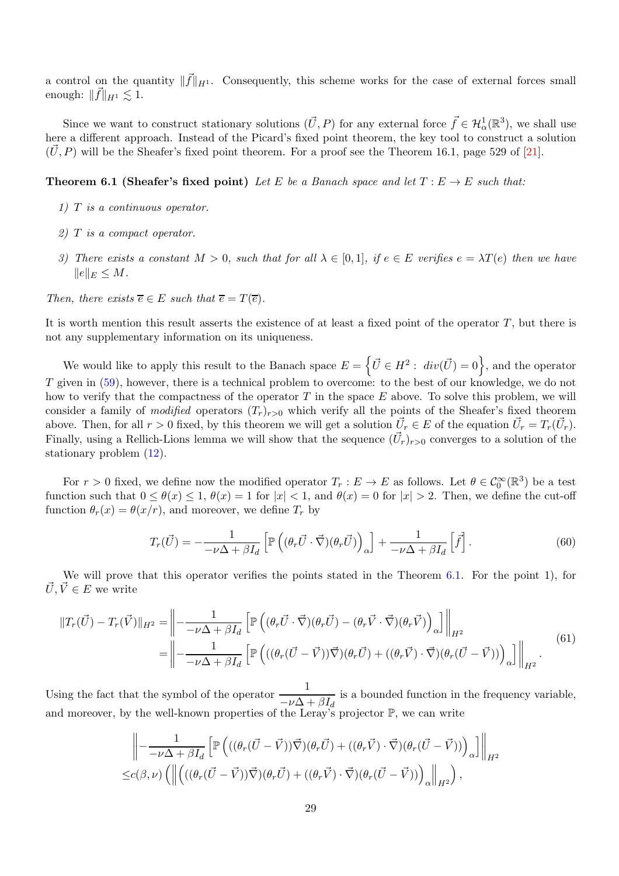a control on the quantity  $\|\vec{f}\|_{H^1}$ . Consequently, this scheme works for the case of external forces small enough:  $\|\vec{f}\|_{H^1} \lesssim 1$ .

Since we want to construct stationary solutions  $(\vec{U}, P)$  for any external force  $\vec{f} \in H^1_\alpha(\mathbb{R}^3)$ , we shall use here a different approach. Instead of the Picard's fixed point theorem, the key tool to construct a solution  $(U, P)$  will be the Sheafer's fixed point theorem. For a proof see the Theorem 16.1, page 529 of [\[21\]](#page-40-1).

**Theorem 6.1 (Sheafer's fixed point)** Let E be a Banach space and let  $T : E \to E$  such that:

- <span id="page-28-0"></span>1) T is a continuous operator.
- 2) T is a compact operator.
- 3) There exists a constant  $M > 0$ , such that for all  $\lambda \in [0,1]$ , if  $e \in E$  verifies  $e = \lambda T(e)$  then we have  $||e||_E \leq M$ .

Then, there exists  $\overline{e} \in E$  such that  $\overline{e} = T(\overline{e})$ .

It is worth mention this result asserts the existence of at least a fixed point of the operator  $T$ , but there is not any supplementary information on its uniqueness.

We would like to apply this result to the Banach space  $E = \left\{ \vec{U} \in H^2 : \; div(\vec{U}) = 0 \right\}$ , and the operator T given in  $(59)$ , however, there is a technical problem to overcome: to the best of our knowledge, we do not how to verify that the compactness of the operator  $T$  in the space  $E$  above. To solve this problem, we will consider a family of modified operators  $(T_r)_{r>0}$  which verify all the points of the Sheafer's fixed theorem above. Then, for all  $r > 0$  fixed, by this theorem we will get a solution  $\vec{U}_r \in E$  of the equation  $\vec{U}_r = T_r(\vec{U}_r)$ . Finally, using a Rellich-Lions lemma we will show that the sequence  $(\vec{U}_r)_{r>0}$  converges to a solution of the stationary problem [\(12\)](#page-7-0).

For  $r > 0$  fixed, we define now the modified operator  $T_r : E \to E$  as follows. Let  $\theta \in C_0^{\infty}(\mathbb{R}^3)$  be a test function such that  $0 \leq \theta(x) \leq 1$ ,  $\theta(x) = 1$  for  $|x| < 1$ , and  $\theta(x) = 0$  for  $|x| > 2$ . Then, we define the cut-off function  $\theta_r(x) = \theta(x/r)$ , and moreover, we define  $T_r$  by

<span id="page-28-2"></span>
$$
T_r(\vec{U}) = -\frac{1}{-\nu\Delta + \beta I_d} \left[ \mathbb{P}\left( (\theta_r \vec{U} \cdot \vec{\nabla})(\theta_r \vec{U}) \right)_\alpha \right] + \frac{1}{-\nu\Delta + \beta I_d} \left[ \vec{f} \right]. \tag{60}
$$

We will prove that this operator verifies the points stated in the Theorem [6.1.](#page-28-0) For the point 1), for  $\vec{U}, \vec{V} \in E$  we write

<span id="page-28-1"></span>
$$
||T_r(\vec{U}) - T_r(\vec{V})||_{H^2} = \left\| -\frac{1}{-\nu\Delta + \beta I_d} \left[ \mathbb{P}\left( (\theta_r \vec{U} \cdot \vec{\nabla})(\theta_r \vec{U}) - (\theta_r \vec{V} \cdot \vec{\nabla})(\theta_r \vec{V}) \right)_{\alpha} \right] \right\|_{H^2}
$$
  
= 
$$
\left\| -\frac{1}{-\nu\Delta + \beta I_d} \left[ \mathbb{P}\left( ((\theta_r (\vec{U} - \vec{V}))\vec{\nabla})(\theta_r \vec{U}) + ((\theta_r \vec{V}) \cdot \vec{\nabla})(\theta_r (\vec{U} - \vec{V})) \right)_{\alpha} \right] \right\|_{H^2}.
$$
 (61)

Using the fact that the symbol of the operator  $\frac{1}{\sqrt{2}}$  $\frac{1}{-\nu\Delta + \beta I_d}$  is a bounded function in the frequency variable, and moreover, by the well-known properties of the Leray's projector  $\mathbb{P}$ , we can write

$$
\left\| -\frac{1}{-\nu\Delta + \beta I_d} \left[ \mathbb{P}\left( ((\theta_r(\vec{U} - \vec{V}))\vec{\nabla})(\theta_r \vec{U}) + ((\theta_r \vec{V}) \cdot \vec{\nabla})(\theta_r(\vec{U} - \vec{V})) \right)_\alpha \right] \right\|_{H^2}
$$
  

$$
\leq c(\beta, \nu) \left( \left\| \left( ((\theta_r(\vec{U} - \vec{V}))\vec{\nabla})(\theta_r \vec{U}) + ((\theta_r \vec{V}) \cdot \vec{\nabla})(\theta_r(\vec{U} - \vec{V})) \right)_\alpha \right\|_{H^2} \right),
$$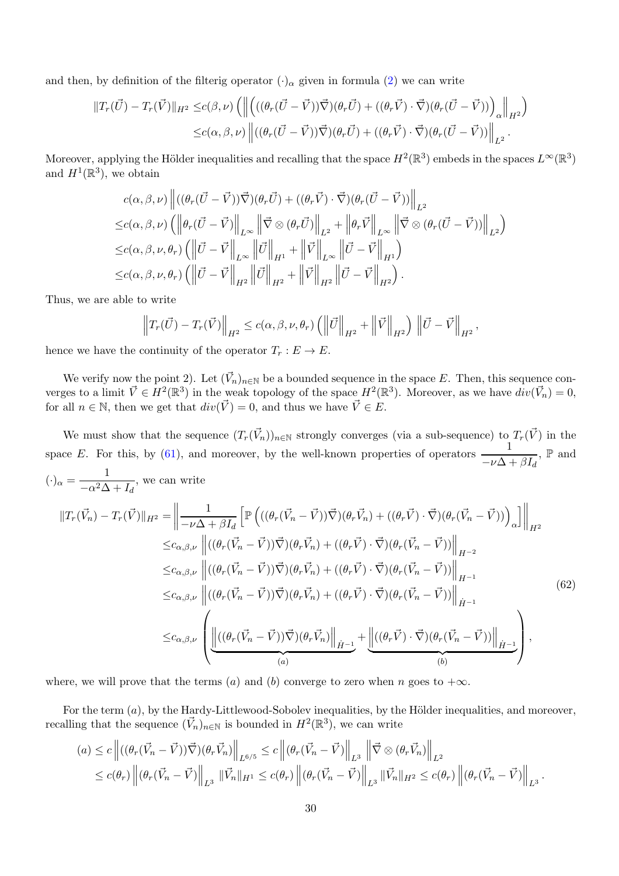and then, by definition of the filterig operator  $(\cdot)_{\alpha}$  given in formula [\(2\)](#page-1-2) we can write

$$
\begin{split} \|T_r(\vec{U}) - T_r(\vec{V})\|_{H^2} &\leq c(\beta, \nu) \left( \left\| \left( ((\theta_r(\vec{U} - \vec{V}))\vec{\nabla})(\theta_r \vec{U}) + ((\theta_r \vec{V}) \cdot \vec{\nabla})(\theta_r(\vec{U} - \vec{V})) \right)_\alpha \right\|_{H^2} \right) \\ &\leq c(\alpha, \beta, \nu) \left\| ((\theta_r(\vec{U} - \vec{V}))\vec{\nabla})(\theta_r \vec{U}) + ((\theta_r \vec{V}) \cdot \vec{\nabla})(\theta_r(\vec{U} - \vec{V})) \right\|_{L^2} .\end{split}
$$

Moreover, applying the Hölder inequalities and recalling that the space  $H^2(\mathbb{R}^3)$  embeds in the spaces  $L^\infty(\mathbb{R}^3)$ and  $H^1(\mathbb{R}^3)$ , we obtain

$$
c(\alpha, \beta, \nu) \left\| ((\theta_r(\vec{U} - \vec{V}))\vec{\nabla})(\theta_r \vec{U}) + ((\theta_r \vec{V}) \cdot \vec{\nabla})(\theta_r(\vec{U} - \vec{V})) \right\|_{L^2}
$$
  
\n
$$
\leq c(\alpha, \beta, \nu) \left( \left\| \theta_r(\vec{U} - \vec{V}) \right\|_{L^{\infty}} \left\| \vec{\nabla} \otimes (\theta_r \vec{U}) \right\|_{L^2} + \left\| \theta_r \vec{V} \right\|_{L^{\infty}} \left\| \vec{\nabla} \otimes (\theta_r(\vec{U} - \vec{V})) \right\|_{L^2} \right)
$$
  
\n
$$
\leq c(\alpha, \beta, \nu, \theta_r) \left( \left\| \vec{U} - \vec{V} \right\|_{L^{\infty}} \left\| \vec{U} \right\|_{H^1} + \left\| \vec{V} \right\|_{L^{\infty}} \left\| \vec{U} - \vec{V} \right\|_{H^1} \right)
$$
  
\n
$$
\leq c(\alpha, \beta, \nu, \theta_r) \left( \left\| \vec{U} - \vec{V} \right\|_{H^2} \left\| \vec{U} \right\|_{H^2} + \left\| \vec{V} \right\|_{H^2} \left\| \vec{U} - \vec{V} \right\|_{H^2} \right).
$$

Thus, we are able to write

$$
\left\|T_r(\vec{U}) - T_r(\vec{V})\right\|_{H^2} \le c(\alpha, \beta, \nu, \theta_r) \left( \left\|\vec{U}\right\|_{H^2} + \left\|\vec{V}\right\|_{H^2} \right) \left\|\vec{U} - \vec{V}\right\|_{H^2},
$$

hence we have the continuity of the operator  $T_r : E \to E$ .

We verify now the point 2). Let  $(\vec{V}_n)_{n\in\mathbb{N}}$  be a bounded sequence in the space E. Then, this sequence converges to a limit  $\vec{V} \in H^2(\mathbb{R}^3)$  in the weak topology of the space  $H^2(\mathbb{R}^3)$ . Moreover, as we have  $div(\vec{V}_n) = 0$ , for all  $n \in \mathbb{N}$ , then we get that  $div(\vec{V}) = 0$ , and thus we have  $\vec{V} \in E$ .

We must show that the sequence  $(T_r(\vec{V}_n))_{n\in\mathbb{N}}$  strongly converges (via a sub-sequence) to  $T_r(\vec{V})$  in the space E. For this, by [\(61\)](#page-28-1), and moreover, by the well-known properties of operators  $\frac{1}{\sqrt{2}}$  $-\nu\Delta + \beta I_d$ ,  $\mathbb P$  and  $(\cdot)_\alpha = \frac{1}{-\alpha^2 \Lambda}$  $-\alpha^2 \Delta + I_d$ , we can write

<span id="page-29-0"></span>
$$
||T_r(\vec{V}_n) - T_r(\vec{V})||_{H^2} = \left\| \frac{1}{-\nu\Delta + \beta I_d} \left[ \mathbb{P}\left( ((\theta_r(\vec{V}_n - \vec{V}))\vec{\nabla})(\theta_r\vec{V}_n) + ((\theta_r\vec{V}) \cdot \vec{\nabla})(\theta_r(\vec{V}_n - \vec{V})) \right)_\alpha \right] \right\|_{H^2}
$$
  
\n
$$
\leq c_{\alpha,\beta,\nu} \left\| ((\theta_r(\vec{V}_n - \vec{V}))\vec{\nabla})(\theta_r\vec{V}_n) + ((\theta_r\vec{V}) \cdot \vec{\nabla})(\theta_r(\vec{V}_n - \vec{V})) \right\|_{H^{-2}}
$$
  
\n
$$
\leq c_{\alpha,\beta,\nu} \left\| ((\theta_r(\vec{V}_n - \vec{V}))\vec{\nabla})(\theta_r\vec{V}_n) + ((\theta_r\vec{V}) \cdot \vec{\nabla})(\theta_r(\vec{V}_n - \vec{V})) \right\|_{H^{-1}}
$$
  
\n
$$
\leq c_{\alpha,\beta,\nu} \left\| ((\theta_r(\vec{V}_n - \vec{V}))\vec{\nabla})(\theta_r\vec{V}_n) + ((\theta_r\vec{V}) \cdot \vec{\nabla})(\theta_r(\vec{V}_n - \vec{V})) \right\|_{H^{-1}}
$$
  
\n
$$
\leq c_{\alpha,\beta,\nu} \left( \underbrace{\left\| ((\theta_r(\vec{V}_n - \vec{V}))\vec{\nabla})(\theta_r\vec{V}_n) \right\|_{\dot{H}^{-1}}}_{(a)} + \underbrace{\left\| ((\theta_r\vec{V}) \cdot \vec{\nabla})(\theta_r(\vec{V}_n - \vec{V})) \right\|_{\dot{H}^{-1}}}_{(b)} \right\},
$$
  
\n(62)

where, we will prove that the terms (a) and (b) converge to zero when n goes to  $+\infty$ .

For the term  $(a)$ , by the Hardy-Littlewood-Sobolev inequalities, by the Hölder inequalities, and moreover, recalling that the sequence  $(\vec{V}_n)_{n \in \mathbb{N}}$  is bounded in  $H^2(\mathbb{R}^3)$ , we can write

$$
(a) \leq c \left\| \left( (\theta_r(\vec{V}_n - \vec{V})) \vec{\nabla}) (\theta_r \vec{V}_n) \right\|_{L^{6/5}} \leq c \left\| (\theta_r(\vec{V}_n - \vec{V}) \right\|_{L^3} \left\| \vec{\nabla} \otimes (\theta_r \vec{V}_n) \right\|_{L^2} \leq c(\theta_r) \left\| (\theta_r(\vec{V}_n - \vec{V}) \right\|_{L^3} \left\| \vec{V}_n \right\|_{H^1} \leq c(\theta_r) \left\| (\theta_r(\vec{V}_n - \vec{V}) \right\|_{L^3} \left\| \vec{V}_n \right\|_{H^2} \leq c(\theta_r) \left\| (\theta_r(\vec{V}_n - \vec{V}) \right\|_{L^3} .
$$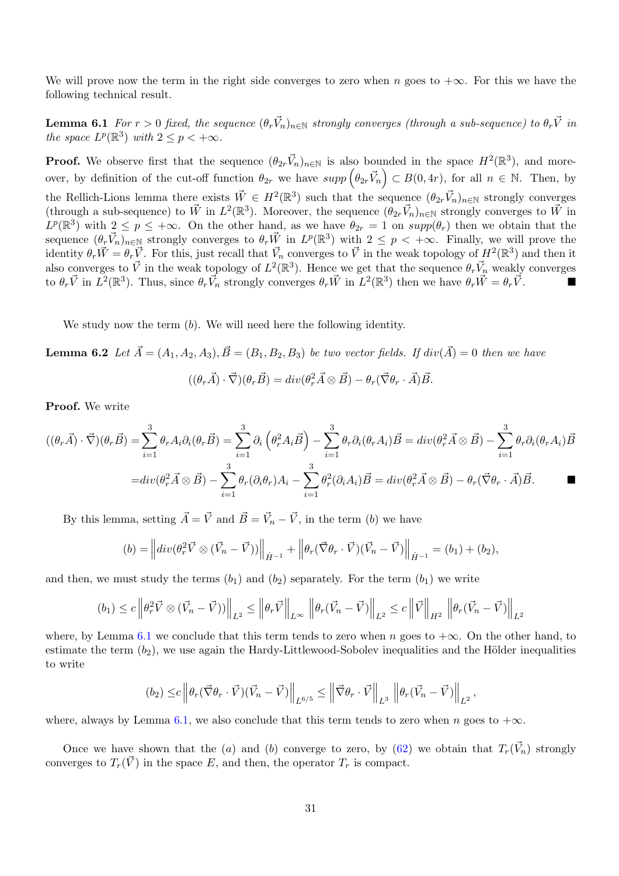<span id="page-30-0"></span>We will prove now the term in the right side converges to zero when n goes to  $+\infty$ . For this we have the following technical result.

**Lemma 6.1** For  $r > 0$  fixed, the sequence  $(\theta_r \vec{V}_n)_{n \in \mathbb{N}}$  strongly converges (through a sub-sequence) to  $\theta_r \vec{V}$  in the space  $L^p(\mathbb{R}^3)$  with  $2 \leq p < +\infty$ .

**Proof.** We observe first that the sequence  $(\theta_{2r}\vec{V}_n)_{n\in\mathbb{N}}$  is also bounded in the space  $H^2(\mathbb{R}^3)$ , and moreover, by definition of the cut-off function  $\theta_{2r}$  we have  $supp(\theta_{2r}\vec{V}_n) \subset B(0,4r)$ , for all  $n \in \mathbb{N}$ . Then, by the Rellich-Lions lemma there exists  $\vec{W} \in H^2(\mathbb{R}^3)$  such that the sequence  $(\theta_{2r}\vec{V}_n)_{n\in\mathbb{N}}$  strongly converges (through a sub-sequence) to  $\vec{W}$  in  $L^2(\mathbb{R}^3)$ . Moreover, the sequence  $(\theta_{2r}\vec{V}_n)_{n\in\mathbb{N}}$  strongly converges to  $\vec{W}$  in  $L^p(\mathbb{R}^3)$  with  $2 \leq p \leq +\infty$ . On the other hand, as we have  $\theta_{2r} = 1$  on  $supp(\theta_r)$  then we obtain that the sequence  $(\theta_{\mathcal{I}}\vec{V}_n)_{n\in\mathbb{N}}$  strongly converges to  $\theta_r\vec{W}$  in  $L^p(\mathbb{R}^3)$  with  $2 \leq p < +\infty$ . Finally, we will prove the identity  $\theta_r \vec{W} = \theta_r \vec{V}$ . For this, just recall that  $\vec{V}_n$  converges to  $\vec{V}$  in the weak topology of  $H^2(\mathbb{R}^3)$  and then it also converges to  $\vec{V}$  in the weak topology of  $L^2(\mathbb{R}^3)$ . Hence we get that the sequence  $\theta_r \vec{V}_n$  weakly converges to  $\theta_r \vec{V}$  in  $L^2(\mathbb{R}^3)$ . Thus, since  $\theta_r \vec{V}_n$  strongly converges  $\theta_r \vec{W}$  in  $L^2(\mathbb{R}^3)$  then we have  $\theta_r \vec{W} = \theta_r \vec{V}$ .

We study now the term  $(b)$ . We will need here the following identity.

**Lemma 6.2** Let  $\vec{A} = (A_1, A_2, A_3), \vec{B} = (B_1, B_2, B_3)$  be two vector fields. If  $div(\vec{A}) = 0$  then we have

$$
((\theta_r \vec{A}) \cdot \vec{\nabla})(\theta_r \vec{B}) = div(\theta_r^2 \vec{A} \otimes \vec{B}) - \theta_r(\vec{\nabla}\theta_r \cdot \vec{A})\vec{B}.
$$

Proof. We write

$$
((\theta_r \vec{A}) \cdot \vec{\nabla})(\theta_r \vec{B}) = \sum_{i=1}^3 \theta_r A_i \partial_i (\theta_r \vec{B}) = \sum_{i=1}^3 \partial_i (\theta_r^2 A_i \vec{B}) - \sum_{i=1}^3 \theta_r \partial_i (\theta_r A_i) \vec{B} = div(\theta_r^2 \vec{A} \otimes \vec{B}) - \sum_{i=1}^3 \theta_r \partial_i (\theta_r A_i) \vec{B}
$$

$$
= div(\theta_r^2 \vec{A} \otimes \vec{B}) - \sum_{i=1}^3 \theta_r (\partial_i \theta_r) A_i - \sum_{i=1}^3 \theta_r^2 (\partial_i A_i) \vec{B} = div(\theta_r^2 \vec{A} \otimes \vec{B}) - \theta_r (\vec{\nabla} \theta_r \cdot \vec{A}) \vec{B}.
$$

By this lemma, setting  $\vec{A} = \vec{V}$  and  $\vec{B} = \vec{V}_n - \vec{V}$ , in the term (b) we have

$$
(b) = \left\|div(\theta_r^2 \vec{V} \otimes (\vec{V}_n - \vec{V}))\right\|_{\dot{H}^{-1}} + \left\|\theta_r(\vec{\nabla}\theta_r \cdot \vec{V})(\vec{V}_n - \vec{V})\right\|_{\dot{H}^{-1}} = (b_1) + (b_2),
$$

and then, we must study the terms  $(b_1)$  and  $(b_2)$  separately. For the term  $(b_1)$  we write

$$
(b_1) \leq c \left\|\theta_r^2 \vec{V} \otimes (\vec{V}_n - \vec{V})\right\|_{L^2} \leq \left\|\theta_r \vec{V}\right\|_{L^\infty} \left\|\theta_r (\vec{V}_n - \vec{V})\right\|_{L^2} \leq c \left\|\vec{V}\right\|_{H^2} \left\|\theta_r (\vec{V}_n - \vec{V})\right\|_{L^2}
$$

where, by Lemma [6.1](#page-30-0) we conclude that this term tends to zero when n goes to  $+\infty$ . On the other hand, to estimate the term  $(b_2)$ , we use again the Hardy-Littlewood-Sobolev inequalities and the Hölder inequalities to write

$$
(b_2)\leq c\left\|\theta_r(\vec{\nabla}\theta_r\cdot\vec{V})(\vec{V}_n-\vec{V})\right\|_{L^{6/5}}\leq \left\|\vec{\nabla}\theta_r\cdot\vec{V}\right\|_{L^3}\left\|\theta_r(\vec{V}_n-\vec{V})\right\|_{L^2},
$$

where, always by Lemma [6.1,](#page-30-0) we also conclude that this term tends to zero when n goes to  $+\infty$ .

Once we have shown that the (a) and (b) converge to zero, by [\(62\)](#page-29-0) we obtain that  $T_r(\vec{V}_n)$  strongly converges to  $T_r(\vec{V})$  in the space E, and then, the operator  $T_r$  is compact.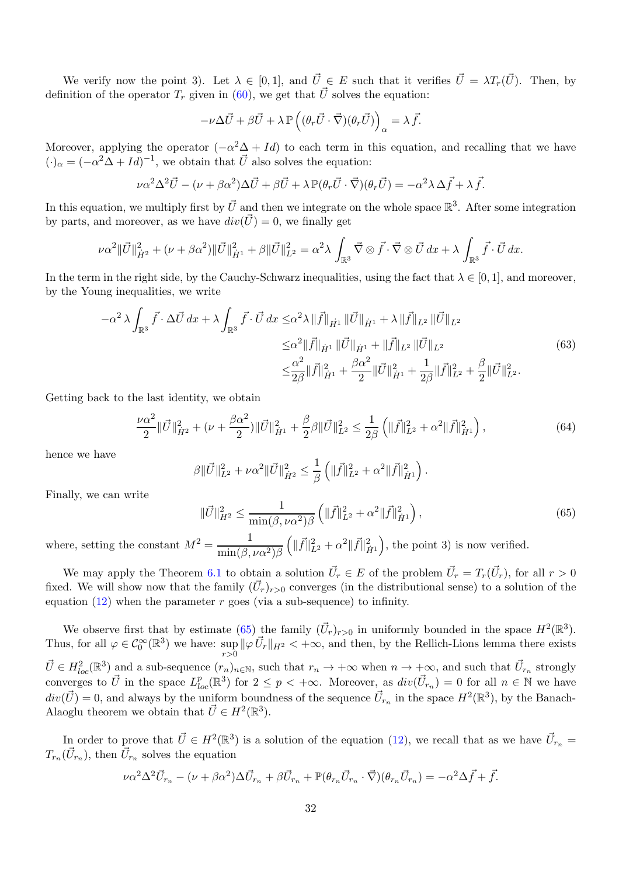We verify now the point 3). Let  $\lambda \in [0,1]$ , and  $\vec{U} \in E$  such that it verifies  $\vec{U} = \lambda T_r(\vec{U})$ . Then, by definition of the operator  $T_r$  given in [\(60\)](#page-28-2), we get that  $\vec{U}$  solves the equation:

$$
-\nu \Delta \vec{U} + \beta \vec{U} + \lambda \, \mathbb{P}\left((\theta_r \vec{U}\cdot \vec{\nabla})(\theta_r \vec{U})\right)_{\alpha} = \lambda \, \vec{f}.
$$

Moreover, applying the operator  $(-\alpha^2 \Delta + Id)$  to each term in this equation, and recalling that we have  $(\cdot)_{\alpha} = (-\alpha^2 \Delta + Id)^{-1}$ , we obtain that  $\vec{U}$  also solves the equation:

$$
\nu \alpha^2 \Delta^2 \vec{U} - (\nu + \beta \alpha^2) \Delta \vec{U} + \beta \vec{U} + \lambda \mathbb{P}(\theta_r \vec{U} \cdot \vec{\nabla})(\theta_r \vec{U}) = -\alpha^2 \lambda \Delta \vec{f} + \lambda \vec{f}.
$$

In this equation, we multiply first by  $\vec{U}$  and then we integrate on the whole space  $\mathbb{R}^3$ . After some integration by parts, and moreover, as we have  $div(\vec{U}) = 0$ , we finally get

$$
\nu\alpha^2\|\vec{U}\|^2_{\dot{H}^2}+(\nu+\beta\alpha^2)\|\vec{U}\|^2_{\dot{H}^1}+\beta\|\vec{U}\|^2_{L^2}=\alpha^2\lambda\int_{\mathbb{R}^3}\vec{\nabla}\otimes\vec{f}\cdot\vec{\nabla}\otimes\vec{U}\,dx+\lambda\int_{\mathbb{R}^3}\vec{f}\cdot\vec{U}\,dx.
$$

In the term in the right side, by the Cauchy-Schwarz inequalities, using the fact that  $\lambda \in [0,1]$ , and moreover, by the Young inequalities, we write

$$
-\alpha^{2} \lambda \int_{\mathbb{R}^{3}} \vec{f} \cdot \Delta \vec{U} dx + \lambda \int_{\mathbb{R}^{3}} \vec{f} \cdot \vec{U} dx \leq \alpha^{2} \lambda \|\vec{f}\|_{\dot{H}^{1}} \|\vec{U}\|_{\dot{H}^{1}} + \lambda \|\vec{f}\|_{L^{2}} \|\vec{U}\|_{L^{2}} \n\leq \alpha^{2} \|\vec{f}\|_{\dot{H}^{1}} \|\vec{U}\|_{\dot{H}^{1}} + \|\vec{f}\|_{L^{2}} \|\vec{U}\|_{L^{2}} \n\leq \frac{\alpha^{2}}{2\beta} \|\vec{f}\|_{\dot{H}^{1}}^{2} + \frac{\beta \alpha^{2}}{2} \|\vec{U}\|_{\dot{H}^{1}}^{2} + \frac{1}{2\beta} \|\vec{f}\|_{L^{2}}^{2} + \frac{\beta}{2} \|\vec{U}\|_{L^{2}}^{2}.
$$
\n(63)

<span id="page-31-1"></span>Getting back to the last identity, we obtain

<span id="page-31-2"></span>
$$
\frac{\nu\alpha^2}{2} \|\vec{U}\|_{\dot{H}^2}^2 + (\nu + \frac{\beta\alpha^2}{2})\|\vec{U}\|_{\dot{H}^1}^2 + \frac{\beta}{2}\beta\|\vec{U}\|_{L^2}^2 \le \frac{1}{2\beta} \left(\|\vec{f}\|_{L^2}^2 + \alpha^2\|\vec{f}\|_{\dot{H}^1}^2\right),\tag{64}
$$

hence we have

$$
\beta \|\vec{U}\|_{L^2}^2 + \nu \alpha^2 \|\vec{U}\|_{\dot{H}^2}^2 \leq \frac{1}{\beta} \left( \|\vec{f}\|_{L^2}^2 + \alpha^2 \|\vec{f}\|_{\dot{H}^1}^2 \right).
$$

Finally, we can write

<span id="page-31-0"></span>
$$
\|\vec{U}\|_{H^2}^2 \le \frac{1}{\min(\beta, \nu \alpha^2)\beta} \left( \|\vec{f}\|_{L^2}^2 + \alpha^2 \|\vec{f}\|_{\dot{H}^1}^2 \right),\tag{65}
$$

where, setting the constant  $M^2 = \frac{1}{\sqrt{2}}$  $\min(\beta, \nu \alpha^2) \beta$  $\overline{1}$  $\|\vec{f}\|^2_{L^2} + \alpha^2 \|\vec{f}\|^2_{\dot{H}^1}$ , the point 3) is now verified.

We may apply the Theorem [6.1](#page-28-0) to obtain a solution  $\vec{U}_r \in E$  of the problem  $\vec{U}_r = T_r(\vec{U}_r)$ , for all  $r > 0$ fixed. We will show now that the family  $(\vec{U}_r)_{r>0}$  converges (in the distributional sense) to a solution of the equation  $(12)$  when the parameter r goes (via a sub-sequence) to infinity.

We observe first that by estimate [\(65\)](#page-31-0) the family  $(\vec{U}_r)_{r>0}$  in uniformly bounded in the space  $H^2(\mathbb{R}^3)$ . Thus, for all  $\varphi \in \mathcal{C}_0^{\infty}(\mathbb{R}^3)$  we have: sup  $\sup_{r>0} \|\varphi \vec{U}_r\|_{H^2} < +\infty$ , and then, by the Rellich-Lions lemma there exists  $\vec{U} \in H_{loc}^2(\mathbb{R}^3)$  and a sub-sequence  $(r_n)_{n \in \mathbb{N}}$ , such that  $r_n \to +\infty$  when  $n \to +\infty$ , and such that  $\vec{U}_{r_n}$  strongly converges to  $\vec{U}$  in the space  $L_{loc}^p(\mathbb{R}^3)$  for  $2 \leq p < +\infty$ . Moreover, as  $div(\vec{U}_{r_n}) = 0$  for all  $n \in \mathbb{N}$  we have  $div(\vec{U}) = 0$ , and always by the uniform boundness of the sequence  $\vec{U}_{r_n}$  in the space  $H^2(\mathbb{R}^3)$ , by the Banach-Alaoglu theorem we obtain that  $\vec{U} \in H^2(\mathbb{R}^3)$ .

In order to prove that  $\vec{U} \in H^2(\mathbb{R}^3)$  is a solution of the equation [\(12\)](#page-7-0), we recall that as we have  $\vec{U}_{r_n} =$  $T_{r_n}(\vec{U}_{r_n})$ , then  $\vec{U}_{r_n}$  solves the equation

$$
\nu \alpha^2 \Delta^2 \vec{U}_{r_n} - (\nu + \beta \alpha^2) \Delta \vec{U}_{r_n} + \beta \vec{U}_{r_n} + \mathbb{P}(\theta_{r_n} \vec{U}_{r_n} \cdot \vec{\nabla}) (\theta_{r_n} \vec{U}_{r_n}) = -\alpha^2 \Delta \vec{f} + \vec{f}.
$$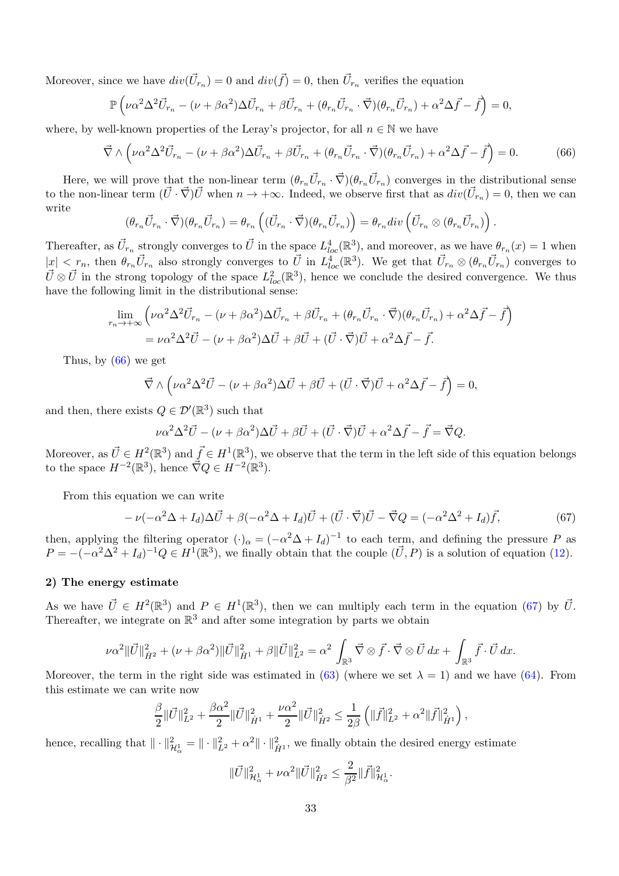Moreover, since we have  $div(\vec{U}_{r_n}) = 0$  and  $div(\vec{f}) = 0$ , then  $\vec{U}_{r_n}$  verifies the equation

$$
\mathbb{P}\left(\nu\alpha^2\Delta^2\vec{U}_{r_n}-(\nu+\beta\alpha^2)\Delta\vec{U}_{r_n}+\beta\vec{U}_{r_n}+(\theta_{r_n}\vec{U}_{r_n}\cdot\vec{\nabla})(\theta_{r_n}\vec{U}_{r_n})+\alpha^2\Delta\vec{f}-\vec{f}\right)=0,
$$

where, by well-known properties of the Leray's projector, for all  $n \in \mathbb{N}$  we have

<span id="page-32-0"></span>
$$
\vec{\nabla} \wedge \left(\nu \alpha^2 \Delta^2 \vec{U}_{r_n} - (\nu + \beta \alpha^2) \Delta \vec{U}_{r_n} + \beta \vec{U}_{r_n} + (\theta_{r_n} \vec{U}_{r_n} \cdot \vec{\nabla}) (\theta_{r_n} \vec{U}_{r_n}) + \alpha^2 \Delta \vec{f} - \vec{f}\right) = 0.
$$
 (66)

.

Here, we will prove that the non-linear term  $(\theta_{r_n}\vec{U}_{r_n}\cdot\vec{\nabla})(\theta_{r_n}\vec{U}_{r_n})$  converges in the distributional sense to the non-linear term  $(\vec{U} \cdot \vec{\nabla}) \vec{U}$  when  $n \to +\infty$ . Indeed, we observe first that as  $div(\vec{U}_{r_n}) = 0$ , then we can write

$$
(\theta_{r_n}\vec{U}_{r_n}\cdot\vec{\nabla})(\theta_{r_n}\vec{U}_{r_n}) = \theta_{r_n}\left((\vec{U}_{r_n}\cdot\vec{\nabla})(\theta_{r_n}\vec{U}_{r_n})\right) = \theta_{r_n}div\left(\vec{U}_{r_n}\otimes(\theta_{r_n}\vec{U}_{r_n})\right)
$$

Thereafter, as  $\vec{U}_{r_n}$  strongly converges to  $\vec{U}$  in the space  $L^4_{loc}(\mathbb{R}^3)$ , and moreover, as we have  $\theta_{r_n}(x) = 1$  when  $|x| < r_n$ , then  $\theta_{r_n} \vec{U}_{r_n}$  also strongly converges to  $\vec{U}$  in  $L^4_{loc}(\mathbb{R}^3)$ . We get that  $\vec{U}_{r_n} \otimes (\theta_{r_n} \vec{U}_{r_n})$  converges to  $\vec{U} \otimes \vec{U}$  in the strong topology of the space  $L^2_{loc}(\mathbb{R}^3)$ , hence we conclude the desired convergence. We thus have the following limit in the distributional sense:

$$
\lim_{r_n \to +\infty} \left( \nu \alpha^2 \Delta^2 \vec{U}_{r_n} - (\nu + \beta \alpha^2) \Delta \vec{U}_{r_n} + \beta \vec{U}_{r_n} + (\theta_{r_n} \vec{U}_{r_n} \cdot \vec{\nabla}) (\theta_{r_n} \vec{U}_{r_n}) + \alpha^2 \Delta \vec{f} - \vec{f} \right)
$$
  
=  $\nu \alpha^2 \Delta^2 \vec{U} - (\nu + \beta \alpha^2) \Delta \vec{U} + \beta \vec{U} + (\vec{U} \cdot \vec{\nabla}) \vec{U} + \alpha^2 \Delta \vec{f} - \vec{f}.$ 

Thus, by  $(66)$  we get

$$
\vec{\nabla} \wedge \left( \nu \alpha^2 \Delta^2 \vec{U} - (\nu + \beta \alpha^2) \Delta \vec{U} + \beta \vec{U} + (\vec{U} \cdot \vec{\nabla}) \vec{U} + \alpha^2 \Delta \vec{f} - \vec{f} \right) = 0,
$$

and then, there exists  $Q \in \mathcal{D}'(\mathbb{R}^3)$  such that

$$
\nu\alpha^2\Delta^2\vec{U} - (\nu + \beta\alpha^2)\Delta\vec{U} + \beta\vec{U} + (\vec{U}\cdot\vec{\nabla})\vec{U} + \alpha^2\Delta\vec{f} - \vec{f} = \vec{\nabla}Q.
$$

Moreover, as  $\vec{U} \in H^2(\mathbb{R}^3)$  and  $\vec{f} \in H^1(\mathbb{R}^3)$ , we observe that the term in the left side of this equation belongs to the space  $H^{-2}(\mathbb{R}^3)$ , hence  $\vec{\nabla} Q \in H^{-2}(\mathbb{R}^3)$ .

From this equation we can write

<span id="page-32-1"></span>
$$
-\nu(-\alpha^2\Delta + I_d)\Delta\vec{U} + \beta(-\alpha^2\Delta + I_d)\vec{U} + (\vec{U}\cdot\vec{\nabla})\vec{U} - \vec{\nabla}Q = (-\alpha^2\Delta^2 + I_d)\vec{f},\tag{67}
$$

then, applying the filtering operator  $(\cdot)_{\alpha} = (-\alpha^2 \Delta + I_d)^{-1}$  to each term, and defining the pressure P as  $P = -(-\alpha^2 \Delta^2 + I_d)^{-1} Q \in H^1(\mathbb{R}^3)$ , we finally obtain that the couple  $(\vec{U}, P)$  is a solution of equation [\(12\)](#page-7-0).

#### 2) The energy estimate

As we have  $\vec{U} \in H^2(\mathbb{R}^3)$  and  $P \in H^1(\mathbb{R}^3)$ , then we can multiply each term in the equation [\(67\)](#page-32-1) by  $\vec{U}$ . Thereafter, we integrate on  $\mathbb{R}^3$  and after some integration by parts we obtain

$$
\nu\alpha^2\|\vec{U}\|^2_{\dot{H}^2} + (\nu + \beta\alpha^2)\|\vec{U}\|^2_{\dot{H}^1} + \beta\|\vec{U}\|^2_{L^2} = \alpha^2 \int_{\mathbb{R}^3} \vec{\nabla} \otimes \vec{f} \cdot \vec{\nabla} \otimes \vec{U} \,dx + \int_{\mathbb{R}^3} \vec{f} \cdot \vec{U} \,dx.
$$

Moreover, the term in the right side was estimated in [\(63\)](#page-31-1) (where we set  $\lambda = 1$ ) and we have [\(64\)](#page-31-2). From this estimate we can write now

$$
\frac{\beta}{2} \|\vec{U}\|_{L^2}^2 + \frac{\beta \alpha^2}{2} \|\vec{U}\|_{\dot{H}^1}^2 + \frac{\nu \alpha^2}{2} \|\vec{U}\|_{\dot{H}^2}^2 \le \frac{1}{2\beta} \left( \|\vec{f}\|_{L^2}^2 + \alpha^2 \|\vec{f}\|_{\dot{H}^1}^2 \right),
$$

hence, recalling that  $\|\cdot\|_{\mathcal{H}^1_{\alpha}}^2 = \|\cdot\|_{L^2}^2 + \alpha^2 \|\cdot\|_{\dot{H}^1}^2$ , we finally obtain the desired energy estimate

$$
\|\vec{U}\|_{\mathcal{H}^1_\alpha}^2 + \nu \alpha^2 \|\vec{U}\|_{\dot{H}^2}^2 \le \frac{2}{\beta^2} \|\vec{f}\|_{\mathcal{H}^1_\alpha}^2.
$$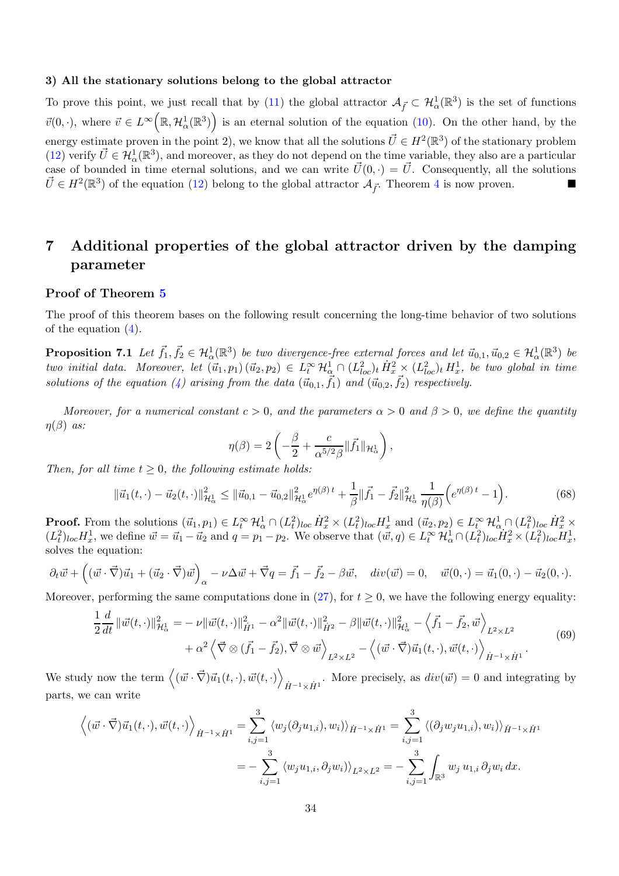#### 3) All the stationary solutions belong to the global attractor

To prove this point, we just recall that by [\(11\)](#page-6-5) the global attractor  $\mathcal{A}_{\vec{f}} \subset \mathcal{H}^1_\alpha(\mathbb{R}^3)$  is the set of functions  $\vec{v}(0, \cdot)$ , where  $\vec{v} \in L^{\infty}(\mathbb{R}, \mathcal{H}^1_\alpha(\mathbb{R}^3))$  is an eternal solution of the equation [\(10\)](#page-6-1). On the other hand, by the energy estimate proven in the point 2), we know that all the solutions  $\vec{U} \in H^2(\mathbb{R}^3)$  of the stationary problem [\(12\)](#page-7-0) verify  $\vec{U} \in \mathcal{H}^1_\alpha(\mathbb{R}^3)$ , and moreover, as they do not depend on the time variable, they also are a particular case of bounded in time eternal solutions, and we can write  $\vec{U}(0, \cdot) = \vec{U}$ . Consequently, all the solutions  $\vec{U} \in H^2(\mathbb{R}^3)$  of the equation [\(12\)](#page-7-0) belong to the global attractor  $\mathcal{A}_{\vec{f}}$ . Theorem [4](#page-7-1) is now proven.

## <span id="page-33-0"></span>7 Additional properties of the global attractor driven by the damping parameter

## Proof of Theorem [5](#page-8-0)

<span id="page-33-3"></span>The proof of this theorem bases on the following result concerning the long-time behavior of two solutions of the equation  $(4)$ .

**Proposition 7.1** Let  $\vec{f}_1, \vec{f}_2 \in H^1_\alpha(\mathbb{R}^3)$  be two divergence-free external forces and let  $\vec{u}_{0,1}, \vec{u}_{0,2} \in H^1_\alpha(\mathbb{R}^3)$  be two initial data. Moreover, let  $(\vec{u}_1, p_1) (\vec{u}_2, p_2) \in L_t^{\infty} \mathcal{H}^1_{\alpha} \cap (L^2_{loc})_t \dot{H}^2_{x} \times (L^2_{loc})_t H^1_x$ , be two global in time solutions of the equation [\(4\)](#page-3-0) arising from the data  $(\vec{u}_{0,1}, \vec{f}_1)$  and  $(\vec{u}_{0,2}, \vec{f}_2)$  respectively.

Moreover, for a numerical constant  $c > 0$ , and the parameters  $\alpha > 0$  and  $\beta > 0$ , we define the quantity  $\eta(\beta)$  as:

$$
\eta(\beta) = 2\left(-\frac{\beta}{2} + \frac{c}{\alpha^{5/2}\beta} \|\vec{f}_1\|_{\mathcal{H}^1_{\alpha}}\right),\,
$$

Then, for all time  $t > 0$ , the following estimate holds:

<span id="page-33-2"></span>
$$
\|\vec{u}_1(t,\cdot)-\vec{u}_2(t,\cdot)\|_{\mathcal{H}^1_{\alpha}}^2 \le \|\vec{u}_{0,1}-\vec{u}_{0,2}\|_{\mathcal{H}^1_{\alpha}}^2 e^{\eta(\beta)t} + \frac{1}{\beta}\|\vec{f}_1 - \vec{f}_2\|_{\mathcal{H}^1_{\alpha}}^2 \frac{1}{\eta(\beta)} \Big(e^{\eta(\beta)t} - 1\Big). \tag{68}
$$

**Proof.** From the solutions  $(\vec{u}_1, p_1) \in L_t^{\infty} \mathcal{H}_\alpha^1 \cap (L_t^2)_{loc} \dot{H}_x^2 \times (L_t^2)_{loc} H_x^1$  and  $(\vec{u}_2, p_2) \in L_t^{\infty} \mathcal{H}_\alpha^1 \cap (L_t^2)_{loc} \dot{H}_x^2 \times L_t^2$  $(L_t^2)_{loc} H_x^1$ , we define  $\vec{w} = \vec{u}_1 - \vec{u}_2$  and  $q = p_1 - p_2$ . We observe that  $(\vec{w}, q) \in L_t^{\infty} H_x^1 \cap (L_t^2)_{loc} H_x^2 \times (L_t^2)_{loc} H_x^1$ , solves the equation:

$$
\partial_t \vec{w} + \left( (\vec{w} \cdot \vec{\nabla}) \vec{u}_1 + (\vec{u}_2 \cdot \vec{\nabla}) \vec{w} \right)_{\alpha} - \nu \Delta \vec{w} + \vec{\nabla} q = \vec{f}_1 - \vec{f}_2 - \beta \vec{w}, \quad div(\vec{w}) = 0, \quad \vec{w}(0, \cdot) = \vec{u}_1(0, \cdot) - \vec{u}_2(0, \cdot).
$$

Moreover, performing the same computations done in [\(27\)](#page-11-3), for  $t \ge 0$ , we have the following energy equality:

$$
\frac{1}{2}\frac{d}{dt}\|\vec{w}(t,\cdot)\|_{\mathcal{H}^{1}_{\alpha}}^{2} = -\nu\|\vec{w}(t,\cdot)\|_{\dot{H}^{1}}^{2} - \alpha^{2}\|\vec{w}(t,\cdot)\|_{\dot{H}^{2}}^{2} - \beta\|\vec{w}(t,\cdot)\|_{\mathcal{H}^{1}_{\alpha}}^{2} - \left\langle \vec{f}_{1} - \vec{f}_{2}, \vec{w} \right\rangle_{L^{2} \times L^{2}} \n+ \alpha^{2}\left\langle \vec{\nabla} \otimes (\vec{f}_{1} - \vec{f}_{2}), \vec{\nabla} \otimes \vec{w} \right\rangle_{L^{2} \times L^{2}} - \left\langle (\vec{w} \cdot \vec{\nabla})\vec{u}_{1}(t,\cdot), \vec{w}(t,\cdot) \right\rangle_{\dot{H}^{-1} \times \dot{H}^{1}}.
$$
\n(69)

<span id="page-33-1"></span>We study now the term  $\langle (\vec{w} \cdot \vec{\nabla}) \vec{u}_1(t, \cdot), \vec{w}(t, \cdot) \rangle$  $\dot{H}^{-1} \times \dot{H}^{1}$ . More precisely, as  $div(\vec{w}) = 0$  and integrating by parts, we can write

$$
\left\langle (\vec{w} \cdot \vec{\nabla}) \vec{u}_1(t,\cdot), \vec{w}(t,\cdot) \right\rangle_{\dot{H}^{-1} \times \dot{H}^1} = \sum_{i,j=1}^3 \left\langle w_j(\partial_j u_{1,i}), w_i \right\rangle_{\dot{H}^{-1} \times \dot{H}^1} = \sum_{i,j=1}^3 \left\langle (\partial_j w_j u_{1,i}), w_i \right\rangle_{\dot{H}^{-1} \times \dot{H}^1}
$$

$$
= -\sum_{i,j=1}^3 \left\langle w_j u_{1,i}, \partial_j w_i \right\rangle_{L^2 \times L^2} = -\sum_{i,j=1}^3 \int_{\mathbb{R}^3} w_j u_{1,i} \partial_j w_i dx.
$$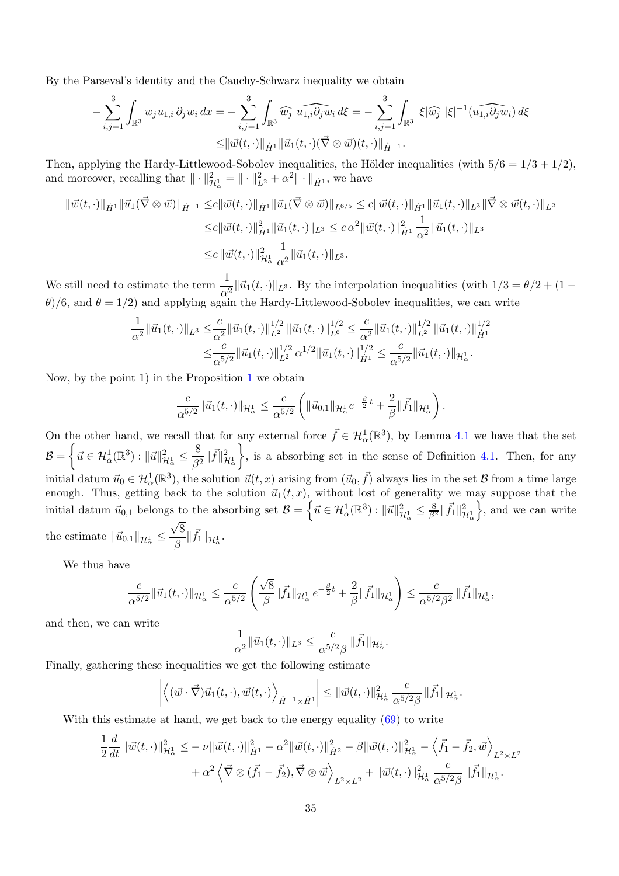By the Parseval's identity and the Cauchy-Schwarz inequality we obtain

$$
-\sum_{i,j=1}^{3} \int_{\mathbb{R}^3} w_j u_{1,i} \, \partial_j w_i \, dx = -\sum_{i,j=1}^{3} \int_{\mathbb{R}^3} \widehat{w_j} \, \widehat{u_{1,i} \partial_j w_i} \, d\xi = -\sum_{i,j=1}^{3} \int_{\mathbb{R}^3} |\xi| \widehat{w_j} \, |\xi|^{-1} \widehat{u_{1,i} \partial_j w_i} \, d\xi
$$

$$
\leq ||\vec{w}(t,\cdot)||_{\dot{H}^1} ||\vec{u}_1(t,\cdot)(\vec{\nabla} \otimes \vec{w})(t,\cdot)||_{\dot{H}^{-1}}.
$$

Then, applying the Hardy-Littlewood-Sobolev inequalities, the Hölder inequalities (with  $5/6 = 1/3 + 1/2$ ), and moreover, recalling that  $\|\cdot\|_{\mathcal{H}^{1}_{\alpha}}^{2} = \|\cdot\|_{L^{2}}^{2} + \alpha^{2} \|\cdot\|_{\dot{H}^{1}}$ , we have

$$
\begin{split} \|\vec{w}(t,\cdot)\|_{\dot{H}^1} \|\vec{u}_1(\vec{\nabla}\otimes\vec{w})\|_{\dot{H}^{-1}} \leq & c \|\vec{w}(t,\cdot)\|_{\dot{H}^1} \|\vec{u}_1(\vec{\nabla}\otimes\vec{w})\|_{L^{6/5}} \leq c \|\vec{w}(t,\cdot)\|_{\dot{H}^1} \|\vec{u}_1(t,\cdot)\|_{L^3} \|\vec{\nabla}\otimes\vec{w}(t,\cdot)\|_{L^2} \\ \leq & c \|\vec{w}(t,\cdot)\|_{\dot{H}^1}^2 \|\vec{u}_1(t,\cdot)\|_{L^3} \leq c \alpha^2 \|\vec{w}(t,\cdot)\|_{\dot{H}^1}^2 \frac{1}{\alpha^2} \|\vec{u}_1(t,\cdot)\|_{L^3} \\ \leq & c \|\vec{w}(t,\cdot)\|_{\mathcal{H}^1_\alpha}^2 \frac{1}{\alpha^2} \|\vec{u}_1(t,\cdot)\|_{L^3} .\end{split}
$$

We still need to estimate the term  $\frac{1}{\alpha^2} ||\vec{u}_1(t, \cdot)||_{L^3}$ . By the interpolation inequalities (with  $1/3 = \theta/2 + (1 - \theta)$ )  $\theta$ /6, and  $\theta = 1/2$ ) and applying again the Hardy-Littlewood-Sobolev inequalities, we can write

$$
\frac{1}{\alpha^2} \|\vec{u}_1(t,\cdot)\|_{L^3} \leq \frac{c}{\alpha^2} \|\vec{u}_1(t,\cdot)\|_{L^2}^{1/2} \|\vec{u}_1(t,\cdot)\|_{L^6}^{1/2} \leq \frac{c}{\alpha^2} \|\vec{u}_1(t,\cdot)\|_{L^2}^{1/2} \|\vec{u}_1(t,\cdot)\|_{\dot{H}^1}^{1/2}
$$

$$
\leq \frac{c}{\alpha^{5/2}} \|\vec{u}_1(t,\cdot)\|_{L^2}^{1/2} \alpha^{1/2} \|\vec{u}_1(t,\cdot)\|_{\dot{H}^1}^{1/2} \leq \frac{c}{\alpha^{5/2}} \|\vec{u}_1(t,\cdot)\|_{\mathcal{H}^1_{\alpha}}.
$$

Now, by the point 1) in the Proposition [1](#page-4-4) we obtain

$$
\frac{c}{\alpha^{5/2}} \|\vec{u}_1(t,\cdot)\|_{\mathcal{H}^1_{\alpha}} \leq \frac{c}{\alpha^{5/2}} \left( \|\vec{u}_{0,1}\|_{\mathcal{H}^1_{\alpha}} e^{-\frac{\beta}{2}t} + \frac{2}{\beta} \|\vec{f}_1\|_{\mathcal{H}^1_{\alpha}} \right).
$$

On the other hand, we recall that for any external force  $\vec{f} \in \mathcal{H}^1_\alpha(\mathbb{R}^3)$ , by Lemma [4.1](#page-15-3) we have that the set  $\mathcal{B} =$  $\left\{ \vec{u} \in \mathcal{H}^{1}_{\alpha}(\mathbb{R}^3): \|\vec{u}\|_{\mathcal{H}^{1}_{\alpha}}^{2} \leq \right.$ 8  $\frac{\infty}{\beta^2} \| \vec{f} \|_{\mathcal{H}^1_\alpha}^2$  $\mathcal{L}$ , is a absorbing set in the sense of Definition [4.1.](#page-15-0) Then, for any initial datum  $\vec{u}_0 \in H^1_\alpha(\mathbb{R}^3)$ , the solution  $\vec{u}(t,x)$  arising from  $(\vec{u}_0, \vec{f})$  always lies in the set  $\beta$  from a time large enough. Thus, getting back to the solution  $\vec{u}_1(t, x)$ , without lost of generality we may suppose that the initial datum  $\vec{u}_{0,1}$  belongs to the absorbing set  $\mathcal{B} = \left\{ \vec{u} \in \mathcal{H}^1_\alpha(\mathbb{R}^3) : ||\vec{u}||^2_{\mathcal{H}^1_\alpha} \leq \frac{8}{\beta^2} ||\vec{f}_1||^2_{\mathcal{H}^1_\alpha} \right\}$  $\Big\}$ , and we can write the estimate  $\|\vec{u}_{0,1}\|_{\mathcal{H}^1_{\alpha}} \leq$  $\sqrt{8}$  $\frac{\sqrt{\circ}}{\beta}$   $\|\vec{f_1}\|_{\mathcal{H}^1_\alpha}$  .

We thus have

$$
\frac{c}{\alpha^{5/2}}\|\vec{u}_1(t,\cdot)\|_{\mathcal{H}^1_\alpha} \leq \frac{c}{\alpha^{5/2}}\left(\frac{\sqrt{8}}{\beta}\|\vec{f}_1\|_{\mathcal{H}^1_\alpha}\,e^{-\frac{\beta}{2}t} + \frac{2}{\beta}\|\vec{f}_1\|_{\mathcal{H}^1_\alpha}\right) \leq \frac{c}{\alpha^{5/2}\beta^2}\,\|\vec{f}_1\|_{\mathcal{H}^1_\alpha},
$$

and then, we can write

$$
\frac{1}{\alpha^2} \|\vec{u}_1(t,\cdot)\|_{L^3} \le \frac{c}{\alpha^{5/2}\beta} \|\vec{f}_1\|_{\mathcal{H}_\alpha^1}.
$$

Finally, gathering these inequalities we get the following estimate

$$
\left| \left\langle (\vec{w} \cdot \vec{\nabla}) \vec{u}_1(t,\cdot),\vec{w}(t,\cdot) \right\rangle_{\dot{H}^{-1}\times \dot{H}^1} \right| \leq \|\vec{w}(t,\cdot)\|_{\mathcal{H}^1_\alpha}^2 \frac{c}{\alpha^{5/2}\beta} \|\vec{f}_1\|_{\mathcal{H}^1_\alpha}.
$$

With this estimate at hand, we get back to the energy equality  $(69)$  to write

$$
\begin{split} \frac{1}{2}\frac{d}{dt}\left\|\vec{w}(t,\cdot)\right\|^{2}_{\mathcal{H}^{1}_{\alpha}} &\leq-\nu\|\vec{w}(t,\cdot)\|^{2}_{\dot{H}^{1}}-\alpha^{2}\|\vec{w}(t,\cdot)\|^{2}_{\dot{H}^{2}}-\beta\|\vec{w}(t,\cdot)\|^{2}_{\mathcal{H}^{1}_{\alpha}}-\left\langle\vec{f_{1}}-\vec{f_{2}},\vec{w}\right\rangle_{L^{2}\times L^{2}}\\ &+\alpha^{2}\left\langle\vec{\nabla}\otimes(\vec{f_{1}}-\vec{f_{2}}),\vec{\nabla}\otimes\vec{w}\right\rangle_{L^{2}\times L^{2}}+\|\vec{w}(t,\cdot)\|^{2}_{\mathcal{H}^{1}_{\alpha}}\frac{c}{\alpha^{5/2}\beta}\left\|\vec{f_{1}}\right\|_{\mathcal{H}^{1}_{\alpha}}. \end{split}
$$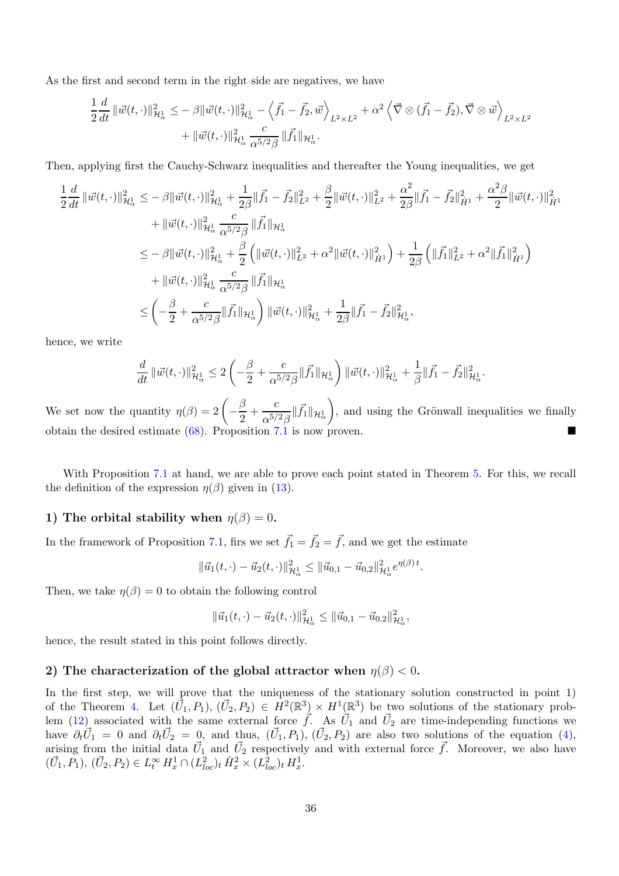As the first and second term in the right side are negatives, we have

$$
\frac{1}{2}\frac{d}{dt}\|\vec{w}(t,\cdot)\|_{\mathcal{H}^1_{\alpha}}^2 \leq -\beta \|\vec{w}(t,\cdot)\|_{\mathcal{H}^1_{\alpha}}^2 - \langle \vec{f}_1 - \vec{f}_2, \vec{w} \rangle_{L^2 \times L^2} + \alpha^2 \langle \vec{\nabla} \otimes (\vec{f}_1 - \vec{f}_2), \vec{\nabla} \otimes \vec{w} \rangle_{L^2 \times L^2} \n+ \|\vec{w}(t,\cdot)\|_{\mathcal{H}^1_{\alpha}}^2 \frac{c}{\alpha^{5/2} \beta} \|\vec{f}_1\|_{\mathcal{H}^1_{\alpha}}.
$$

Then, applying first the Cauchy-Schwarz inequalities and thereafter the Young inequalities, we get

$$
\frac{1}{2}\frac{d}{dt}\|\vec{w}(t,\cdot)\|_{\mathcal{H}^{1}_{\alpha}}^{2} \leq -\beta\|\vec{w}(t,\cdot)\|_{\mathcal{H}^{1}_{\alpha}}^{2} + \frac{1}{2\beta}\|\vec{f}_{1} - \vec{f}_{2}\|_{L^{2}}^{2} + \frac{\beta}{2}\|\vec{w}(t,\cdot)\|_{L^{2}}^{2} + \frac{\alpha^{2}}{2\beta}\|\vec{f}_{1} - \vec{f}_{2}\|_{\dot{H}^{1}}^{2} + \frac{\alpha^{2}\beta}{2}\|\vec{w}(t,\cdot)\|_{\dot{H}^{1}}^{2} \n+ \|\vec{w}(t,\cdot)\|_{\mathcal{H}^{1}_{\alpha}}^{2} \frac{c}{\alpha^{5/2}\beta}\|\vec{f}_{1}\|_{\mathcal{H}^{1}_{\alpha}} \n\leq -\beta\|\vec{w}(t,\cdot)\|_{\mathcal{H}^{1}_{\alpha}}^{2} + \frac{\beta}{2}\left(\|\vec{w}(t,\cdot)\|_{L^{2}}^{2} + \alpha^{2}\|\vec{w}(t,\cdot)\|_{\dot{H}^{1}}^{2}\right) + \frac{1}{2\beta}\left(\|\vec{f}_{1}\|_{L^{2}}^{2} + \alpha^{2}\|\vec{f}_{1}\|_{\dot{H}^{1}}^{2}\right) \n+ \|\vec{w}(t,\cdot)\|_{\mathcal{H}^{1}_{\alpha}}^{2} \frac{c}{\alpha^{5/2}\beta}\|\vec{f}_{1}\|_{\mathcal{H}^{1}_{\alpha}} \n\leq \left(-\frac{\beta}{2} + \frac{c}{\alpha^{5/2}\beta}\|\vec{f}_{1}\|_{\mathcal{H}^{1}_{\alpha}}\right)\|\vec{w}(t,\cdot)\|_{\mathcal{H}^{1}_{\alpha}}^{2} + \frac{1}{2\beta}\|\vec{f}_{1} - \vec{f}_{2}\|_{\mathcal{H}^{1}_{\alpha}}^{2},
$$

hence, we write

$$
\frac{d}{dt} \|\vec{w}(t,\cdot)\|_{\mathcal{H}^1_\alpha}^2 \leq 2 \left( -\frac{\beta}{2} + \frac{c}{\alpha^{5/2} \beta} \|\vec{f}_1\|_{\mathcal{H}^1_\alpha} \right) \|\vec{w}(t,\cdot)\|_{\mathcal{H}^1_\alpha}^2 + \frac{1}{\beta} \|\vec{f}_1 - \vec{f}_2\|_{\mathcal{H}^1_\alpha}^2.
$$

We set now the quantity  $\eta(\beta) = 2 \left( - \frac{\beta}{\beta} \right)$ β  $\frac{\beta}{2}+\frac{c}{\alpha^{5/2}}$  $\frac{c}{\alpha^{5/2}\beta}$   $\| \vec{f_1} \|_{\mathcal{H}^1_\alpha}$  $\setminus$ , and using the Grönwall inequalities we finally obtain the desired estimate [\(68\)](#page-33-2). Proposition [7.1](#page-33-3) is now proven.

With Proposition [7.1](#page-33-3) at hand, we are able to prove each point stated in Theorem [5.](#page-8-0) For this, we recall the definition of the expression  $\eta(\beta)$  given in [\(13\)](#page-7-2).

## 1) The orbital stability when  $\eta(\beta) = 0$ .

In the framework of Proposition [7.1,](#page-33-3) firs we set  $\vec{f}_1 = \vec{f}_2 = \vec{f}$ , and we get the estimate

$$
\|\vec{u}_1(t,\cdot)-\vec{u}_2(t,\cdot)\|_{\mathcal{H}^1_\alpha}^2 \le \|\vec{u}_{0,1}-\vec{u}_{0,2}\|_{\mathcal{H}^1_\alpha}^2 e^{\eta(\beta)t}.
$$

Then, we take  $\eta(\beta) = 0$  to obtain the following control

$$
\|\vec{u}_1(t,\cdot)-\vec{u}_2(t,\cdot)\|_{\mathcal{H}^1_\alpha}^2 \le \|\vec{u}_{0,1}-\vec{u}_{0,2}\|_{\mathcal{H}^1_\alpha}^2,
$$

hence, the result stated in this point follows directly.

#### 2) The characterization of the global attractor when  $\eta(\beta) < 0$ .

In the first step, we will prove that the uniqueness of the stationary solution constructed in point 1) of the Theorem [4.](#page-7-1) Let  $(\vec{U}_1, P_1), (\vec{U}_2, P_2) \in H^2(\mathbb{R}^3) \times H^1(\mathbb{R}^3)$  be two solutions of the stationary prob-lem [\(12\)](#page-7-0) associated with the same external force  $\vec{f}$ . As  $\vec{U}_1$  and  $\vec{U}_2$  are time-independing functions we have  $\partial_t \vec{U}_1 = 0$  and  $\partial_t \vec{U}_2 = 0$ , and thus,  $(\vec{U}_1, P_1), (\vec{U}_2, P_2)$  are also two solutions of the equation [\(4\)](#page-3-0), arising from the initial data  $\vec{U}_1$  and  $\vec{U}_2$  respectively and with external force  $\vec{f}$ . Moreover, we also have  $(\vec{U}_1, P_1), (\vec{U}_2, P_2) \in L_t^{\infty} H_x^1 \cap (L_{loc}^2)_t \dot{H}_x^2 \times (L_{loc}^2)_t H_x^1.$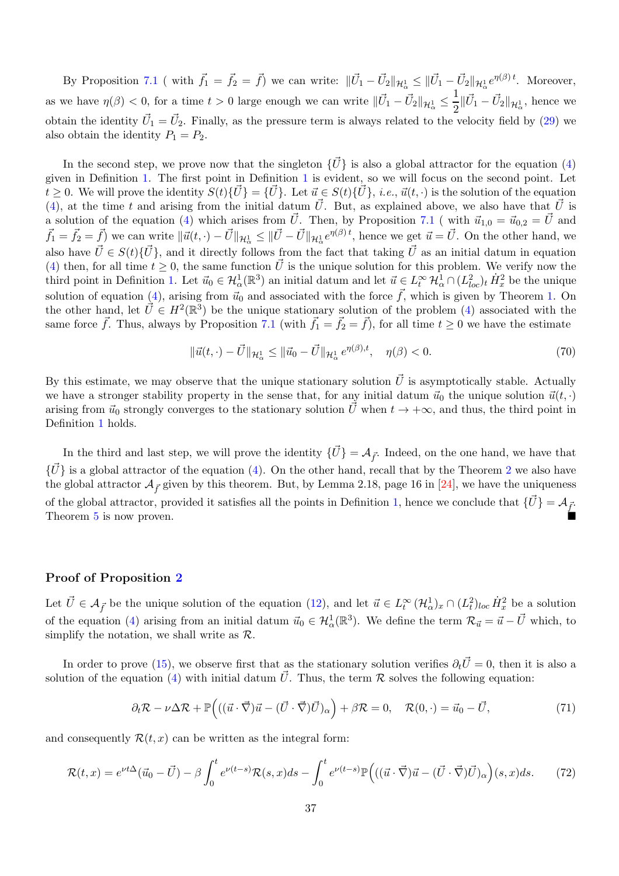By Proposition [7.1](#page-33-3) (with  $\vec{f}_1 = \vec{f}_2 = \vec{f}$ ) we can write:  $\|\vec{U}_1 - \vec{U}_2\|_{\mathcal{H}^1_{\alpha}} \leq \|\vec{U}_1 - \vec{U}_2\|_{\mathcal{H}^1_{\alpha}} e^{\eta(\beta) t}$ . Moreover, as we have  $\eta(\beta) < 0$ , for a time  $t > 0$  large enough we can write  $\|\vec{U}_1 - \vec{U}_2\|_{\mathcal{H}^1_{\alpha}} \leq$ 1  $\frac{1}{2} \|\vec{U}_1 - \vec{U}_2\|_{\mathcal{H}^1_{\alpha}},$  hence we obtain the identity  $\vec{U}_1 = \vec{U}_2$ . Finally, as the pressure term is always related to the velocity field by [\(29\)](#page-12-1) we also obtain the identity  $P_1 = P_2$ .

In the second step, we prove now that the singleton  ${\{\vec{U}\}}$  is also a global attractor for the equation [\(4\)](#page-3-0) given in Definition [1.](#page-5-1) The first point in Definition [1](#page-5-1) is evident, so we will focus on the second point. Let  $t \geq 0$ . We will prove the identity  $S(t)\{\vec{U}\} = {\vec{U}}$ . Let  $\vec{u} \in S(t)\{\vec{U}\}\text{, }i.e., \vec{u}(t, \cdot)$  is the solution of the equation [\(4\)](#page-3-0), at the time t and arising from the initial datum  $\vec{U}$ . But, as explained above, we also have that  $\vec{U}$  is a solution of the equation [\(4\)](#page-3-0) which arises from  $\vec{U}$ . Then, by Proposition [7.1](#page-33-3) ( with  $\vec{u}_{1,0} = \vec{u}_{0,2} = \vec{U}$  and  $\vec{f}_1 = \vec{f}_2 = \vec{f}$  we can write  $\|\vec{u}(t, \cdot) - \vec{U}\|_{\mathcal{H}^1_{\alpha}} \leq \|\vec{U} - \vec{U}\|_{\mathcal{H}^1_{\alpha}} e^{\eta(\beta)t}$ , hence we get  $\vec{u} = \vec{U}$ . On the other hand, we also have  $\vec{U} \in S(t)\{\vec{U}\}\text{, and it directly follows from the fact that taking } \vec{U}$  as an initial datum in equation [\(4\)](#page-3-0) then, for all time  $t \ge 0$ , the same function  $\vec{U}$  is the unique solution for this problem. We verify now the third point in Definition [1.](#page-5-1) Let  $\vec{u}_0 \in H^1_\alpha(\mathbb{R}^3)$  an initial datum and let  $\vec{u} \in L^\infty_t H^1_\alpha \cap (L^2_{loc})_t \dot{H}^2_x$  be the unique solution of equation [\(4\)](#page-3-0), arising from  $\vec{u}_0$  and associated with the force  $\vec{f}$ , which is given by Theorem [1.](#page-4-1) On the other hand, let  $\vec{U} \in H^2(\mathbb{R}^3)$  be the unique stationary solution of the problem [\(4\)](#page-3-0) associated with the same force  $\vec{f}$ . Thus, always by Proposition [7.1](#page-33-3) (with  $\vec{f}_1 = \vec{f}_2 = \vec{f}$ ), for all time  $t \ge 0$  we have the estimate

<span id="page-36-0"></span>
$$
\|\vec{u}(t,\cdot)-\vec{U}\|_{\mathcal{H}^1_{\alpha}} \le \|\vec{u}_0 - \vec{U}\|_{\mathcal{H}^1_{\alpha}} e^{\eta(\beta),t}, \quad \eta(\beta) < 0. \tag{70}
$$

By this estimate, we may observe that the unique stationary solution  $\vec{U}$  is asymptotically stable. Actually we have a stronger stability property in the sense that, for any initial datum  $\vec{u}_0$  the unique solution  $\vec{u}(t, \cdot)$ arising from  $\vec{u}_0$  strongly converges to the stationary solution  $\vec{U}$  when  $t \to +\infty$ , and thus, the third point in Definition [1](#page-5-1) holds.

In the third and last step, we will prove the identity  $\{\vec{U}\} = \mathcal{A}_{\vec{f}}$ . Indeed, on the one hand, we have that  ${\{\vec{U}\}}$  is a global attractor of the equation [\(4\)](#page-3-0). On the other hand, recall that by the Theorem [2](#page-5-2) we also have the global attractor  $A_f$  given by this theorem. But, by Lemma 2.18, page 16 in [\[24\]](#page-40-4), we have the uniqueness of the global attractor, provided it satisfies all the points in Definition [1,](#page-5-1) hence we conclude that  $\{\vec{U}\} = A_{\vec{f}}$ . Theorem [5](#page-8-0) is now proven.

### Proof of Proposition [2](#page-8-2)

Let  $\vec{U} \in \mathcal{A}_{\vec{f}}$  be the unique solution of the equation [\(12\)](#page-7-0), and let  $\vec{u} \in L^{\infty}_t(\mathcal{H}^1_{\alpha})_x \cap (L^2_t)_{loc} \dot{H}^2_x$  be a solution of the equation [\(4\)](#page-3-0) arising from an initial datum  $\vec{u}_0 \in \mathcal{H}^1_\alpha(\mathbb{R}^3)$ . We define the term  $\mathcal{R}_{\vec{u}} = \vec{u} - \vec{U}$  which, to simplify the notation, we shall write as  $\mathcal{R}$ .

In order to prove [\(15\)](#page-8-3), we observe first that as the stationary solution verifies  $\partial_t \vec{U} = 0$ , then it is also a solution of the equation [\(4\)](#page-3-0) with initial datum  $\vec{U}$ . Thus, the term R solves the following equation:

$$
\partial_t \mathcal{R} - \nu \Delta \mathcal{R} + \mathbb{P}\Big( ((\vec{u} \cdot \vec{\nabla})\vec{u} - (\vec{U} \cdot \vec{\nabla})\vec{U})_{\alpha} \Big) + \beta \mathcal{R} = 0, \quad \mathcal{R}(0, \cdot) = \vec{u}_0 - \vec{U}, \tag{71}
$$

and consequently  $\mathcal{R}(t, x)$  can be written as the integral form:

$$
\mathcal{R}(t,x) = e^{\nu t \Delta}(\vec{u}_0 - \vec{U}) - \beta \int_0^t e^{\nu(t-s)} \mathcal{R}(s,x) ds - \int_0^t e^{\nu(t-s)} \mathbb{P}\Big((\vec{u} \cdot \vec{\nabla}) \vec{u} - (\vec{U} \cdot \vec{\nabla}) \vec{U})_\alpha\Big)(s,x) ds. \tag{72}
$$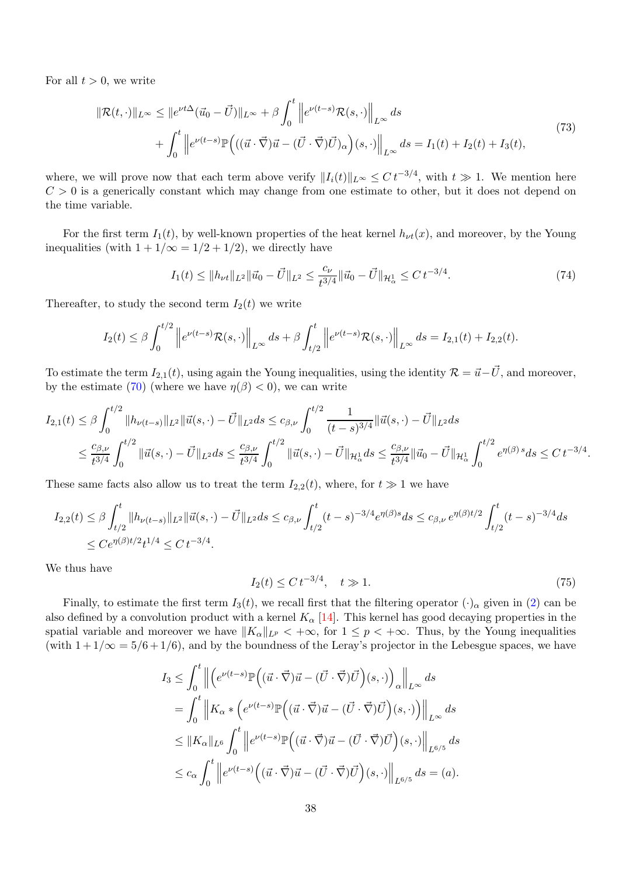<span id="page-37-2"></span>For all  $t > 0$ , we write

$$
\|\mathcal{R}(t,\cdot)\|_{L^{\infty}} \leq \|e^{\nu t \Delta}(\vec{u}_0 - \vec{U})\|_{L^{\infty}} + \beta \int_0^t \left\|e^{\nu(t-s)}\mathcal{R}(s,\cdot)\right\|_{L^{\infty}} ds + \int_0^t \left\|e^{\nu(t-s)}\mathbb{P}\left((\vec{u}\cdot\vec{\nabla})\vec{u} - (\vec{U}\cdot\vec{\nabla})\vec{U})_{\alpha}\right)(s,\cdot)\right\|_{L^{\infty}} ds = I_1(t) + I_2(t) + I_3(t),
$$
\n(73)

where, we will prove now that each term above verify  $||I_i(t)||_{L^{\infty}} \leq C t^{-3/4}$ , with  $t \gg 1$ . We mention here  $C > 0$  is a generically constant which may change from one estimate to other, but it does not depend on the time variable.

For the first term  $I_1(t)$ , by well-known properties of the heat kernel  $h_{\nu t}(x)$ , and moreover, by the Young inequalities (with  $1 + 1/\infty = 1/2 + 1/2$ ), we directly have

<span id="page-37-0"></span>
$$
I_1(t) \le ||h_{\nu t}||_{L^2} ||\vec{u}_0 - \vec{U}||_{L^2} \le \frac{c_{\nu}}{t^{3/4}} ||\vec{u}_0 - \vec{U}||_{\mathcal{H}^1_{\alpha}} \le C t^{-3/4}.
$$
\n(74)

Thereafter, to study the second term  $I_2(t)$  we write

$$
I_2(t) \leq \beta \int_0^{t/2} \left\| e^{\nu(t-s)} \mathcal{R}(s, \cdot) \right\|_{L^\infty} ds + \beta \int_{t/2}^t \left\| e^{\nu(t-s)} \mathcal{R}(s, \cdot) \right\|_{L^\infty} ds = I_{2,1}(t) + I_{2,2}(t).
$$

To estimate the term  $I_{2,1}(t)$ , using again the Young inequalities, using the identity  $\mathcal{R} = \vec{u} - \vec{U}$ , and moreover, by the estimate [\(70\)](#page-36-0) (where we have  $\eta(\beta) < 0$ ), we can write

$$
I_{2,1}(t) \leq \beta \int_0^{t/2} \|h_{\nu(t-s)}\|_{L^2} \|\vec{u}(s,\cdot) - \vec{U}\|_{L^2} ds \leq c_{\beta,\nu} \int_0^{t/2} \frac{1}{(t-s)^{3/4}} \|\vec{u}(s,\cdot) - \vec{U}\|_{L^2} ds
$$
  

$$
\leq \frac{c_{\beta,\nu}}{t^{3/4}} \int_0^{t/2} \|\vec{u}(s,\cdot) - \vec{U}\|_{L^2} ds \leq \frac{c_{\beta,\nu}}{t^{3/4}} \int_0^{t/2} \|\vec{u}(s,\cdot) - \vec{U}\|_{\mathcal{H}^1_{\alpha}} ds \leq \frac{c_{\beta,\nu}}{t^{3/4}} \|\vec{u}_0 - \vec{U}\|_{\mathcal{H}^1_{\alpha}} \int_0^{t/2} e^{\eta(\beta)s} ds \leq Ct^{-3/4}.
$$

These same facts also allow us to treat the term  $I_{2,2}(t)$ , where, for  $t \gg 1$  we have

$$
I_{2,2}(t) \leq \beta \int_{t/2}^t \|h_{\nu(t-s)}\|_{L^2} \|\vec{u}(s,\cdot) - \vec{U}\|_{L^2} ds \leq c_{\beta,\nu} \int_{t/2}^t (t-s)^{-3/4} e^{\eta(\beta)s} ds \leq c_{\beta,\nu} e^{\eta(\beta)t/2} \int_{t/2}^t (t-s)^{-3/4} ds
$$
  

$$
\leq C e^{\eta(\beta)t/2} t^{1/4} \leq C t^{-3/4}.
$$

We thus have

<span id="page-37-1"></span>
$$
I_2(t) \le C t^{-3/4}, \quad t \gg 1. \tag{75}
$$

Finally, to estimate the first term  $I_3(t)$ , we recall first that the filtering operator  $(\cdot)_{\alpha}$  given in [\(2\)](#page-1-2) can be also defined by a convolution product with a kernel  $K_{\alpha}$  [\[14\]](#page-39-2). This kernel has good decaying properties in the spatial variable and moreover we have  $||K_{\alpha}||_{L^p} < +\infty$ , for  $1 \leq p < +\infty$ . Thus, by the Young inequalities (with  $1+1/\infty = 5/6+1/6$ ), and by the boundness of the Leray's projector in the Lebesgue spaces, we have

$$
I_3 \leq \int_0^t \left\| \left( e^{\nu(t-s)} \mathbb{P}\left( (\vec{u} \cdot \vec{\nabla}) \vec{u} - (\vec{U} \cdot \vec{\nabla}) \vec{U} \right) (s, \cdot) \right)_{\alpha} \right\|_{L^{\infty}} ds
$$
  
\n
$$
= \int_0^t \left\| K_{\alpha} * \left( e^{\nu(t-s)} \mathbb{P}\left( (\vec{u} \cdot \vec{\nabla}) \vec{u} - (\vec{U} \cdot \vec{\nabla}) \vec{U} \right) (s, \cdot) \right) \right\|_{L^{\infty}} ds
$$
  
\n
$$
\leq \| K_{\alpha} \|_{L^6} \int_0^t \left\| e^{\nu(t-s)} \mathbb{P}\left( (\vec{u} \cdot \vec{\nabla}) \vec{u} - (\vec{U} \cdot \vec{\nabla}) \vec{U} \right) (s, \cdot) \right\|_{L^{6/5}} ds
$$
  
\n
$$
\leq c_{\alpha} \int_0^t \left\| e^{\nu(t-s)} \left( (\vec{u} \cdot \vec{\nabla}) \vec{u} - (\vec{U} \cdot \vec{\nabla}) \vec{U} \right) (s, \cdot) \right\|_{L^{6/5}} ds = (a).
$$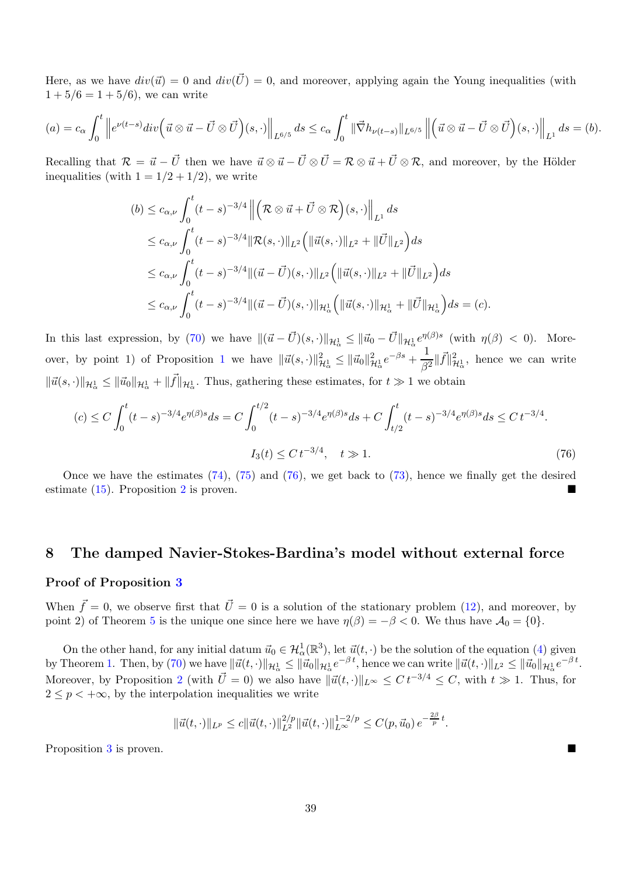Here, as we have  $div(\vec{u}) = 0$  and  $div(\vec{U}) = 0$ , and moreover, applying again the Young inequalities (with  $1 + 5/6 = 1 + 5/6$ , we can write

$$
(a) = c_{\alpha} \int_0^t \left\| e^{\nu(t-s)} \operatorname{div} \left( \vec{u} \otimes \vec{u} - \vec{U} \otimes \vec{U} \right) (s, \cdot) \right\|_{L^{6/5}} ds \leq c_{\alpha} \int_0^t \left\| \vec{\nabla} h_{\nu(t-s)} \right\|_{L^{6/5}} \left\| \left( \vec{u} \otimes \vec{u} - \vec{U} \otimes \vec{U} \right) (s, \cdot) \right\|_{L^1} ds = (b).
$$

Recalling that  $\mathcal{R} = \vec{u} - \vec{U}$  then we have  $\vec{u} \otimes \vec{u} - \vec{U} \otimes \vec{U} = \mathcal{R} \otimes \vec{u} + \vec{U} \otimes \mathcal{R}$ , and moreover, by the Hölder inequalities (with  $1 = 1/2 + 1/2$ ), we write

$$
(b) \leq c_{\alpha,\nu} \int_0^t (t-s)^{-3/4} \left\| \left( \mathcal{R} \otimes \vec{u} + \vec{U} \otimes \mathcal{R} \right) (s, \cdot) \right\|_{L^1} ds
$$
  
\n
$$
\leq c_{\alpha,\nu} \int_0^t (t-s)^{-3/4} \|\mathcal{R}(s, \cdot)\|_{L^2} \left( \|\vec{u}(s, \cdot)\|_{L^2} + \|\vec{U}\|_{L^2} \right) ds
$$
  
\n
$$
\leq c_{\alpha,\nu} \int_0^t (t-s)^{-3/4} \|\vec{u} - \vec{U})(s, \cdot)\|_{L^2} \left( \|\vec{u}(s, \cdot)\|_{L^2} + \|\vec{U}\|_{L^2} \right) ds
$$
  
\n
$$
\leq c_{\alpha,\nu} \int_0^t (t-s)^{-3/4} \|\vec{u} - \vec{U})(s, \cdot)\|_{\mathcal{H}^1_{\alpha}} \left( \|\vec{u}(s, \cdot)\|_{\mathcal{H}^1_{\alpha}} + \|\vec{U}\|_{\mathcal{H}^1_{\alpha}} \right) ds = (c).
$$

In this last expression, by [\(70\)](#page-36-0) we have  $\|(\vec{u} - \vec{U})(s, \cdot)\|_{\mathcal{H}^1_{\alpha}} \leq \|\vec{u}_0 - \vec{U}\|_{\mathcal{H}^1_{\alpha}} e^{\eta(\beta)s}$  (with  $\eta(\beta) < 0$ ). More-over, by point [1](#page-4-4)) of Proposition 1 we have  $\|\vec{u}(s, \cdot)\|_{\mathcal{H}^1_{\alpha}}^2 \leq \|\vec{u}_0\|_{\mathcal{H}^1_{\alpha}}^2 e^{-\beta s} + \frac{1}{\beta^2}$  $\frac{1}{\beta^2} \|\vec{f}\|^2_{\mathcal{H}^1_{\alpha}},$  hence we can write  $\|\vec{u}(s,\cdot)\|_{\mathcal{H}^1_{\alpha}} \leq \|\vec{u}_0\|_{\mathcal{H}^1_{\alpha}} + \|\vec{f}\|_{\mathcal{H}^1_{\alpha}}$ . Thus, gathering these estimates, for  $t \gg 1$  we obtain

<span id="page-38-1"></span>
$$
(c) \le C \int_0^t (t-s)^{-3/4} e^{\eta(\beta)s} ds = C \int_0^{t/2} (t-s)^{-3/4} e^{\eta(\beta)s} ds + C \int_{t/2}^t (t-s)^{-3/4} e^{\eta(\beta)s} ds \le C t^{-3/4}.
$$
  

$$
I_3(t) \le C t^{-3/4}, \quad t \gg 1.
$$
 (76)

Once we have the estimates  $(74)$ ,  $(75)$  and  $(76)$ , we get back to  $(73)$ , hence we finally get the desired estimate [\(15\)](#page-8-3). Proposition [2](#page-8-2) is proven.

## <span id="page-38-0"></span>8 The damped Navier-Stokes-Bardina's model without external force

### Proof of Proposition [3](#page-8-4)

When  $\vec{f} = 0$ , we observe first that  $\vec{U} = 0$  is a solution of the stationary problem [\(12\)](#page-7-0), and moreover, by point 2) of Theorem [5](#page-8-0) is the unique one since here we have  $\eta(\beta) = -\beta < 0$ . We thus have  $\mathcal{A}_0 = \{0\}$ .

On the other hand, for any initial datum  $\vec{u}_0 \in H^1_\alpha(\mathbb{R}^3)$ , let  $\vec{u}(t, \cdot)$  be the solution of the equation [\(4\)](#page-3-0) given by Theorem [1.](#page-4-1) Then, by [\(70\)](#page-36-0) we have  $\|\vec{u}(t, \cdot)\|_{\mathcal{H}^1_{\alpha}} \leq \|\vec{u}_0\|_{\mathcal{H}^1_{\alpha}}e^{-\beta t}$ , hence we can write  $\|\vec{u}(t, \cdot)\|_{L^2} \leq \|\vec{u}_0\|_{\mathcal{H}^1_{\alpha}}e^{-\beta t}$ . Moreover, by Proposition [2](#page-8-2) (with  $\vec{U} = 0$ ) we also have  $\|\vec{u}(t, \cdot)\|_{L^{\infty}} \leq C t^{-3/4} \leq C$ , with  $t \gg 1$ . Thus, for  $2 \leq p \leq +\infty$ , by the interpolation inequalities we write

$$
\|\vec{u}(t,\cdot)\|_{L^p} \leq c \|\vec{u}(t,\cdot)\|_{L^2}^{2/p} \|\vec{u}(t,\cdot)\|_{L^\infty}^{1-2/p} \leq C(p,\vec{u}_0) \, e^{-\frac{2\beta}{p}t}.
$$

Proposition [3](#page-8-4) is proven.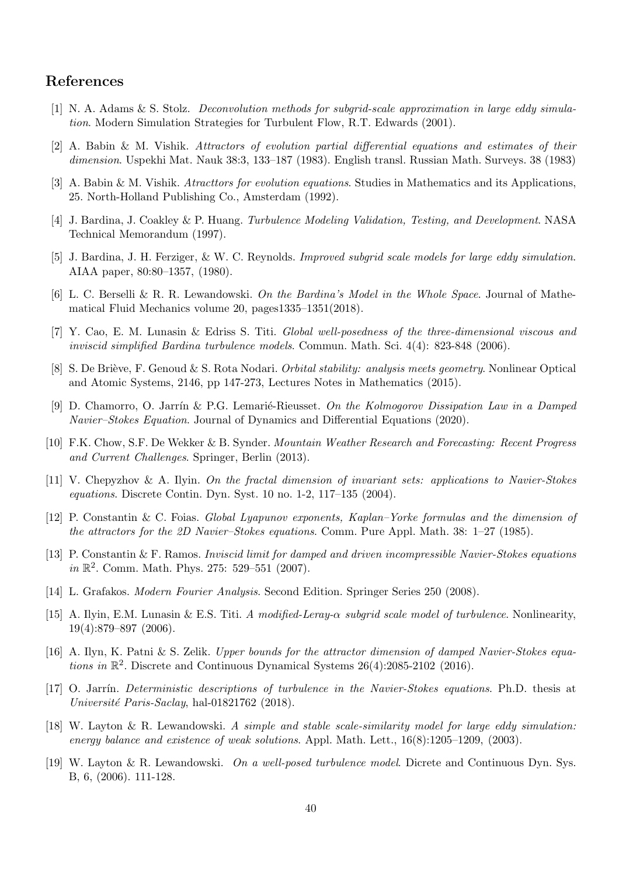## References

- <span id="page-39-12"></span>[1] N. A. Adams & S. Stolz. Deconvolution methods for subgrid-scale approximation in large eddy simulation. Modern Simulation Strategies for Turbulent Flow, R.T. Edwards (2001).
- <span id="page-39-13"></span>[2] A. Babin & M. Vishik. Attractors of evolution partial differential equations and estimates of their dimension. Uspekhi Mat. Nauk 38:3, 133–187 (1983). English transl. Russian Math. Surveys. 38 (1983)
- <span id="page-39-0"></span>[3] A. Babin & M. Vishik. Atracttors for evolution equations. Studies in Mathematics and its Applications, 25. North-Holland Publishing Co., Amsterdam (1992).
- <span id="page-39-1"></span>[4] J. Bardina, J. Coakley & P. Huang. Turbulence Modeling Validation, Testing, and Development. NASA Technical Memorandum (1997).
- <span id="page-39-7"></span>[5] J. Bardina, J. H. Ferziger, & W. C. Reynolds. Improved subgrid scale models for large eddy simulation. AIAA paper, 80:80–1357, (1980).
- <span id="page-39-3"></span>[6] L. C. Berselli & R. R. Lewandowski. On the Bardina's Model in the Whole Space. Journal of Mathematical Fluid Mechanics volume 20, pages1335–1351(2018).
- <span id="page-39-14"></span>[7] Y. Cao, E. M. Lunasin & Edriss S. Titi. Global well-posedness of the three-dimensional viscous and inviscid simplified Bardina turbulence models. Commun. Math. Sci. 4(4): 823-848 (2006).
- [8] S. De Briève, F. Genoud & S. Rota Nodari. *Orbital stability: analysis meets geometry*. Nonlinear Optical and Atomic Systems, 2146, pp 147-273, Lectures Notes in Mathematics (2015).
- <span id="page-39-11"></span>[9] D. Chamorro, O. Jarrín & P.G. Lemarié-Rieusset. On the Kolmogorov Dissipation Law in a Damped Navier–Stokes Equation. Journal of Dynamics and Differential Equations (2020).
- <span id="page-39-5"></span>[10] F.K. Chow, S.F. De Wekker & B. Synder. Mountain Weather Research and Forecasting: Recent Progress and Current Challenges. Springer, Berlin (2013).
- <span id="page-39-16"></span>[11] V. Chepyzhov & A. Ilyin. On the fractal dimension of invariant sets: applications to Navier-Stokes equations. Discrete Contin. Dyn. Syst. 10 no. 1-2, 117–135 (2004).
- <span id="page-39-15"></span>[12] P. Constantin & C. Foias. Global Lyapunov exponents, Kaplan–Yorke formulas and the dimension of the attractors for the 2D Navier–Stokes equations. Comm. Pure Appl. Math. 38: 1–27 (1985).
- <span id="page-39-9"></span>[13] P. Constantin & F. Ramos. Inviscid limit for damped and driven incompressible Navier-Stokes equations in  $\mathbb{R}^2$ . Comm. Math. Phys. 275: 529-551 (2007).
- <span id="page-39-2"></span>[14] L. Grafakos. Modern Fourier Analysis. Second Edition. Springer Series 250 (2008).
- [15] A. Ilyin, E.M. Lunasin & E.S. Titi. A modified-Leray- $\alpha$  subgrid scale model of turbulence. Nonlinearity, 19(4):879–897 (2006).
- <span id="page-39-10"></span>[16] A. Ilyn, K. Patni & S. Zelik. Upper bounds for the attractor dimension of damped Navier-Stokes equations in  $\mathbb{R}^2$ . Discrete and Continuous Dynamical Systems 26(4):2085-2102 (2016).
- <span id="page-39-8"></span>[17] O. Jarrín. *Deterministic descriptions of turbulence in the Navier-Stokes equations*. Ph.D. thesis at Université Paris-Saclay, hal-01821762 (2018).
- <span id="page-39-6"></span>[18] W. Layton & R. Lewandowski. A simple and stable scale-similarity model for large eddy simulation: energy balance and existence of weak solutions. Appl. Math. Lett., 16(8):1205–1209, (2003).
- <span id="page-39-4"></span>[19] W. Layton & R. Lewandowski. On a well-posed turbulence model. Dicrete and Continuous Dyn. Sys. B, 6, (2006). 111-128.